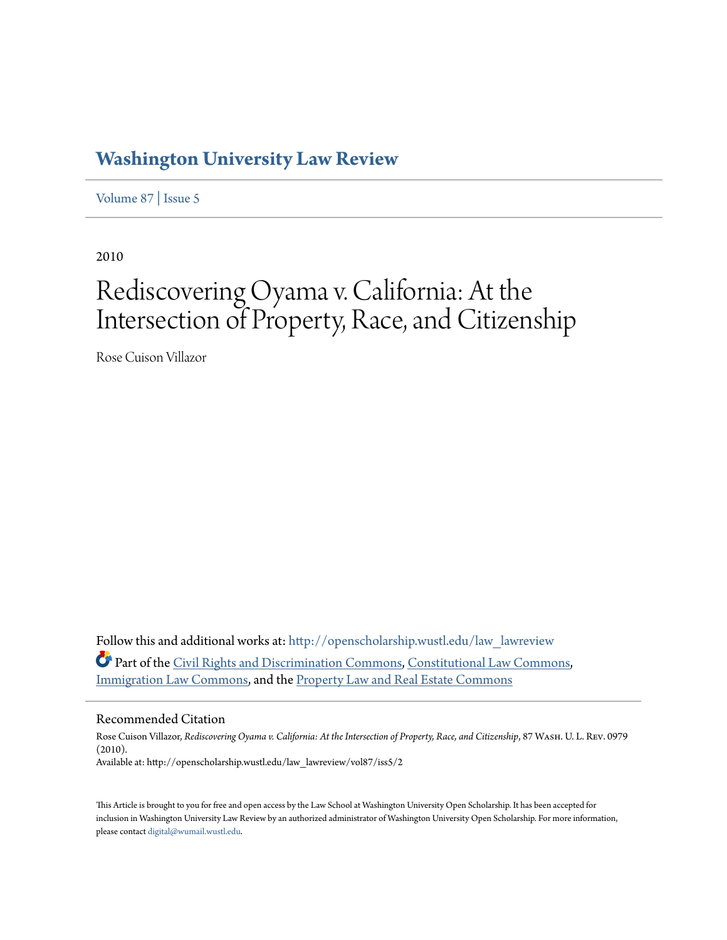# **[Washington University Law Review](http://openscholarship.wustl.edu/law_lawreview?utm_source=openscholarship.wustl.edu%2Flaw_lawreview%2Fvol87%2Fiss5%2F2&utm_medium=PDF&utm_campaign=PDFCoverPages)**

[Volume 87](http://openscholarship.wustl.edu/law_lawreview/vol87?utm_source=openscholarship.wustl.edu%2Flaw_lawreview%2Fvol87%2Fiss5%2F2&utm_medium=PDF&utm_campaign=PDFCoverPages) | [Issue 5](http://openscholarship.wustl.edu/law_lawreview/vol87/iss5?utm_source=openscholarship.wustl.edu%2Flaw_lawreview%2Fvol87%2Fiss5%2F2&utm_medium=PDF&utm_campaign=PDFCoverPages)

2010

# Rediscovering Oyama v. California: At the Intersection of Property, Race, and Citizenship

Rose Cuison Villazor

Follow this and additional works at: [http://openscholarship.wustl.edu/law\\_lawreview](http://openscholarship.wustl.edu/law_lawreview?utm_source=openscholarship.wustl.edu%2Flaw_lawreview%2Fvol87%2Fiss5%2F2&utm_medium=PDF&utm_campaign=PDFCoverPages) Part of the [Civil Rights and Discrimination Commons,](http://network.bepress.com/hgg/discipline/585?utm_source=openscholarship.wustl.edu%2Flaw_lawreview%2Fvol87%2Fiss5%2F2&utm_medium=PDF&utm_campaign=PDFCoverPages) [Constitutional Law Commons](http://network.bepress.com/hgg/discipline/589?utm_source=openscholarship.wustl.edu%2Flaw_lawreview%2Fvol87%2Fiss5%2F2&utm_medium=PDF&utm_campaign=PDFCoverPages), [Immigration Law Commons,](http://network.bepress.com/hgg/discipline/604?utm_source=openscholarship.wustl.edu%2Flaw_lawreview%2Fvol87%2Fiss5%2F2&utm_medium=PDF&utm_campaign=PDFCoverPages) and the [Property Law and Real Estate Commons](http://network.bepress.com/hgg/discipline/897?utm_source=openscholarship.wustl.edu%2Flaw_lawreview%2Fvol87%2Fiss5%2F2&utm_medium=PDF&utm_campaign=PDFCoverPages)

# Recommended Citation

Rose Cuison Villazor, *Rediscovering Oyama v. California: At the Intersection of Property, Race, and Citizenship*, 87 Wash. U. L. Rev. 0979 (2010). Available at: http://openscholarship.wustl.edu/law\_lawreview/vol87/iss5/2

This Article is brought to you for free and open access by the Law School at Washington University Open Scholarship. It has been accepted for inclusion in Washington University Law Review by an authorized administrator of Washington University Open Scholarship. For more information, please contact [digital@wumail.wustl.edu.](mailto:digital@wumail.wustl.edu)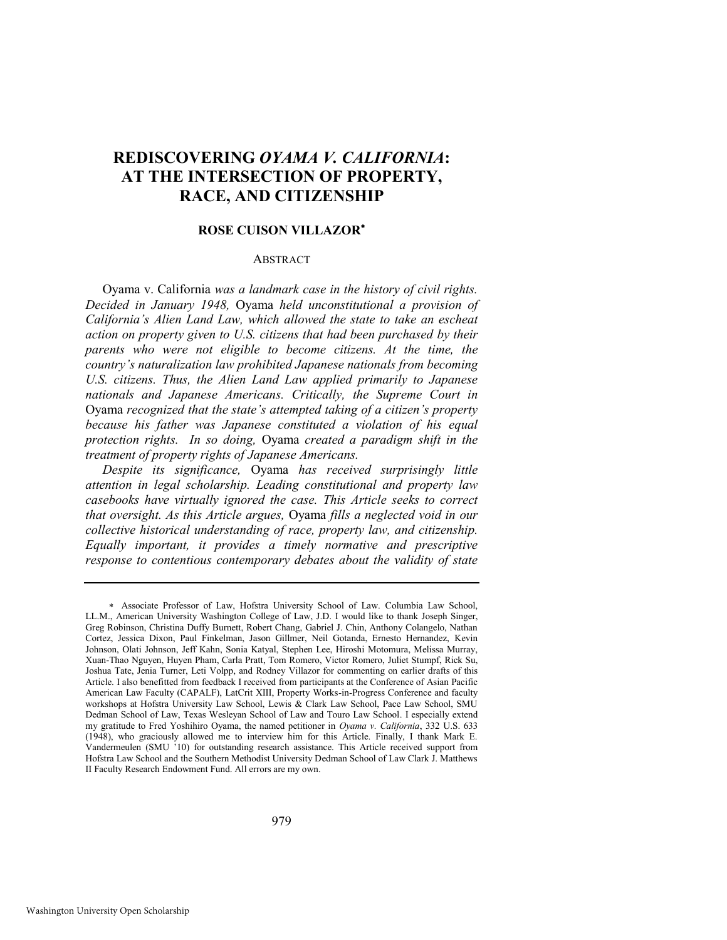# **REDISCOVERING** *OYAMA V. CALIFORNIA***: AT THE INTERSECTION OF PROPERTY, RACE, AND CITIZENSHIP**

#### **ROSE CUISON VILLAZOR**

#### **ABSTRACT**

Oyama v. California *was a landmark case in the history of civil rights. Decided in January 1948,* Oyama *held unconstitutional a provision of California's Alien Land Law, which allowed the state to take an escheat action on property given to U.S. citizens that had been purchased by their*  parents who were not eligible to become citizens. At the time, the *country's naturalization law prohibited Japanese nationals from becoming U.S. citizens. Thus, the Alien Land Law applied primarily to Japanese nationals and Japanese Americans. Critically, the Supreme Court in*  Oyama *recognized that the state's attempted taking of a citizen's property because his father was Japanese constituted a violation of his equal protection rights. In so doing,* Oyama *created a paradigm shift in the treatment of property rights of Japanese Americans.* 

*Despite its significance,* Oyama *has received surprisingly little attention in legal scholarship. Leading constitutional and property law casebooks have virtually ignored the case. This Article seeks to correct that oversight. As this Article argues,* Oyama *fills a neglected void in our collective historical understanding of race, property law, and citizenship. Equally important, it provides a timely normative and prescriptive response to contentious contemporary debates about the validity of state* 

Associate Professor of Law, Hofstra University School of Law. Columbia Law School, LL.M., American University Washington College of Law, J.D. I would like to thank Joseph Singer, Greg Robinson, Christina Duffy Burnett, Robert Chang, Gabriel J. Chin, Anthony Colangelo, Nathan Cortez, Jessica Dixon, Paul Finkelman, Jason Gillmer, Neil Gotanda, Ernesto Hernandez, Kevin Johnson, Olati Johnson, Jeff Kahn, Sonia Katyal, Stephen Lee, Hiroshi Motomura, Melissa Murray, Xuan-Thao Nguyen, Huyen Pham, Carla Pratt, Tom Romero, Victor Romero, Juliet Stumpf, Rick Su, Joshua Tate, Jenia Turner, Leti Volpp, and Rodney Villazor for commenting on earlier drafts of this Article. I also benefitted from feedback I received from participants at the Conference of Asian Pacific American Law Faculty (CAPALF), LatCrit XIII, Property Works-in-Progress Conference and faculty workshops at Hofstra University Law School, Lewis & Clark Law School, Pace Law School, SMU Dedman School of Law, Texas Wesleyan School of Law and Touro Law School. I especially extend my gratitude to Fred Yoshihiro Oyama, the named petitioner in *Oyama v. California*, 332 U.S. 633 (1948), who graciously allowed me to interview him for this Article. Finally, I thank Mark E. Vandermeulen (SMU '10) for outstanding research assistance. This Article received support from Hofstra Law School and the Southern Methodist University Dedman School of Law Clark J. Matthews II Faculty Research Endowment Fund. All errors are my own.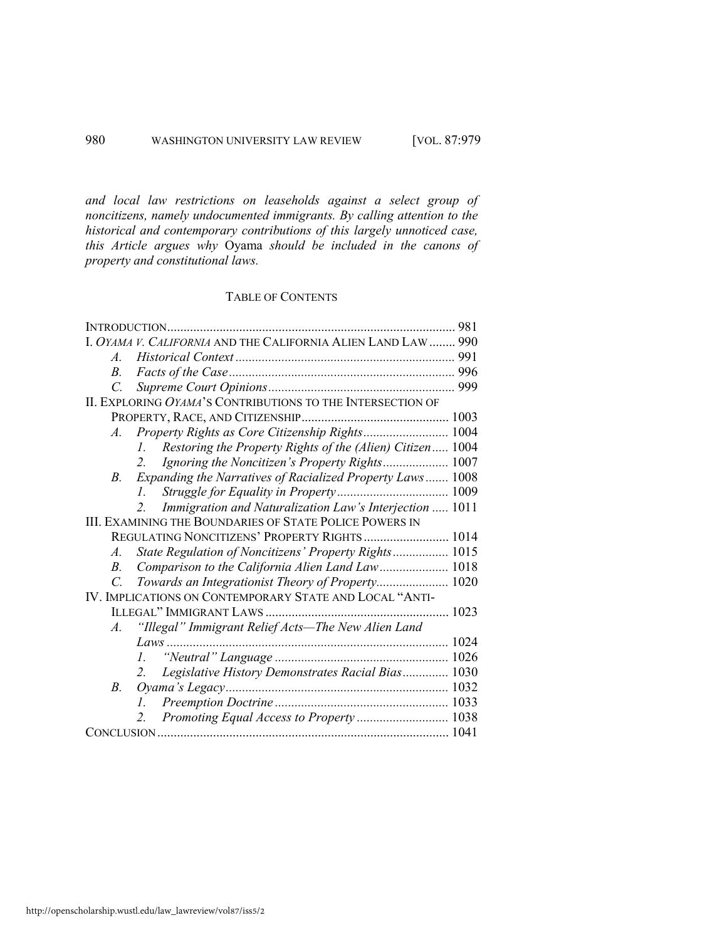*and local law restrictions on leaseholds against a select group of noncitizens, namely undocumented immigrants. By calling attention to the historical and contemporary contributions of this largely unnoticed case, this Article argues why* Oyama *should be included in the canons of property and constitutional laws.* 

# TABLE OF CONTENTS

| 981                                                                       |  |
|---------------------------------------------------------------------------|--|
| I. OYAMA V. CALIFORNIA AND THE CALIFORNIA ALIEN LAND LAW  990             |  |
| $A_{-}$                                                                   |  |
| В.                                                                        |  |
| C.                                                                        |  |
| II. EXPLORING OYAMA'S CONTRIBUTIONS TO THE INTERSECTION OF                |  |
|                                                                           |  |
| Property Rights as Core Citizenship Rights 1004<br>$A_{\cdot}$            |  |
| Restoring the Property Rights of the (Alien) Citizen 1004<br>$l_{\perp}$  |  |
| Ignoring the Noncitizen's Property Rights 1007<br>2.                      |  |
| Expanding the Narratives of Racialized Property Laws 1008<br>B.           |  |
| L.                                                                        |  |
| Immigration and Naturalization Law's Interjection  1011<br>2 <sup>1</sup> |  |
| <b>III. EXAMINING THE BOUNDARIES OF STATE POLICE POWERS IN</b>            |  |
| REGULATING NONCITIZENS' PROPERTY RIGHTS 1014                              |  |
| State Regulation of Noncitizens' Property Rights 1015<br>A.               |  |
| Comparison to the California Alien Land Law 1018<br>B.                    |  |
| Towards an Integrationist Theory of Property 1020<br>$\mathcal{C}$        |  |
| IV. IMPLICATIONS ON CONTEMPORARY STATE AND LOCAL "ANTI-                   |  |
|                                                                           |  |
| "Illegal" Immigrant Relief Acts—The New Alien Land<br>$A_{\cdot}$         |  |
|                                                                           |  |
| L                                                                         |  |
| Legislative History Demonstrates Racial Bias 1030<br>2.                   |  |
| B.                                                                        |  |
| $l_{\cdot}$                                                               |  |
| Promoting Equal Access to Property  1038<br>2.                            |  |
|                                                                           |  |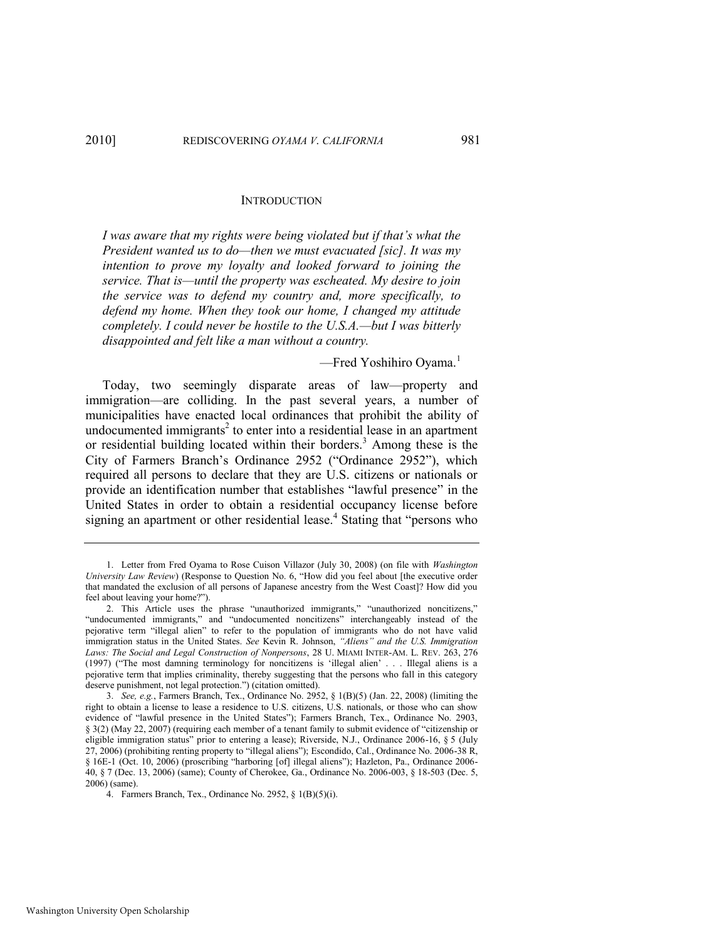#### **INTRODUCTION**

*I was aware that my rights were being violated but if that's what the President wanted us to do—then we must evacuated [sic]. It was my intention to prove my loyalty and looked forward to joining the service. That is—until the property was escheated. My desire to join the service was to defend my country and, more specifically, to defend my home. When they took our home, I changed my attitude completely. I could never be hostile to the U.S.A.—but I was bitterly disappointed and felt like a man without a country.* 

<span id="page-3-0"></span>—Fred Yoshihiro Oyama.<sup>1</sup>

Today, two seemingly disparate areas of law—property and immigration—are colliding. In the past several years, a number of municipalities have enacted local ordinances that prohibit the ability of undocumented immigrants<sup>2</sup> to enter into a residential lease in an apartment or residential building located within their borders.<sup>3</sup> Among these is the City of Farmers Branch's Ordinance 2952 ("Ordinance 2952"), which required all persons to declare that they are U.S. citizens or nationals or provide an identification number that establishes "lawful presence" in the United States in order to obtain a residential occupancy license before signing an apartment or other residential lease.<sup>4</sup> Stating that "persons who

<sup>1.</sup> Letter from Fred Oyama to Rose Cuison Villazor (July 30, 2008) (on file with *Washington University Law Review*) (Response to Question No. 6, "How did you feel about [the executive order that mandated the exclusion of all persons of Japanese ancestry from the West Coast]? How did you feel about leaving your home?").

<sup>2.</sup> This Article uses the phrase "unauthorized immigrants," "unauthorized noncitizens," "undocumented immigrants," and "undocumented noncitizens" interchangeably instead of the pejorative term "illegal alien" to refer to the population of immigrants who do not have valid immigration status in the United States. See Kevin R. Johnson, "Aliens" and the U.S. Immigration *Laws: The Social and Legal Construction of Nonpersons*, 28 U. MIAMI INTER-AM. L. REV. 263, 276 (1997) ("The most damning terminology for noncitizens is 'illegal alien' . . . Illegal aliens is a pejorative term that implies criminality, thereby suggesting that the persons who fall in this category deserve punishment, not legal protection.") (citation omitted).

<sup>3.</sup> *See, e.g.*, Farmers Branch, Tex., Ordinance No. 2952, § 1(B)(5) (Jan. 22, 2008) (limiting the right to obtain a license to lease a residence to U.S. citizens, U.S. nationals, or those who can show evidence of "lawful presence in the United States"); Farmers Branch, Tex., Ordinance No. 2903, § 3(2) (May 22, 2007) (requiring each member of a tenant family to submit evidence of "citizenship or eligible immigration status" prior to entering a lease); Riverside, N.J., Ordinance 2006-16, § 5 (July 27, 2006) (prohibiting renting property to "illegal aliens"); Escondido, Cal., Ordinance No. 2006-38 R, § 16E-1 (Oct. 10, 2006) (proscribing "harboring [of] illegal aliens"); Hazleton, Pa., Ordinance 2006-40, § 7 (Dec. 13, 2006) (same); County of Cherokee, Ga., Ordinance No. 2006-003, § 18-503 (Dec. 5, 2006) (same).

<sup>4.</sup> Farmers Branch, Tex., Ordinance No. 2952, § 1(B)(5)(i).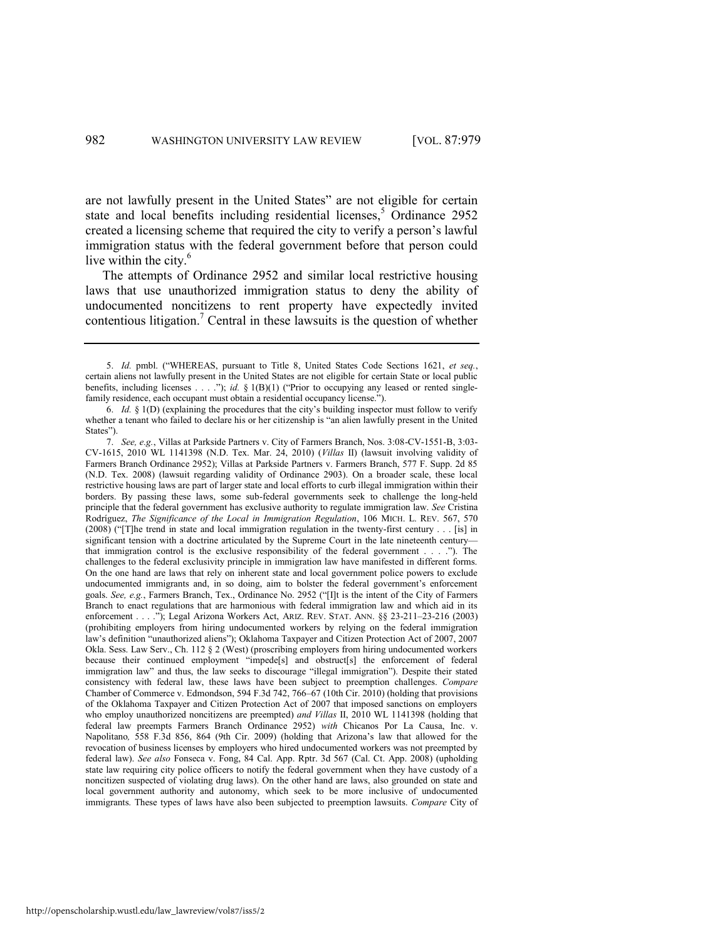are not lawfully present in the United States" are not eligible for certain state and local benefits including residential licenses,<sup>5</sup> Ordinance 2952 created a licensing scheme that required the city to verify a person's lawful immigration status with the federal government before that person could live within the city.<sup>6</sup>

<span id="page-4-0"></span>The attempts of Ordinance 2952 and similar local restrictive housing laws that use unauthorized immigration status to deny the ability of undocumented noncitizens to rent property have expectedly invited  $\alpha$  contentious litigation.<sup>7</sup> Central in these lawsuits is the question of whether

<sup>5.</sup> *Id.* pmbl. ("WHEREAS, pursuant to Title 8, United States Code Sections 1621, et seq., certain aliens not lawfully present in the United States are not eligible for certain State or local public benefits, including licenses . . . ."); *id.*  $\S 1(B)(1)$  ("Prior to occupying any leased or rented singlefamily residence, each occupant must obtain a residential occupancy license.").

<sup>6.</sup> *Id.* § 1(D) (explaining the procedures that the city's building inspector must follow to verify whether a tenant who failed to declare his or her citizenship is "an alien lawfully present in the United States").

<sup>7.</sup> *See, e.g.*, Villas at Parkside Partners v. City of Farmers Branch, Nos. 3:08-CV-1551-B, 3:03- CV-1615, 2010 WL 1141398 (N.D. Tex. Mar. 24, 2010) (*Villas* II) (lawsuit involving validity of Farmers Branch Ordinance 2952); Villas at Parkside Partners v. Farmers Branch, 577 F. Supp. 2d 85 (N.D. Tex. 2008) (lawsuit regarding validity of Ordinance 2903). On a broader scale, these local restrictive housing laws are part of larger state and local efforts to curb illegal immigration within their borders. By passing these laws, some sub-federal governments seek to challenge the long-held principle that the federal government has exclusive authority to regulate immigration law. *See* Cristina Rodríguez, *The Significance of the Local in Immigration Regulation*, 106 MICH. L. REV. 567, 570  $(2008)$  ("[T]he trend in state and local immigration regulation in the twenty-first century . . . [is] in significant tension with a doctrine articulated by the Supreme Court in the late nineteenth century that immigration control is the exclusive responsibility of the federal government  $\dots$ .  $\ddots$ ). The challenges to the federal exclusivity principle in immigration law have manifested in different forms. On the one hand are laws that rely on inherent state and local government police powers to exclude undocumented immigrants and, in so doing, aim to bolster the federal government's enforcement goals. See, e.g., Farmers Branch, Tex., Ordinance No. 2952 ("[I]t is the intent of the City of Farmers Branch to enact regulations that are harmonious with federal immigration law and which aid in its enforcement . . . ."); Legal Arizona Workers Act, ARIZ. REV. STAT. ANN. §§ 23-211-23-216 (2003) (prohibiting employers from hiring undocumented workers by relying on the federal immigration law's definition "unauthorized aliens"); Oklahoma Taxpayer and Citizen Protection Act of 2007, 2007 Okla. Sess. Law Serv., Ch. 112 § 2 (West) (proscribing employers from hiring undocumented workers because their continued employment "impede[s] and obstruct[s] the enforcement of federal immigration law" and thus, the law seeks to discourage "illegal immigration"). Despite their stated consistency with federal law, these laws have been subject to preemption challenges. *Compare*  Chamber of Commerce v. Edmondson, 594 F.3d 742, 766–67 (10th Cir. 2010) (holding that provisions of the Oklahoma Taxpayer and Citizen Protection Act of 2007 that imposed sanctions on employers who employ unauthorized noncitizens are preempted) *and Villas* II, 2010 WL 1141398 (holding that federal law preempts Farmers Branch Ordinance 2952) *with* Chicanos Por La Causa, Inc. v. Napolitano*,* 558 F.3d 856, 864 (9th Cir. 2009) (holding that Arizona's law that allowed for the revocation of business licenses by employers who hired undocumented workers was not preempted by federal law). *See also* Fonseca v. Fong, 84 Cal. App. Rptr. 3d 567 (Cal. Ct. App. 2008) (upholding state law requiring city police officers to notify the federal government when they have custody of a noncitizen suspected of violating drug laws). On the other hand are laws, also grounded on state and local government authority and autonomy, which seek to be more inclusive of undocumented immigrants. These types of laws have also been subjected to preemption lawsuits. *Compare* City of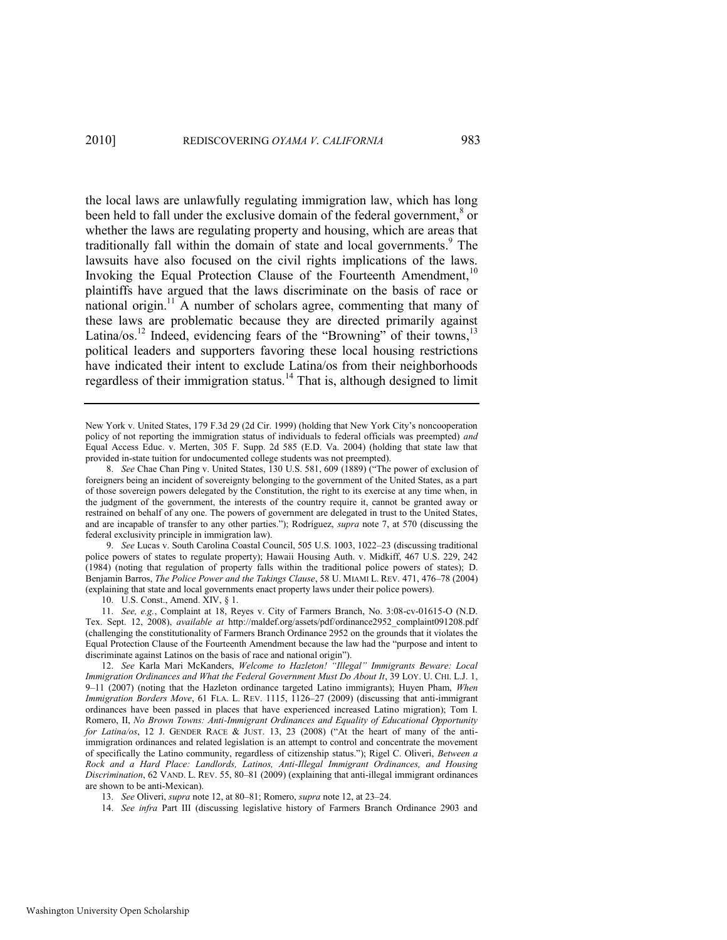the local laws are unlawfully regulating immigration law, which has long been held to fall under the exclusive domain of the federal government,<sup>8</sup> or whether the laws are regulating property and housing, which are areas that traditionally fall within the domain of state and local governments.<sup>9</sup> The lawsuits have also focused on the civil rights implications of the laws. Invoking the Equal Protection Clause of the Fourteenth Amendment,<sup>10</sup> plaintiffs have argued that the laws discriminate on the basis of race or national origin.<sup>11</sup> A number of scholars agree, commenting that many of these laws are problematic because they are directed primarily against Latina/os.<sup>12</sup> Indeed, evidencing fears of the "Browning" of their towns,<sup>13</sup> political leaders and supporters favoring these local housing restrictions have indicated their intent to exclude Latina/os from their neighborhoods regardless of their immigration status.<sup>14</sup> That is, although designed to limit

<span id="page-5-0"></span>New York v. United States, 179 F.3d 29 (2d Cir. 1999) (holding that New York City's noncooperation policy of not reporting the immigration status of individuals to federal officials was preempted) *and* Equal Access Educ. v. Merten, 305 F. Supp. 2d 585 (E.D. Va. 2004) (holding that state law that provided in-state tuition for undocumented college students was not preempted).

8. See Chae Chan Ping v. United States, 130 U.S. 581, 609 (1889) ("The power of exclusion of foreigners being an incident of sovereignty belonging to the government of the United States, as a part of those sovereign powers delegated by the Constitution, the right to its exercise at any time when, in the judgment of the government, the interests of the country require it, cannot be granted away or restrained on behalf of any one. The powers of government are delegated in trust to the United States, and are incapable of transfer to any other parties."); Rodríguez, *supra* note [7,](#page-4-0) at 570 (discussing the federal exclusivity principle in immigration law).

9. *See* Lucas v. South Carolina Coastal Council, 505 U.S. 1003, 1022–23 (discussing traditional police powers of states to regulate property); Hawaii Housing Auth. v. Midkiff, 467 U.S. 229, 242 (1984) (noting that regulation of property falls within the traditional police powers of states); D. Benjamin Barros, *The Police Power and the Takings Clause*, 58 U. MIAMI L. REV. 471, 476–78 (2004) (explaining that state and local governments enact property laws under their police powers).

10. U.S. Const., Amend. XIV, § 1.

11. *See, e.g.*, Complaint at 18, Reyes v. City of Farmers Branch, No. 3:08-cv-01615-O (N.D. Tex. Sept. 12, 2008), *available at* http://maldef.org/assets/pdf/ordinance2952\_complaint091208.pdf (challenging the constitutionality of Farmers Branch Ordinance 2952 on the grounds that it violates the Equal Protection Clause of the Fourteenth Amendment because the law had the "purpose and intent to discriminate against Latinos on the basis of race and national origin").

14. *See infra* Part III (discussing legislative history of Farmers Branch Ordinance 2903 and

<sup>12.</sup> See Karla Mari McKanders, Welcome to Hazleton! <sup>"</sup>"Illegal" Immigrants Beware: Local *Immigration Ordinances and What the Federal Government Must Do About It*, 39 LOY. U. CHI. L.J. 1, 9–11 (2007) (noting that the Hazleton ordinance targeted Latino immigrants); Huyen Pham, *When Immigration Borders Move*, 61 FLA. L. REV. 1115, 1126–27 (2009) (discussing that anti-immigrant ordinances have been passed in places that have experienced increased Latino migration); Tom I. Romero, II, *No Brown Towns: Anti-Immigrant Ordinances and Equality of Educational Opportunity for Latina/os*, 12 J. GENDER RACE & JUST. 13, 23 (2008) ("At the heart of many of the antiimmigration ordinances and related legislation is an attempt to control and concentrate the movement of specifically the Latino community, regardless of citizenship status.‖); Rigel C. Oliveri, *Between a Rock and a Hard Place: Landlords, Latinos, Anti-Illegal Immigrant Ordinances, and Housing Discrimination*, 62 VAND. L. REV. 55, 80–81 (2009) (explaining that anti-illegal immigrant ordinances are shown to be anti-Mexican).

<sup>13.</sup> *See* Oliveri, *supra* not[e 12,](#page-5-0) at 80–81; Romero, *supra* note [12,](#page-5-0) at 23–24.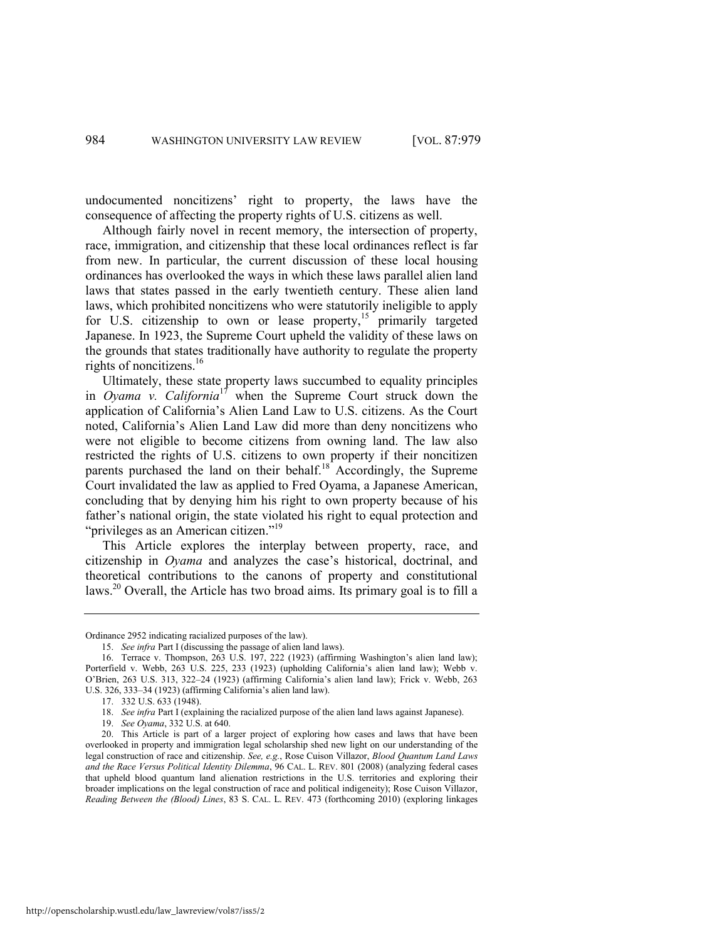undocumented noncitizens' right to property, the laws have the consequence of affecting the property rights of U.S. citizens as well.

Although fairly novel in recent memory, the intersection of property, race, immigration, and citizenship that these local ordinances reflect is far from new. In particular, the current discussion of these local housing ordinances has overlooked the ways in which these laws parallel alien land laws that states passed in the early twentieth century. These alien land laws, which prohibited noncitizens who were statutorily ineligible to apply for U.S. citizenship to own or lease property,<sup>15</sup> primarily targeted Japanese. In 1923, the Supreme Court upheld the validity of these laws on the grounds that states traditionally have authority to regulate the property rights of noncitizens.<sup>16</sup>

Ultimately, these state property laws succumbed to equality principles in *Oyama v. California*<sup>17</sup> when the Supreme Court struck down the application of California's Alien Land Law to U.S. citizens. As the Court noted, California's Alien Land Law did more than deny noncitizens who were not eligible to become citizens from owning land. The law also restricted the rights of U.S. citizens to own property if their noncitizen parents purchased the land on their behalf.<sup>18</sup> Accordingly, the Supreme Court invalidated the law as applied to Fred Oyama, a Japanese American, concluding that by denying him his right to own property because of his father's national origin, the state violated his right to equal protection and "privileges as an American citizen."<sup>19</sup>

This Article explores the interplay between property, race, and citizenship in *Oyama* and analyzes the case's historical, doctrinal, and theoretical contributions to the canons of property and constitutional laws.<sup>20</sup> Overall, the Article has two broad aims. Its primary goal is to fill a

Ordinance 2952 indicating racialized purposes of the law).

<sup>15.</sup> *See infra* Part I (discussing the passage of alien land laws).

<sup>16.</sup> Terrace v. Thompson, 263 U.S. 197, 222 (1923) (affirming Washington's alien land law); Porterfield v. Webb, 263 U.S. 225, 233 (1923) (upholding California's alien land law); Webb v. O'Brien, 263 U.S. 313, 322–24 (1923) (affirming California's alien land law); Frick v. Webb, 263 U.S. 326, 333–34 (1923) (affirming California's alien land law).

<sup>17. 332</sup> U.S. 633 (1948).

<sup>18.</sup> *See infra* Part I (explaining the racialized purpose of the alien land laws against Japanese).

<sup>19.</sup> *See Oyama*, 332 U.S. at 640.

<sup>20.</sup> This Article is part of a larger project of exploring how cases and laws that have been overlooked in property and immigration legal scholarship shed new light on our understanding of the legal construction of race and citizenship. *See, e.g.*, Rose Cuison Villazor, *Blood Quantum Land Laws and the Race Versus Political Identity Dilemma*, 96 CAL. L. REV. 801 (2008) (analyzing federal cases that upheld blood quantum land alienation restrictions in the U.S. territories and exploring their broader implications on the legal construction of race and political indigeneity); Rose Cuison Villazor, *Reading Between the (Blood) Lines*, 83 S. CAL. L. REV. 473 (forthcoming 2010) (exploring linkages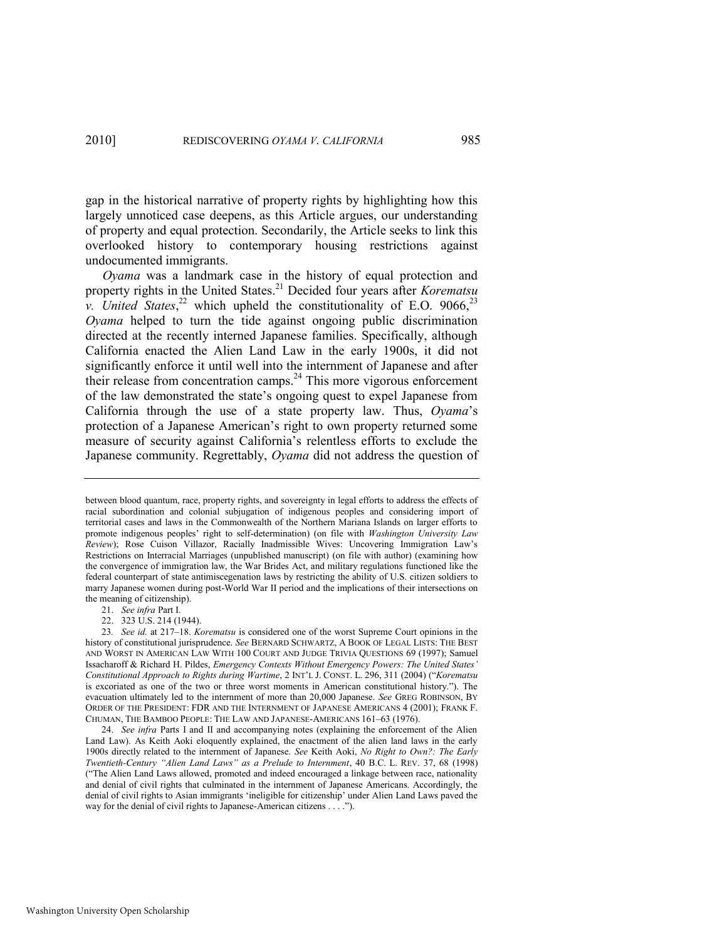gap in the historical narrative of property rights by highlighting how this largely unnoticed case deepens, as this Article argues, our understanding of property and equal protection. Secondarily, the Article seeks to link this overlooked history to contemporary housing restrictions against undocumented immigrants.

<span id="page-7-1"></span><span id="page-7-0"></span>*Oyama* was a landmark case in the history of equal protection and property rights in the United States.<sup>21</sup> Decided four years after *Korematsu v.* United States,<sup>22</sup> which upheld the constitutionality of E.O. 9066,<sup>23</sup> *Oyama* helped to turn the tide against ongoing public discrimination directed at the recently interned Japanese families. Specifically, although California enacted the Alien Land Law in the early 1900s, it did not significantly enforce it until well into the internment of Japanese and after their release from concentration camps.<sup>24</sup> This more vigorous enforcement of the law demonstrated the state's ongoing quest to expel Japanese from California through the use of a state property law. Thus, *Oyama*'s protection of a Japanese American's right to own property returned some measure of security against California's relentless efforts to exclude the Japanese community. Regrettably, *Oyama* did not address the question of

21. *See infra* Part I.

22. 323 U.S. 214 (1944).

23*. See id.* at 217–18. *Korematsu* is considered one of the worst Supreme Court opinions in the history of constitutional jurisprudence. *See* BERNARD SCHWARTZ, A BOOK OF LEGAL LISTS: THE BEST AND WORST IN AMERICAN LAW WITH 100 COURT AND JUDGE TRIVIA QUESTIONS 69 (1997); Samuel Issacharoff & Richard H. Pildes, *Emergency Contexts Without Emergency Powers: The United States' Constitutional Approach to Rights during Wartime*, 2 INT'L J. CONST. L. 296, 311 (2004) (―*Korematsu*  is excoriated as one of the two or three worst moments in American constitutional history."). The evacuation ultimately led to the internment of more than 20,000 Japanese. *See* GREG ROBINSON, BY ORDER OF THE PRESIDENT: FDR AND THE INTERNMENT OF JAPANESE AMERICANS 4 (2001); FRANK F. CHUMAN, THE BAMBOO PEOPLE: THE LAW AND JAPANESE-AMERICANS 161–63 (1976).

24. *See infra* Parts I and II and accompanying notes (explaining the enforcement of the Alien Land Law). As Keith Aoki eloquently explained, the enactment of the alien land laws in the early 1900s directly related to the internment of Japanese. *See* Keith Aoki, *No Right to Own?: The Early Twentieth-Century ―Alien Land Laws‖ as a Prelude to Internment*, 40 B.C. L. REV. 37, 68 (1998) (―The Alien Land Laws allowed, promoted and indeed encouraged a linkage between race, nationality and denial of civil rights that culminated in the internment of Japanese Americans. Accordingly, the denial of civil rights to Asian immigrants 'ineligible for citizenship' under Alien Land Laws paved the way for the denial of civil rights to Japanese-American citizens  $\dots$ ....

between blood quantum, race, property rights, and sovereignty in legal efforts to address the effects of racial subordination and colonial subjugation of indigenous peoples and considering import of territorial cases and laws in the Commonwealth of the Northern Mariana Islands on larger efforts to promote indigenous peoples' right to self-determination) (on file with *Washington University Law Review*); Rose Cuison Villazor, Racially Inadmissible Wives: Uncovering Immigration Law's Restrictions on Interracial Marriages (unpublished manuscript) (on file with author) (examining how the convergence of immigration law, the War Brides Act, and military regulations functioned like the federal counterpart of state antimiscegenation laws by restricting the ability of U.S. citizen soldiers to marry Japanese women during post-World War II period and the implications of their intersections on the meaning of citizenship).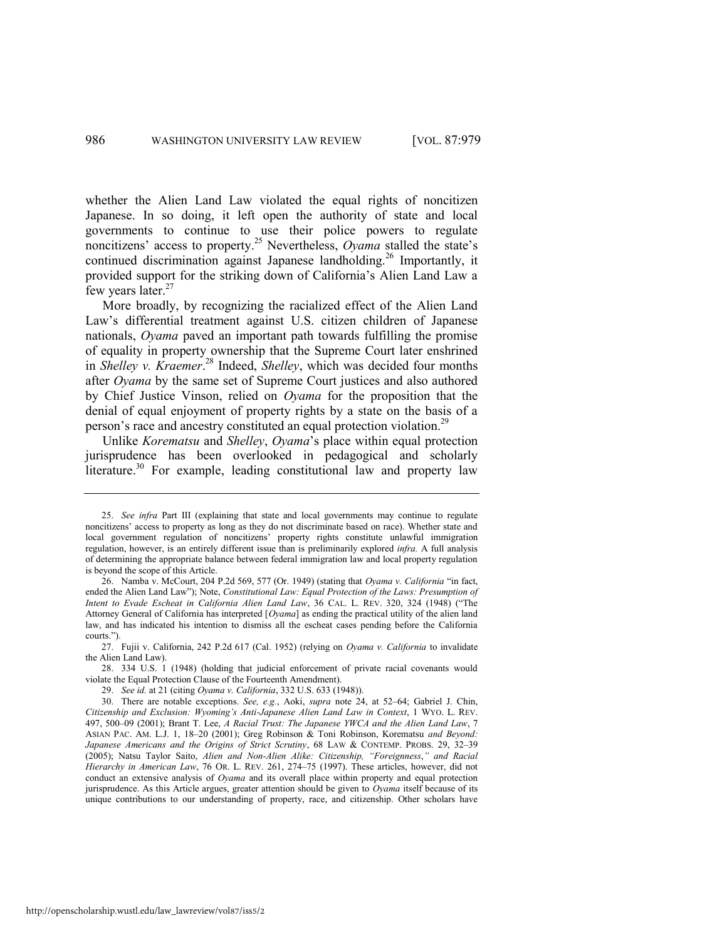whether the Alien Land Law violated the equal rights of noncitizen Japanese. In so doing, it left open the authority of state and local governments to continue to use their police powers to regulate noncitizens' access to property. <sup>25</sup> Nevertheless, *Oyama* stalled the state's continued discrimination against Japanese landholding.<sup>26</sup> Importantly, it provided support for the striking down of California's Alien Land Law a few years later.<sup>27</sup>

<span id="page-8-1"></span>More broadly, by recognizing the racialized effect of the Alien Land Law's differential treatment against U.S. citizen children of Japanese nationals, *Oyama* paved an important path towards fulfilling the promise of equality in property ownership that the Supreme Court later enshrined in *Shelley v. Kraemer*. <sup>28</sup> Indeed, *Shelley*, which was decided four months after *Oyama* by the same set of Supreme Court justices and also authored by Chief Justice Vinson, relied on *Oyama* for the proposition that the denial of equal enjoyment of property rights by a state on the basis of a person's race and ancestry constituted an equal protection violation.<sup>29</sup>

<span id="page-8-0"></span>Unlike *Korematsu* and *Shelley*, *Oyama*'s place within equal protection jurisprudence has been overlooked in pedagogical and scholarly literature.<sup>30</sup> For example, leading constitutional law and property law

<sup>25.</sup> *See infra* Part III (explaining that state and local governments may continue to regulate noncitizens' access to property as long as they do not discriminate based on race). Whether state and local government regulation of noncitizens' property rights constitute unlawful immigration regulation, however, is an entirely different issue than is preliminarily explored *infra.* A full analysis of determining the appropriate balance between federal immigration law and local property regulation is beyond the scope of this Article.

<sup>26.</sup> Namba v. McCourt, 204 P.2d 569, 577 (Or. 1949) (stating that *Oyama v. California* "in fact, ended the Alien Land Law"); Note, *Constitutional Law: Equal Protection of the Laws: Presumption of Intent to Evade Escheat in California Alien Land Law*, 36 CAL. L. REV. 320, 324 (1948) ("The Attorney General of California has interpreted [*Oyama*] as ending the practical utility of the alien land law, and has indicated his intention to dismiss all the escheat cases pending before the California courts.").

<sup>27.</sup> Fujii v. California, 242 P.2d 617 (Cal. 1952) (relying on *Oyama v. California* to invalidate the Alien Land Law).

<sup>28. 334</sup> U.S. 1 (1948) (holding that judicial enforcement of private racial covenants would violate the Equal Protection Clause of the Fourteenth Amendment).

<sup>29.</sup> *See id.* at 21 (citing *Oyama v. California*, 332 U.S. 633 (1948)).

<sup>30.</sup> There are notable exceptions. *See, e.g.*, Aoki, *supra* note [24,](#page-7-0) at 52–64; Gabriel J. Chin, *Citizenship and Exclusion: Wyoming's Anti-Japanese Alien Land Law in Context*, 1 WYO. L. REV. 497, 500–09 (2001); Brant T. Lee, *A Racial Trust: The Japanese YWCA and the Alien Land Law*, 7 ASIAN PAC. AM. L.J. 1, 18–20 (2001); Greg Robinson & Toni Robinson, Korematsu *and Beyond: Japanese Americans and the Origins of Strict Scrutiny*, 68 LAW & CONTEMP. PROBS. 29, 32–39 (2005); Natsu Taylor Saito, *Alien and Non-Alien Alike: Citizenship, "Foreignness," and Racial Hierarchy in American Law*, 76 OR. L. REV. 261, 274–75 (1997). These articles, however, did not conduct an extensive analysis of *Oyama* and its overall place within property and equal protection jurisprudence. As this Article argues, greater attention should be given to *Oyama* itself because of its unique contributions to our understanding of property, race, and citizenship. Other scholars have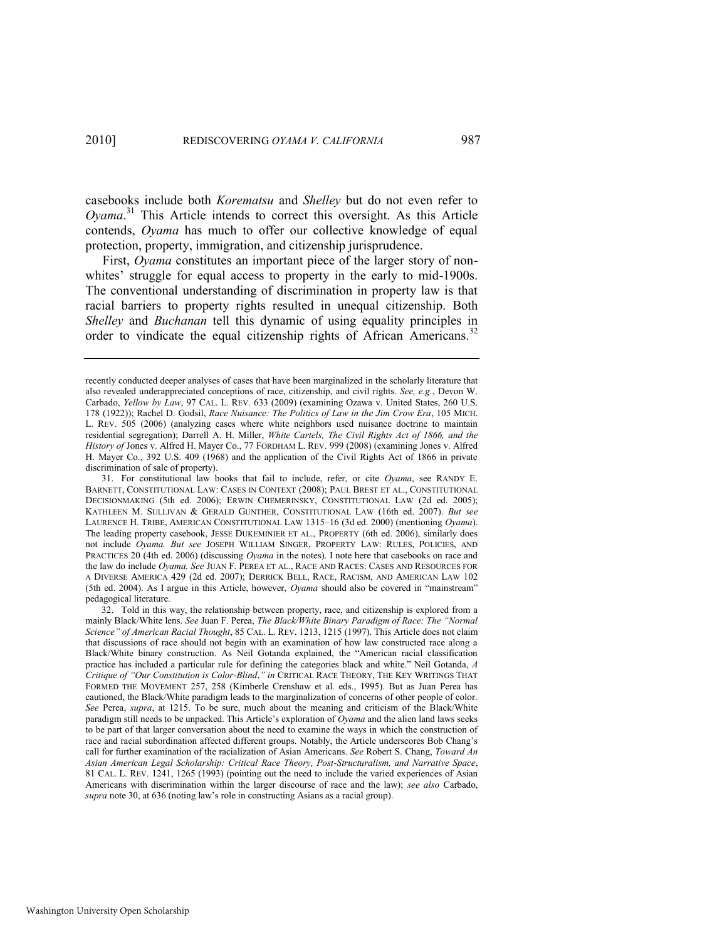<span id="page-9-1"></span>casebooks include both *Korematsu* and *Shelley* but do not even refer to *Oyama*. <sup>31</sup> This Article intends to correct this oversight. As this Article contends, *Oyama* has much to offer our collective knowledge of equal protection, property, immigration, and citizenship jurisprudence.

First, *Oyama* constitutes an important piece of the larger story of nonwhites' struggle for equal access to property in the early to mid-1900s. The conventional understanding of discrimination in property law is that racial barriers to property rights resulted in unequal citizenship. Both *Shelley* and *Buchanan* tell this dynamic of using equality principles in order to vindicate the equal citizenship rights of African Americans.<sup>32</sup>

<span id="page-9-0"></span>recently conducted deeper analyses of cases that have been marginalized in the scholarly literature that also revealed underappreciated conceptions of race, citizenship, and civil rights. *See, e.g.*, Devon W. Carbado, *Yellow by Law*, 97 CAL. L. REV. 633 (2009) (examining Ozawa v. United States, 260 U.S. 178 (1922)); Rachel D. Godsil, *Race Nuisance: The Politics of Law in the Jim Crow Era*, 105 MICH. L. REV. 505 (2006) (analyzing cases where white neighbors used nuisance doctrine to maintain residential segregation); Darrell A. H. Miller, *White Cartels, The Civil Rights Act of 1866, and the History of* Jones v. Alfred H. Mayer Co., 77 FORDHAM L. REV. 999 (2008) (examining Jones v. Alfred H. Mayer Co., 392 U.S. 409 (1968) and the application of the Civil Rights Act of 1866 in private discrimination of sale of property).

<sup>31.</sup> For constitutional law books that fail to include, refer, or cite *Oyama*, see RANDY E. BARNETT, CONSTITUTIONAL LAW: CASES IN CONTEXT (2008); PAUL BREST ET AL., CONSTITUTIONAL DECISIONMAKING (5th ed. 2006); ERWIN CHEMERINSKY, CONSTITUTIONAL LAW (2d ed. 2005); KATHLEEN M. SULLIVAN & GERALD GUNTHER, CONSTITUTIONAL LAW (16th ed. 2007). *But see*  LAURENCE H. TRIBE, AMERICAN CONSTITUTIONAL LAW 1315–16 (3d ed. 2000) (mentioning *Oyama*). The leading property casebook, JESSE DUKEMINIER ET AL., PROPERTY (6th ed. 2006), similarly does not include *Oyama. But see* JOSEPH WILLIAM SINGER, PROPERTY LAW: RULES, POLICIES, AND PRACTICES 20 (4th ed. 2006) (discussing *Oyama* in the notes). I note here that casebooks on race and the law do include *Oyama. See* JUAN F. PEREA ET AL., RACE AND RACES: CASES AND RESOURCES FOR A DIVERSE AMERICA 429 (2d ed. 2007); DERRICK BELL, RACE, RACISM, AND AMERICAN LAW 102 (5th ed. 2004). As I argue in this Article, however, *Oyama* should also be covered in "mainstream" pedagogical literature.

<sup>32.</sup> Told in this way, the relationship between property, race, and citizenship is explored from a mainly Black/White lens. See Juan F. Perea, *The Black/White Binary Paradigm of Race: The "Normal Science‖ of American Racial Thought*, 85 CAL. L. REV. 1213, 1215 (1997). This Article does not claim that discussions of race should not begin with an examination of how law constructed race along a Black/White binary construction. As Neil Gotanda explained, the "American racial classification practice has included a particular rule for defining the categories black and white." Neil Gotanda, *A Critique of ―Our Constitution is Color-Blind*,*‖ in* CRITICAL RACE THEORY, THE KEY WRITINGS THAT FORMED THE MOVEMENT 257, 258 (Kimberle Crenshaw et al. eds., 1995). But as Juan Perea has cautioned, the Black/White paradigm leads to the marginalization of concerns of other people of color. *See* Perea, *supra*, at 1215. To be sure, much about the meaning and criticism of the Black/White paradigm still needs to be unpacked. This Article's exploration of *Oyama* and the alien land laws seeks to be part of that larger conversation about the need to examine the ways in which the construction of race and racial subordination affected different groups. Notably, the Article underscores Bob Chang's call for further examination of the racialization of Asian Americans. *See* Robert S. Chang, *Toward An Asian American Legal Scholarship: Critical Race Theory, Post-Structuralism, and Narrative Space*, 81 CAL. L. REV. 1241, 1265 (1993) (pointing out the need to include the varied experiences of Asian Americans with discrimination within the larger discourse of race and the law); *see also* Carbado, *supra* not[e 30](#page-8-0), at 636 (noting law's role in constructing Asians as a racial group).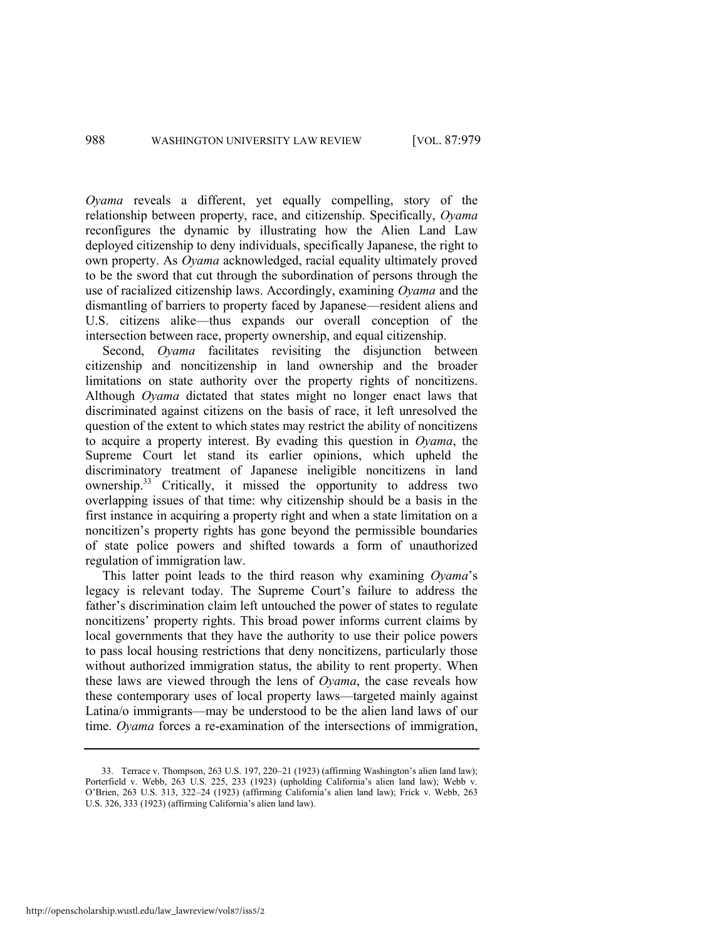*Oyama* reveals a different, yet equally compelling, story of the relationship between property, race, and citizenship. Specifically, *Oyama*  reconfigures the dynamic by illustrating how the Alien Land Law deployed citizenship to deny individuals, specifically Japanese, the right to own property. As *Oyama* acknowledged, racial equality ultimately proved to be the sword that cut through the subordination of persons through the use of racialized citizenship laws. Accordingly, examining *Oyama* and the dismantling of barriers to property faced by Japanese—resident aliens and U.S. citizens alike—thus expands our overall conception of the intersection between race, property ownership, and equal citizenship.

Second, *Oyama* facilitates revisiting the disjunction between citizenship and noncitizenship in land ownership and the broader limitations on state authority over the property rights of noncitizens. Although *Oyama* dictated that states might no longer enact laws that discriminated against citizens on the basis of race, it left unresolved the question of the extent to which states may restrict the ability of noncitizens to acquire a property interest. By evading this question in *Oyama*, the Supreme Court let stand its earlier opinions, which upheld the discriminatory treatment of Japanese ineligible noncitizens in land ownership.<sup>33</sup> Critically, it missed the opportunity to address two overlapping issues of that time: why citizenship should be a basis in the first instance in acquiring a property right and when a state limitation on a noncitizen's property rights has gone beyond the permissible boundaries of state police powers and shifted towards a form of unauthorized regulation of immigration law.

This latter point leads to the third reason why examining *Oyama*'s legacy is relevant today. The Supreme Court's failure to address the father's discrimination claim left untouched the power of states to regulate noncitizens' property rights. This broad power informs current claims by local governments that they have the authority to use their police powers to pass local housing restrictions that deny noncitizens, particularly those without authorized immigration status, the ability to rent property. When these laws are viewed through the lens of *Oyama*, the case reveals how these contemporary uses of local property laws—targeted mainly against Latina/o immigrants—may be understood to be the alien land laws of our time. *Oyama* forces a re-examination of the intersections of immigration,

<sup>33.</sup> Terrace v. Thompson, 263 U.S. 197, 220–21 (1923) (affirming Washington's alien land law); Porterfield v. Webb, 263 U.S. 225, 233 (1923) (upholding California's alien land law); Webb v. O'Brien, 263 U.S. 313, 322–24 (1923) (affirming California's alien land law); Frick v. Webb, 263 U.S. 326, 333 (1923) (affirming California's alien land law).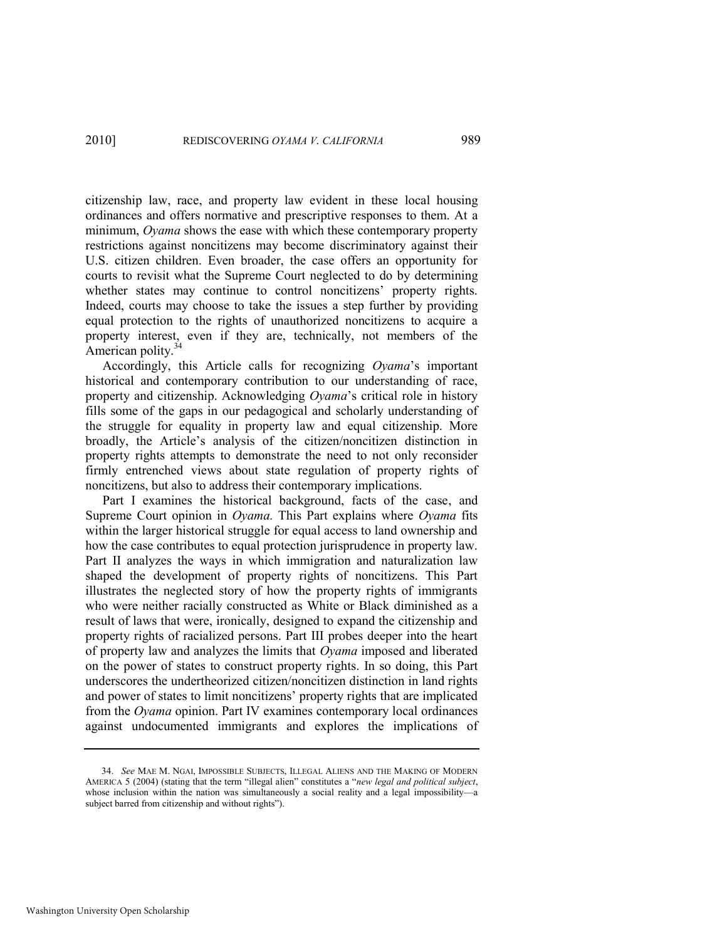citizenship law, race, and property law evident in these local housing ordinances and offers normative and prescriptive responses to them. At a minimum, *Oyama* shows the ease with which these contemporary property restrictions against noncitizens may become discriminatory against their U.S. citizen children. Even broader, the case offers an opportunity for courts to revisit what the Supreme Court neglected to do by determining whether states may continue to control noncitizens' property rights. Indeed, courts may choose to take the issues a step further by providing equal protection to the rights of unauthorized noncitizens to acquire a property interest, even if they are, technically, not members of the American polity.<sup>34</sup>

Accordingly, this Article calls for recognizing *Oyama*'s important historical and contemporary contribution to our understanding of race, property and citizenship. Acknowledging *Oyama*'s critical role in history fills some of the gaps in our pedagogical and scholarly understanding of the struggle for equality in property law and equal citizenship. More broadly, the Article's analysis of the citizen/noncitizen distinction in property rights attempts to demonstrate the need to not only reconsider firmly entrenched views about state regulation of property rights of noncitizens, but also to address their contemporary implications.

Part I examines the historical background, facts of the case, and Supreme Court opinion in *Oyama.* This Part explains where *Oyama* fits within the larger historical struggle for equal access to land ownership and how the case contributes to equal protection jurisprudence in property law. Part II analyzes the ways in which immigration and naturalization law shaped the development of property rights of noncitizens. This Part illustrates the neglected story of how the property rights of immigrants who were neither racially constructed as White or Black diminished as a result of laws that were, ironically, designed to expand the citizenship and property rights of racialized persons. Part III probes deeper into the heart of property law and analyzes the limits that *Oyama* imposed and liberated on the power of states to construct property rights. In so doing, this Part underscores the undertheorized citizen/noncitizen distinction in land rights and power of states to limit noncitizens' property rights that are implicated from the *Oyama* opinion. Part IV examines contemporary local ordinances against undocumented immigrants and explores the implications of

<sup>34.</sup> *See* MAE M. NGAI, IMPOSSIBLE SUBJECTS, ILLEGAL ALIENS AND THE MAKING OF MODERN AMERICA 5 (2004) (stating that the term "illegal alien" constitutes a "new legal and political subject, whose inclusion within the nation was simultaneously a social reality and a legal impossibility—a subject barred from citizenship and without rights").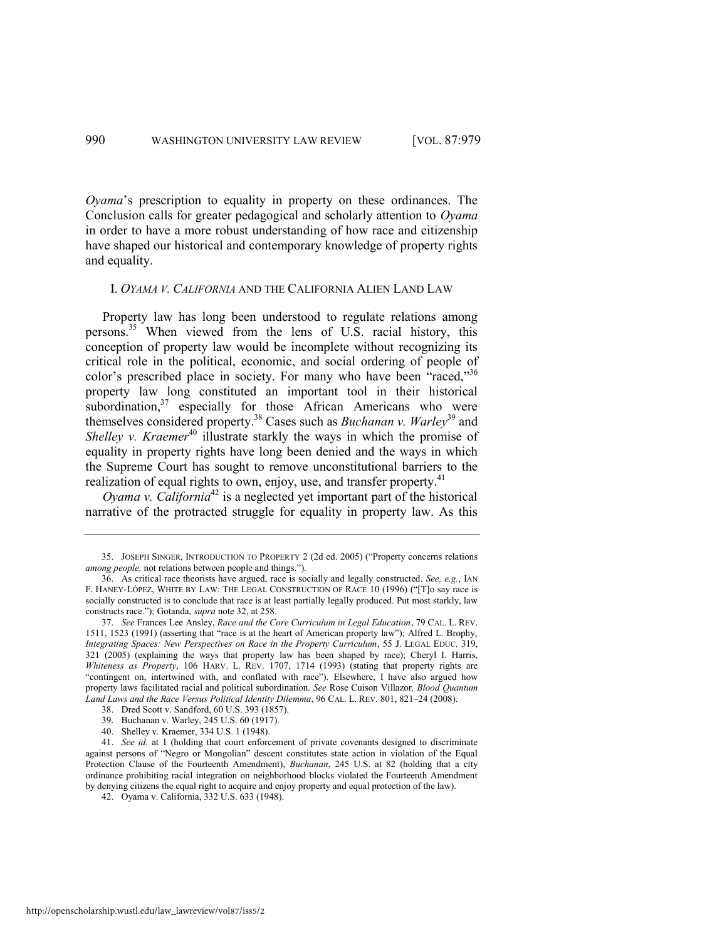*Oyama*'s prescription to equality in property on these ordinances. The Conclusion calls for greater pedagogical and scholarly attention to *Oyama*  in order to have a more robust understanding of how race and citizenship have shaped our historical and contemporary knowledge of property rights and equality.

#### <span id="page-12-1"></span>I. *OYAMA V. CALIFORNIA* AND THE CALIFORNIA ALIEN LAND LAW

Property law has long been understood to regulate relations among persons.<sup>35</sup> When viewed from the lens of U.S. racial history, this conception of property law would be incomplete without recognizing its critical role in the political, economic, and social ordering of people of color's prescribed place in society. For many who have been "raced,"<sup>36</sup> property law long constituted an important tool in their historical subordination, $37$  especially for those African Americans who were themselves considered property.<sup>38</sup> Cases such as *Buchanan v. Warley*<sup>39</sup> and *Shelley v. Kraemer*<sup>40</sup> illustrate starkly the ways in which the promise of equality in property rights have long been denied and the ways in which the Supreme Court has sought to remove unconstitutional barriers to the realization of equal rights to own, enjoy, use, and transfer property.<sup>41</sup>

<span id="page-12-0"></span>*Oyama v. California*<sup>42</sup> is a neglected yet important part of the historical narrative of the protracted struggle for equality in property law. As this

<sup>35.</sup> JOSEPH SINGER, INTRODUCTION TO PROPERTY 2 (2d ed. 2005) ("Property concerns relations *among people*, not relations between people and things.").

<sup>36.</sup> As critical race theorists have argued, race is socially and legally constructed. *See, e.g.*, IAN F. HANEY-LÓPEZ, WHITE BY LAW: THE LEGAL CONSTRUCTION OF RACE 10 (1996) ("[T]o say race is socially constructed is to conclude that race is at least partially legally produced. Put most starkly, law constructs race.‖); Gotanda, *supra* not[e 32,](#page-9-0) at 258.

<sup>37.</sup> *See* Frances Lee Ansley, *Race and the Core Curriculum in Legal Education*, 79 CAL. L. REV. 1511, 1523 (1991) (asserting that "race is at the heart of American property law"); Alfred L. Brophy, *Integrating Spaces: New Perspectives on Race in the Property Curriculum*, 55 J. LEGAL EDUC. 319, 321 (2005) (explaining the ways that property law has been shaped by race); Cheryl I. Harris, *Whiteness as Property*, 106 HARV. L. REV. 1707, 1714 (1993) (stating that property rights are ―contingent on, intertwined with, and conflated with race‖). Elsewhere, I have also argued how property laws facilitated racial and political subordination. *See* Rose Cuison Villazor*, Blood Quantum Land Laws and the Race Versus Political Identity Dilemma*, 96 CAL. L. REV. 801, 821–24 (2008).

<sup>38.</sup> Dred Scott v. Sandford, 60 U.S. 393 (1857).

<sup>39.</sup> Buchanan v. Warley, 245 U.S. 60 (1917).

<sup>40.</sup> Shelley v. Kraemer, 334 U.S. 1 (1948).

<sup>41.</sup> *See id.* at 1 (holding that court enforcement of private covenants designed to discriminate against persons of "Negro or Mongolian" descent constitutes state action in violation of the Equal Protection Clause of the Fourteenth Amendment), *Buchanan*, 245 U.S. at 82 (holding that a city ordinance prohibiting racial integration on neighborhood blocks violated the Fourteenth Amendment by denying citizens the equal right to acquire and enjoy property and equal protection of the law).

<sup>42.</sup> Oyama v. California, 332 U.S. 633 (1948).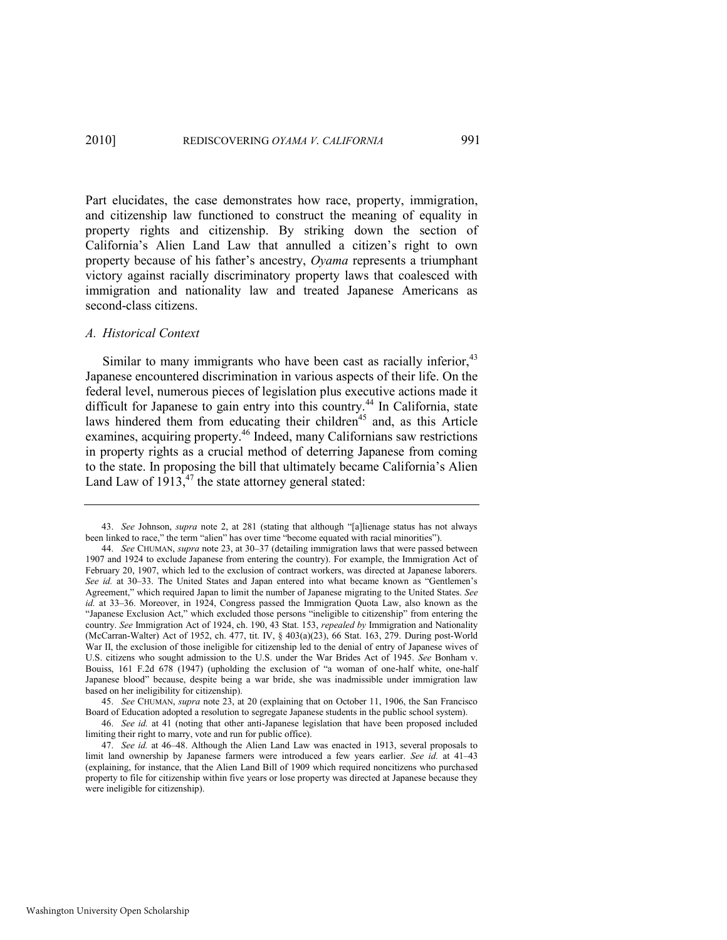Part elucidates, the case demonstrates how race, property, immigration, and citizenship law functioned to construct the meaning of equality in property rights and citizenship. By striking down the section of California's Alien Land Law that annulled a citizen's right to own property because of his father's ancestry, *Oyama* represents a triumphant victory against racially discriminatory property laws that coalesced with immigration and nationality law and treated Japanese Americans as second-class citizens.

#### *A. Historical Context*

Similar to many immigrants who have been cast as racially inferior,  $43$ Japanese encountered discrimination in various aspects of their life. On the federal level, numerous pieces of legislation plus executive actions made it difficult for Japanese to gain entry into this country.<sup>44</sup> In California, state laws hindered them from educating their children<sup>45</sup> and, as this Article examines, acquiring property.<sup>46</sup> Indeed, many Californians saw restrictions in property rights as a crucial method of deterring Japanese from coming to the state. In proposing the bill that ultimately became California's Alien Land Law of  $1913<sub>1</sub><sup>47</sup>$  the state attorney general stated:

<sup>43.</sup> *See Johnson, <i>supra* note [2](#page-3-0), at 281 (stating that although "[a]lienage status has not always been linked to race," the term "alien" has over time "become equated with racial minorities").

<sup>44.</sup> *See* CHUMAN, *supra* not[e 23,](#page-7-1) at 30–37 (detailing immigration laws that were passed between 1907 and 1924 to exclude Japanese from entering the country). For example, the Immigration Act of February 20, 1907, which led to the exclusion of contract workers, was directed at Japanese laborers. See id. at 30–33. The United States and Japan entered into what became known as "Gentlemen's Agreement," which required Japan to limit the number of Japanese migrating to the United States. *See id.* at 33–36. Moreover, in 1924, Congress passed the Immigration Quota Law, also known as the "Japanese Exclusion Act," which excluded those persons "ineligible to citizenship" from entering the country. *See* Immigration Act of 1924, ch. 190, 43 Stat. 153, *repealed by* Immigration and Nationality (McCarran-Walter) Act of 1952, ch. 477, tit. IV, § 403(a)(23), 66 Stat. 163, 279. During post-World War II, the exclusion of those ineligible for citizenship led to the denial of entry of Japanese wives of U.S. citizens who sought admission to the U.S. under the War Brides Act of 1945. *See* Bonham v. Bouiss, 161 F.2d 678 (1947) (upholding the exclusion of "a woman of one-half white, one-half Japanese blood" because, despite being a war bride, she was inadmissible under immigration law based on her ineligibility for citizenship).

<sup>45.</sup> *See* CHUMAN, *supra* not[e 23,](#page-7-1) at 20 (explaining that on October 11, 1906, the San Francisco Board of Education adopted a resolution to segregate Japanese students in the public school system).

<sup>46.</sup> *See id.* at 41 (noting that other anti-Japanese legislation that have been proposed included limiting their right to marry, vote and run for public office).

<sup>47.</sup> *See id.* at 46–48. Although the Alien Land Law was enacted in 1913, several proposals to limit land ownership by Japanese farmers were introduced a few years earlier. *See id.* at 41–43 (explaining, for instance, that the Alien Land Bill of 1909 which required noncitizens who purchased property to file for citizenship within five years or lose property was directed at Japanese because they were ineligible for citizenship).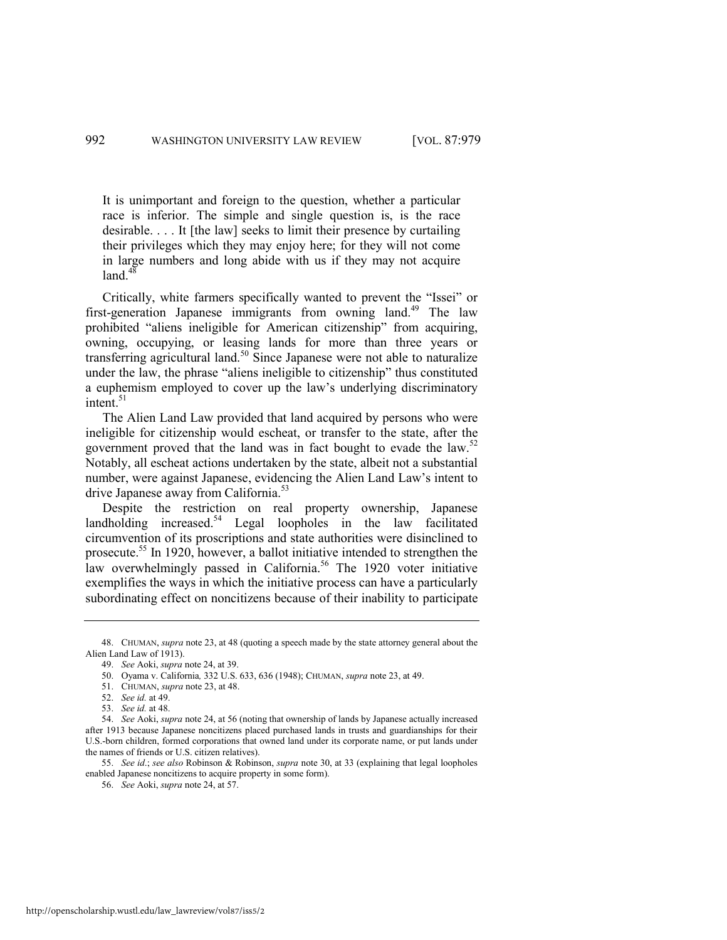It is unimportant and foreign to the question, whether a particular race is inferior. The simple and single question is, is the race desirable. . . . It [the law] seeks to limit their presence by curtailing their privileges which they may enjoy here; for they will not come in large numbers and long abide with us if they may not acquire land. $48$ 

Critically, white farmers specifically wanted to prevent the "Issei" or first-generation Japanese immigrants from owning land.<sup>49</sup> The law prohibited "aliens ineligible for American citizenship" from acquiring, owning, occupying, or leasing lands for more than three years or transferring agricultural land.<sup>50</sup> Since Japanese were not able to naturalize under the law, the phrase "aliens ineligible to citizenship" thus constituted a euphemism employed to cover up the law's underlying discriminatory intent $^{51}$ 

The Alien Land Law provided that land acquired by persons who were ineligible for citizenship would escheat, or transfer to the state, after the government proved that the land was in fact bought to evade the law.<sup>52</sup> Notably, all escheat actions undertaken by the state, albeit not a substantial number, were against Japanese, evidencing the Alien Land Law's intent to drive Japanese away from California.<sup>53</sup>

Despite the restriction on real property ownership, Japanese landholding increased. $54$  Legal loopholes in the law facilitated circumvention of its proscriptions and state authorities were disinclined to prosecute.<sup>55</sup> In 1920, however, a ballot initiative intended to strengthen the law overwhelmingly passed in California.<sup>56</sup> The 1920 voter initiative exemplifies the ways in which the initiative process can have a particularly subordinating effect on noncitizens because of their inability to participate

<sup>48.</sup> CHUMAN, *supra* not[e 23,](#page-7-1) at 48 (quoting a speech made by the state attorney general about the Alien Land Law of 1913).

<sup>49.</sup> *See* Aoki, *supra* not[e 24,](#page-7-0) at 39.

<sup>50.</sup> Oyama v. California*,* 332 U.S. 633, 636 (1948); CHUMAN, *supra* not[e 23,](#page-7-1) at 49.

<sup>51.</sup> CHUMAN, *supra* not[e 23,](#page-7-1) at 48.

<sup>52.</sup> *See id.* at 49.

<sup>53.</sup> *See id.* at 48.

<sup>54.</sup> *See* Aoki, *supra* not[e 24,](#page-7-0) at 56 (noting that ownership of lands by Japanese actually increased after 1913 because Japanese noncitizens placed purchased lands in trusts and guardianships for their U.S.-born children, formed corporations that owned land under its corporate name, or put lands under the names of friends or U.S. citizen relatives).

<sup>55.</sup> *See id*.; *see also* Robinson & Robinson, *supra* note [30,](#page-8-0) at 33 (explaining that legal loopholes enabled Japanese noncitizens to acquire property in some form).

<sup>56.</sup> *See* Aoki, *supra* not[e 24,](#page-7-0) at 57.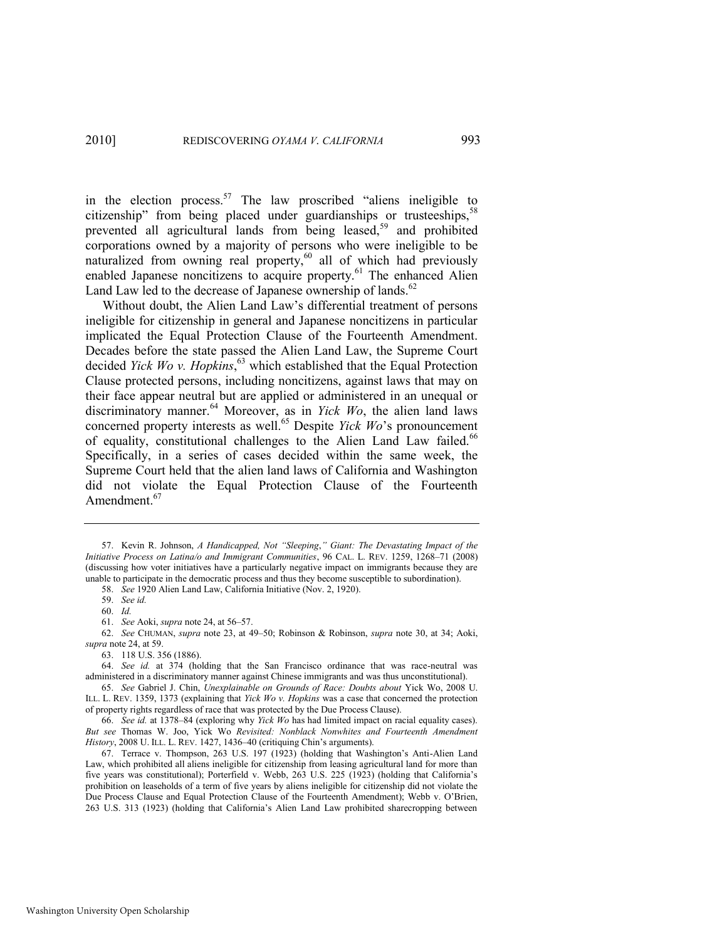<span id="page-15-3"></span><span id="page-15-1"></span>in the election process.<sup>57</sup> The law proscribed "aliens ineligible to citizenship" from being placed under guardianships or trusteeships,  $5<sup>5</sup>$ prevented all agricultural lands from being leased,<sup>59</sup> and prohibited corporations owned by a majority of persons who were ineligible to be naturalized from owning real property,<sup>60</sup> all of which had previously enabled Japanese noncitizens to acquire property.<sup>61</sup> The enhanced Alien Land Law led to the decrease of Japanese ownership of lands. $62$ 

<span id="page-15-2"></span><span id="page-15-0"></span>Without doubt, the Alien Land Law's differential treatment of persons ineligible for citizenship in general and Japanese noncitizens in particular implicated the Equal Protection Clause of the Fourteenth Amendment. Decades before the state passed the Alien Land Law, the Supreme Court decided *Yick Wo v. Hopkins*, <sup>63</sup> which established that the Equal Protection Clause protected persons, including noncitizens, against laws that may on their face appear neutral but are applied or administered in an unequal or discriminatory manner.<sup>64</sup> Moreover, as in *Yick Wo*, the alien land laws concerned property interests as well.<sup>65</sup> Despite *Yick Wo*'s pronouncement of equality, constitutional challenges to the Alien Land Law failed.<sup>66</sup> Specifically, in a series of cases decided within the same week, the Supreme Court held that the alien land laws of California and Washington did not violate the Equal Protection Clause of the Fourteenth Amendment.<sup>67</sup>

<sup>57.</sup> Kevin R. Johnson, *A Handicapped, Not "Sleeping," Giant: The Devastating Impact of the Initiative Process on Latina/o and Immigrant Communities*, 96 CAL. L. REV. 1259, 1268–71 (2008) (discussing how voter initiatives have a particularly negative impact on immigrants because they are unable to participate in the democratic process and thus they become susceptible to subordination).

<sup>58.</sup> *See* 1920 Alien Land Law, California Initiative (Nov. 2, 1920).

<sup>59.</sup> *See id.* 

<sup>60.</sup> *Id.* 

<sup>61.</sup> *See* Aoki, *supra* not[e 24,](#page-7-0) at 56–57.

<sup>62.</sup> *See* CHUMAN, *supra* note [23,](#page-7-1) at 49–50; Robinson & Robinson, *supra* note [30,](#page-8-0) at 34; Aoki, *supra* not[e 24,](#page-7-0) at 59.

<sup>63. 118</sup> U.S. 356 (1886).

<sup>64.</sup> *See id.* at 374 (holding that the San Francisco ordinance that was race-neutral was administered in a discriminatory manner against Chinese immigrants and was thus unconstitutional).

<sup>65.</sup> *See* Gabriel J. Chin, *Unexplainable on Grounds of Race: Doubts about* Yick Wo, 2008 U. ILL. L. REV. 1359, 1373 (explaining that *Yick Wo v. Hopkins* was a case that concerned the protection of property rights regardless of race that was protected by the Due Process Clause).

<sup>66.</sup> *See id.* at 1378–84 (exploring why *Yick Wo* has had limited impact on racial equality cases). *But see* Thomas W. Joo, Yick Wo *Revisited: Nonblack Nonwhites and Fourteenth Amendment History*, 2008 U. ILL. L. REV. 1427, 1436–40 (critiquing Chin's arguments).

<sup>67.</sup> Terrace v. Thompson, 263 U.S. 197 (1923) (holding that Washington's Anti-Alien Land Law, which prohibited all aliens ineligible for citizenship from leasing agricultural land for more than five years was constitutional); Porterfield v. Webb, 263 U.S. 225 (1923) (holding that California's prohibition on leaseholds of a term of five years by aliens ineligible for citizenship did not violate the Due Process Clause and Equal Protection Clause of the Fourteenth Amendment); Webb v. O'Brien, 263 U.S. 313 (1923) (holding that California's Alien Land Law prohibited sharecropping between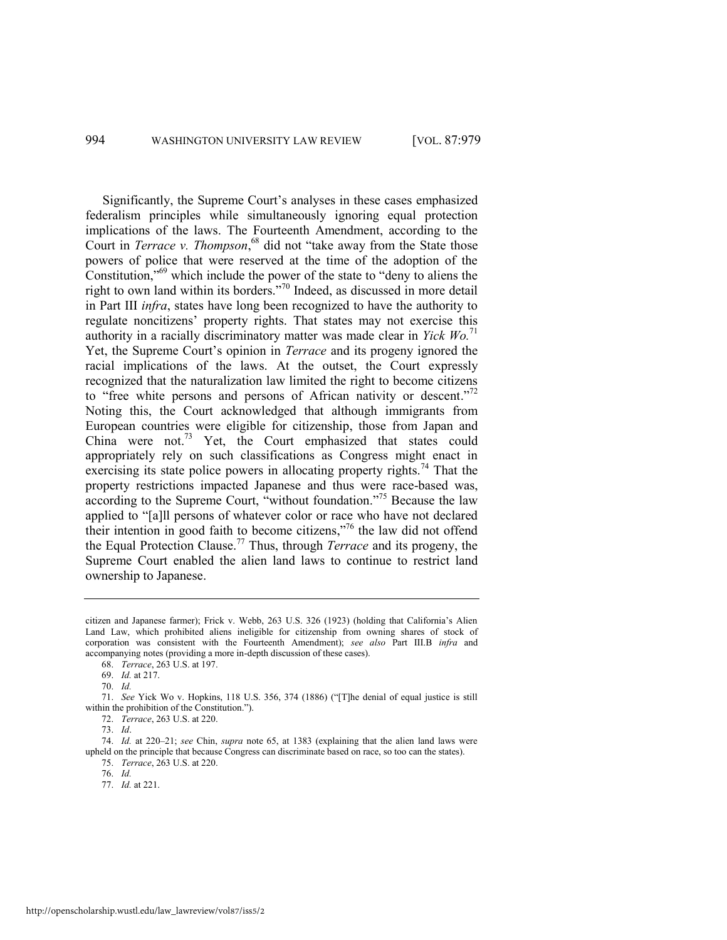Significantly, the Supreme Court's analyses in these cases emphasized federalism principles while simultaneously ignoring equal protection implications of the laws. The Fourteenth Amendment, according to the Court in *Terrace v. Thompson*,<sup>68</sup> did not "take away from the State those powers of police that were reserved at the time of the adoption of the Constitution,<sup> $569$ </sup> which include the power of the state to "deny to aliens the right to own land within its borders."<sup>70</sup> Indeed, as discussed in more detail in Part III *infra*, states have long been recognized to have the authority to regulate noncitizens' property rights. That states may not exercise this authority in a racially discriminatory matter was made clear in *Yick Wo.*<sup>71</sup> Yet, the Supreme Court's opinion in *Terrace* and its progeny ignored the racial implications of the laws. At the outset, the Court expressly recognized that the naturalization law limited the right to become citizens to "free white persons and persons of African nativity or descent."<sup>72</sup> Noting this, the Court acknowledged that although immigrants from European countries were eligible for citizenship, those from Japan and China were not.<sup>73</sup> Yet, the Court emphasized that states could appropriately rely on such classifications as Congress might enact in exercising its state police powers in allocating property rights.<sup>74</sup> That the property restrictions impacted Japanese and thus were race-based was, according to the Supreme Court, "without foundation."<sup>75</sup> Because the law applied to "[a]ll persons of whatever color or race who have not declared their intention in good faith to become citizens,"<sup>76</sup> the law did not offend the Equal Protection Clause.<sup>77</sup> Thus, through *Terrace* and its progeny, the Supreme Court enabled the alien land laws to continue to restrict land ownership to Japanese.

citizen and Japanese farmer); Frick v. Webb, 263 U.S. 326 (1923) (holding that California's Alien Land Law, which prohibited aliens ineligible for citizenship from owning shares of stock of corporation was consistent with the Fourteenth Amendment); *see also* Part III.B *infra* and accompanying notes (providing a more in-depth discussion of these cases).

<sup>68.</sup> *Terrace*, 263 U.S. at 197.

<sup>69.</sup> *Id.* at 217.

<sup>70.</sup> *Id.* 

<sup>71.</sup> *See* Yick Wo v. Hopkins, 118 U.S. 356, 374 (1886) ("[T]he denial of equal justice is still within the prohibition of the Constitution.").

<sup>72.</sup> *Terrace*, 263 U.S. at 220.

<sup>73.</sup> *Id*.

<sup>74.</sup> *Id.* at 220–21; *see* Chin, *supra* note [65,](#page-15-0) at 1383 (explaining that the alien land laws were upheld on the principle that because Congress can discriminate based on race, so too can the states). 75. *Terrace*, 263 U.S. at 220.

<sup>76.</sup> *Id.*

<sup>77.</sup> *Id.* at 221.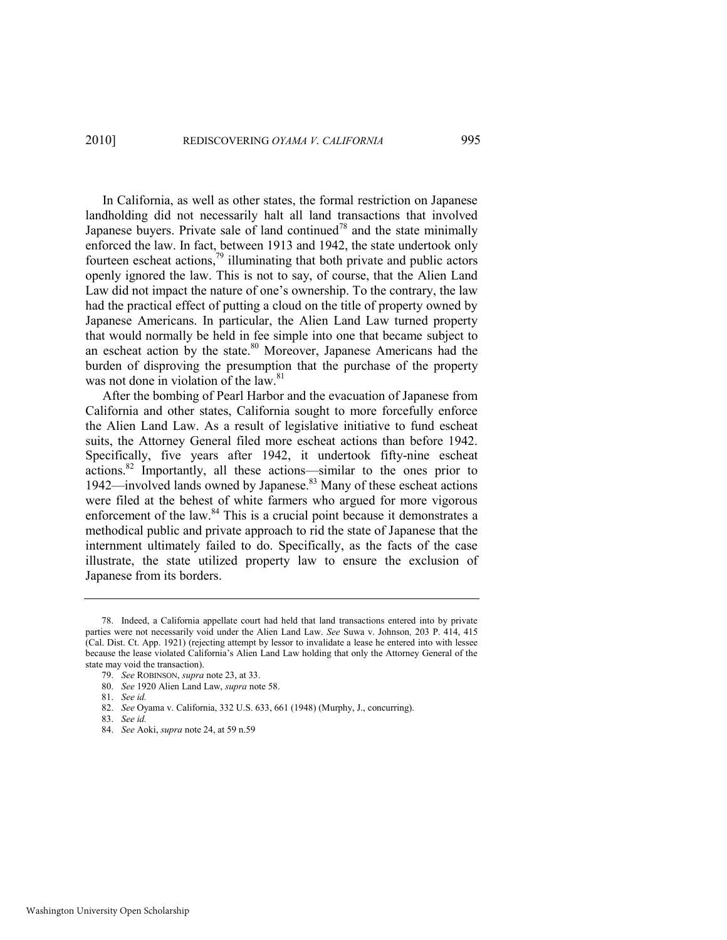In California, as well as other states, the formal restriction on Japanese landholding did not necessarily halt all land transactions that involved Japanese buyers. Private sale of land continued<sup>78</sup> and the state minimally enforced the law. In fact, between 1913 and 1942, the state undertook only fourteen escheat actions, $\frac{79}{2}$  illuminating that both private and public actors openly ignored the law. This is not to say, of course, that the Alien Land Law did not impact the nature of one's ownership. To the contrary, the law had the practical effect of putting a cloud on the title of property owned by Japanese Americans. In particular, the Alien Land Law turned property that would normally be held in fee simple into one that became subject to an escheat action by the state.<sup>80</sup> Moreover, Japanese Americans had the burden of disproving the presumption that the purchase of the property was not done in violation of the law. $81$ 

After the bombing of Pearl Harbor and the evacuation of Japanese from California and other states, California sought to more forcefully enforce the Alien Land Law. As a result of legislative initiative to fund escheat suits, the Attorney General filed more escheat actions than before 1942. Specifically, five years after 1942, it undertook fifty-nine escheat actions.<sup>82</sup> Importantly, all these actions—similar to the ones prior to 1942—involved lands owned by Japanese.<sup>83</sup> Many of these escheat actions were filed at the behest of white farmers who argued for more vigorous enforcement of the law.<sup>84</sup> This is a crucial point because it demonstrates a methodical public and private approach to rid the state of Japanese that the internment ultimately failed to do. Specifically, as the facts of the case illustrate, the state utilized property law to ensure the exclusion of Japanese from its borders.

83. *See id.* 

<sup>78.</sup> Indeed, a California appellate court had held that land transactions entered into by private parties were not necessarily void under the Alien Land Law. *See* Suwa v. Johnson*,* 203 P. 414, 415 (Cal. Dist. Ct. App. 1921) (rejecting attempt by lessor to invalidate a lease he entered into with lessee because the lease violated California's Alien Land Law holding that only the Attorney General of the state may void the transaction).

<sup>79.</sup> *See* ROBINSON, *supra* not[e 23,](#page-7-1) at 33.

<sup>80.</sup> *See* 1920 Alien Land Law, *supra* note [58.](#page-15-1) 

<sup>81.</sup> *See id.* 

<sup>82.</sup> *See* Oyama v. California, 332 U.S. 633, 661 (1948) (Murphy, J., concurring).

<sup>84.</sup> *See* Aoki, *supra* not[e 24,](#page-7-0) at 59 n.59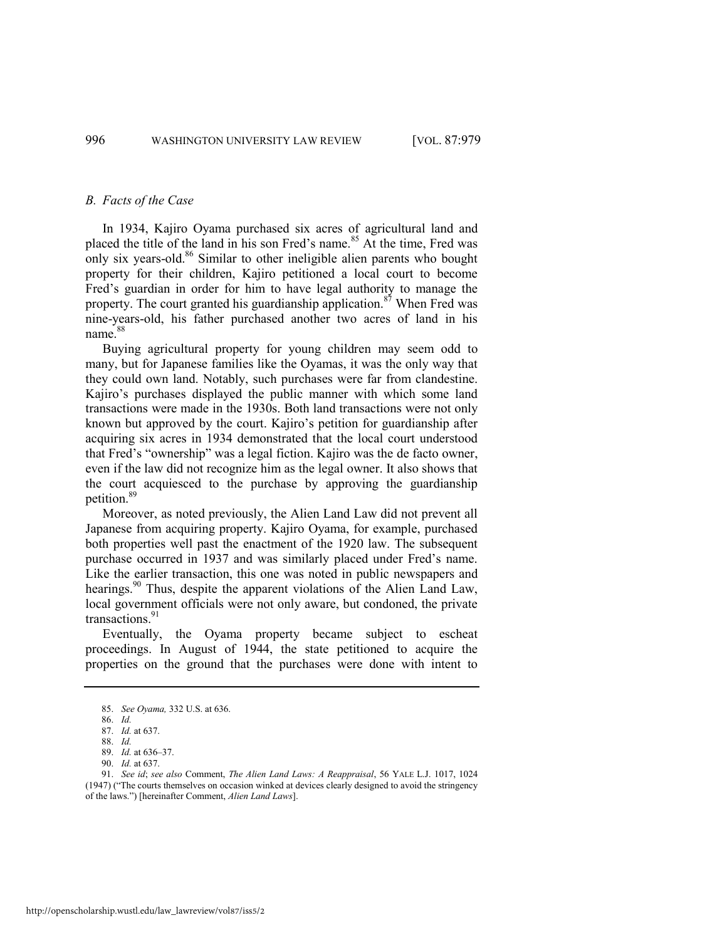#### *B. Facts of the Case*

In 1934, Kajiro Oyama purchased six acres of agricultural land and placed the title of the land in his son Fred's name.<sup>85</sup> At the time, Fred was only six years-old. $86$  Similar to other ineligible alien parents who bought property for their children, Kajiro petitioned a local court to become Fred's guardian in order for him to have legal authority to manage the property. The court granted his guardianship application.<sup>87</sup> When Fred was nine-years-old, his father purchased another two acres of land in his name.<sup>88</sup>

Buying agricultural property for young children may seem odd to many, but for Japanese families like the Oyamas, it was the only way that they could own land. Notably, such purchases were far from clandestine. Kajiro's purchases displayed the public manner with which some land transactions were made in the 1930s. Both land transactions were not only known but approved by the court. Kajiro's petition for guardianship after acquiring six acres in 1934 demonstrated that the local court understood that Fred's "ownership" was a legal fiction. Kajiro was the de facto owner, even if the law did not recognize him as the legal owner. It also shows that the court acquiesced to the purchase by approving the guardianship petition.<sup>89</sup>

Moreover, as noted previously, the Alien Land Law did not prevent all Japanese from acquiring property. Kajiro Oyama, for example, purchased both properties well past the enactment of the 1920 law. The subsequent purchase occurred in 1937 and was similarly placed under Fred's name. Like the earlier transaction, this one was noted in public newspapers and hearings.<sup>90</sup> Thus, despite the apparent violations of the Alien Land Law, local government officials were not only aware, but condoned, the private transactions. $91$ 

<span id="page-18-0"></span>Eventually, the Oyama property became subject to escheat proceedings. In August of 1944, the state petitioned to acquire the properties on the ground that the purchases were done with intent to

<sup>85.</sup> *See Oyama,* 332 U.S. at 636.

<sup>86.</sup> *Id.*

<sup>87.</sup> *Id.* at 637. 88. *Id.*

<sup>89.</sup> *Id.* at 636–37.

<sup>90.</sup> *Id.* at 637.

<sup>91.</sup> *See id*; *see also* Comment, *The Alien Land Laws: A Reappraisal*, 56 YALE L.J. 1017, 1024 (1947) ("The courts themselves on occasion winked at devices clearly designed to avoid the stringency of the laws.‖) [hereinafter Comment, *Alien Land Laws*].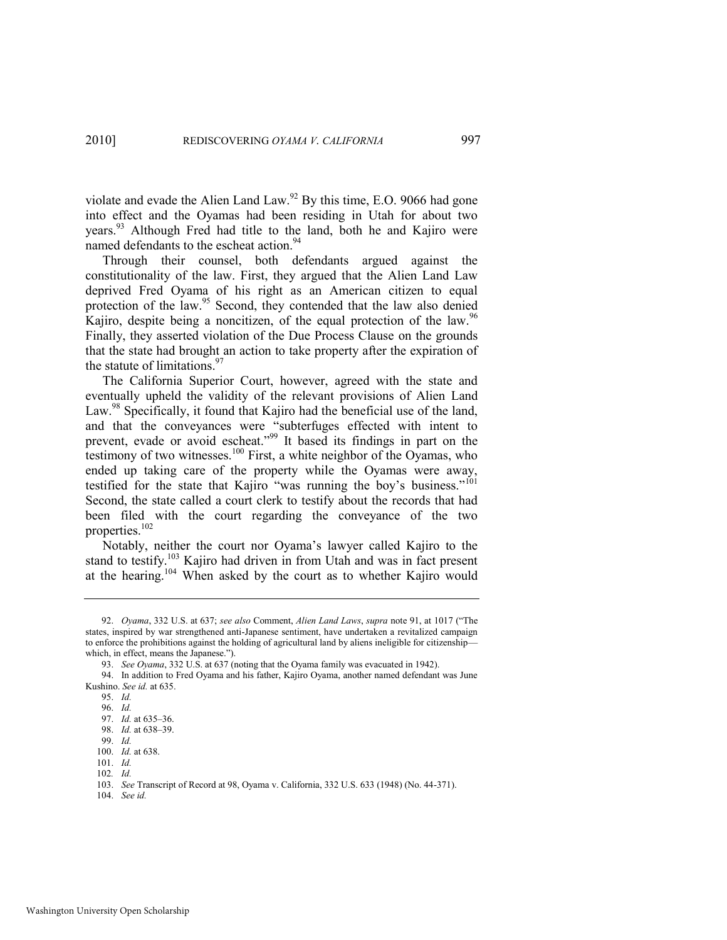violate and evade the Alien Land Law.<sup>92</sup> By this time, E.O. 9066 had gone into effect and the Oyamas had been residing in Utah for about two years.<sup>93</sup> Although Fred had title to the land, both he and Kajiro were named defendants to the escheat action.<sup>94</sup>

Through their counsel, both defendants argued against the constitutionality of the law. First, they argued that the Alien Land Law deprived Fred Oyama of his right as an American citizen to equal protection of the law.<sup>95</sup> Second, they contended that the law also denied Kajiro, despite being a noncitizen, of the equal protection of the law.<sup>96</sup> Finally, they asserted violation of the Due Process Clause on the grounds that the state had brought an action to take property after the expiration of the statute of limitations.<sup>97</sup>

The California Superior Court, however, agreed with the state and eventually upheld the validity of the relevant provisions of Alien Land Law.<sup>98</sup> Specifically, it found that Kajiro had the beneficial use of the land, and that the conveyances were "subterfuges effected with intent to prevent, evade or avoid escheat."<sup>99</sup> It based its findings in part on the the testimony of two witnesses.<sup>100</sup> First, a white neighbor of the Oyamas, who ended up taking care of the property while the Oyamas were away, testified for the state that Kajiro "was running the boy's business."<sup>101</sup> Second, the state called a court clerk to testify about the records that had been filed with the court regarding the conveyance of the two properties.<sup>102</sup>

Notably, neither the court nor Oyama's lawyer called Kajiro to the stand to testify.<sup>103</sup> Kajiro had driven in from Utah and was in fact present at the hearing.<sup>104</sup> When asked by the court as to whether Kajiro would

104. *See id.* 

<sup>92.</sup> *Oyama*, 332 U.S. at 637; *see also* Comment, *Alien Land Laws*, *supra* note [91,](#page-18-0) at 1017 ("The states, inspired by war strengthened anti-Japanese sentiment, have undertaken a revitalized campaign to enforce the prohibitions against the holding of agricultural land by aliens ineligible for citizenship which, in effect, means the Japanese.").

<sup>93.</sup> *See Oyama*, 332 U.S. at 637 (noting that the Oyama family was evacuated in 1942).

<sup>94.</sup> In addition to Fred Oyama and his father, Kajiro Oyama, another named defendant was June Kushino. *See id.* at 635.

<sup>95.</sup> *Id.*

<sup>96.</sup> *Id.*

<sup>97.</sup> *Id.* at 635–36.

<sup>98.</sup> *Id.* at 638–39.

<sup>99.</sup> *Id.*

<sup>100.</sup> *Id.* at 638.  $101 \frac{Id}{I}$ 

<sup>102</sup>*. Id.*

<sup>103.</sup> *See* Transcript of Record at 98, Oyama v. California, 332 U.S. 633 (1948) (No. 44-371).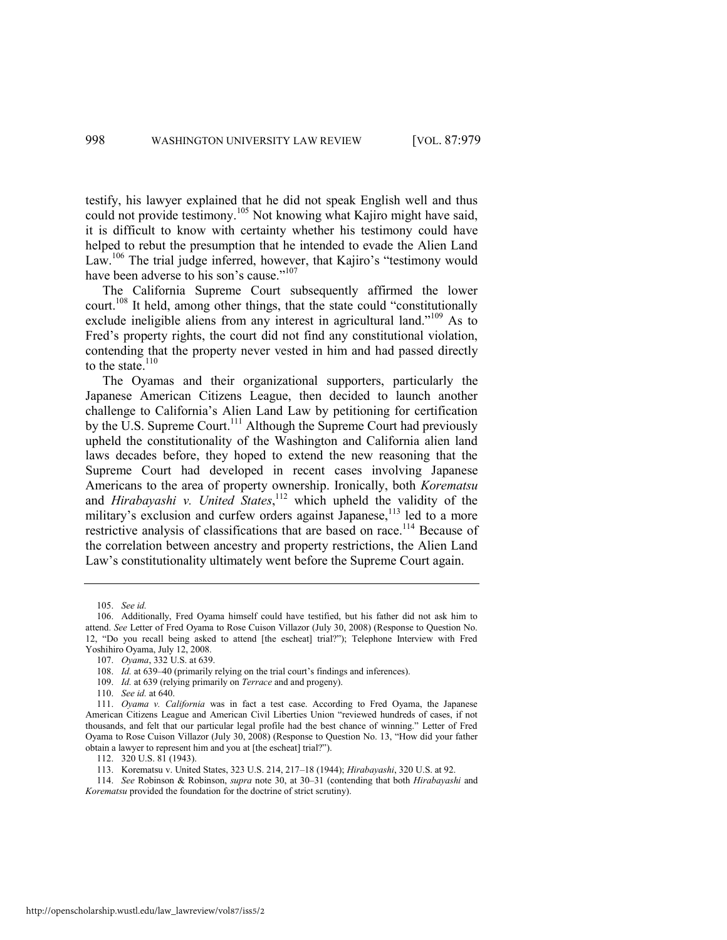testify, his lawyer explained that he did not speak English well and thus could not provide testimony.<sup>105</sup> Not knowing what Kajiro might have said, it is difficult to know with certainty whether his testimony could have helped to rebut the presumption that he intended to evade the Alien Land Law.<sup>106</sup> The trial judge inferred, however, that Kajiro's "testimony would have been adverse to his son's cause."<sup>107</sup>

The California Supreme Court subsequently affirmed the lower court.<sup>108</sup> It held, among other things, that the state could "constitutionally exclude ineligible aliens from any interest in agricultural land."<sup>109</sup> As to Fred's property rights, the court did not find any constitutional violation, contending that the property never vested in him and had passed directly to the state. $110$ 

The Oyamas and their organizational supporters, particularly the Japanese American Citizens League, then decided to launch another challenge to California's Alien Land Law by petitioning for certification by the U.S. Supreme Court.<sup>111</sup> Although the Supreme Court had previously upheld the constitutionality of the Washington and California alien land laws decades before, they hoped to extend the new reasoning that the Supreme Court had developed in recent cases involving Japanese Americans to the area of property ownership. Ironically, both *Korematsu*  and *Hirabayashi v. United States*, <sup>112</sup> which upheld the validity of the military's exclusion and curfew orders against Japanese,<sup>113</sup> led to a more restrictive analysis of classifications that are based on race.<sup>114</sup> Because of the correlation between ancestry and property restrictions, the Alien Land Law's constitutionality ultimately went before the Supreme Court again.

110. *See id.* at 640.

112. 320 U.S. 81 (1943).

<sup>105.</sup> *See id.* 

<sup>106.</sup> Additionally, Fred Oyama himself could have testified, but his father did not ask him to attend. *See* Letter of Fred Oyama to Rose Cuison Villazor (July 30, 2008) (Response to Question No. 12, "Do you recall being asked to attend [the escheat] trial?"); Telephone Interview with Fred Yoshihiro Oyama, July 12, 2008.

<sup>107.</sup> *Oyama*, 332 U.S. at 639.

<sup>108.</sup> *Id.* at 639–40 (primarily relying on the trial court's findings and inferences).

<sup>109.</sup> *Id.* at 639 (relying primarily on *Terrace* and and progeny).

<sup>111.</sup> *Oyama v. California* was in fact a test case. According to Fred Oyama, the Japanese American Citizens League and American Civil Liberties Union "reviewed hundreds of cases, if not thousands, and felt that our particular legal profile had the best chance of winning." Letter of Fred Oyama to Rose Cuison Villazor (July 30, 2008) (Response to Ouestion No. 13, "How did your father obtain a lawyer to represent him and you at [the escheat] trial?").

<sup>113.</sup> Korematsu v. United States, 323 U.S. 214, 217–18 (1944); *Hirabayashi*, 320 U.S. at 92.

<sup>114.</sup> *See* Robinson & Robinson, *supra* note [30,](#page-8-0) at 30–31 (contending that both *Hirabayashi* and *Korematsu* provided the foundation for the doctrine of strict scrutiny).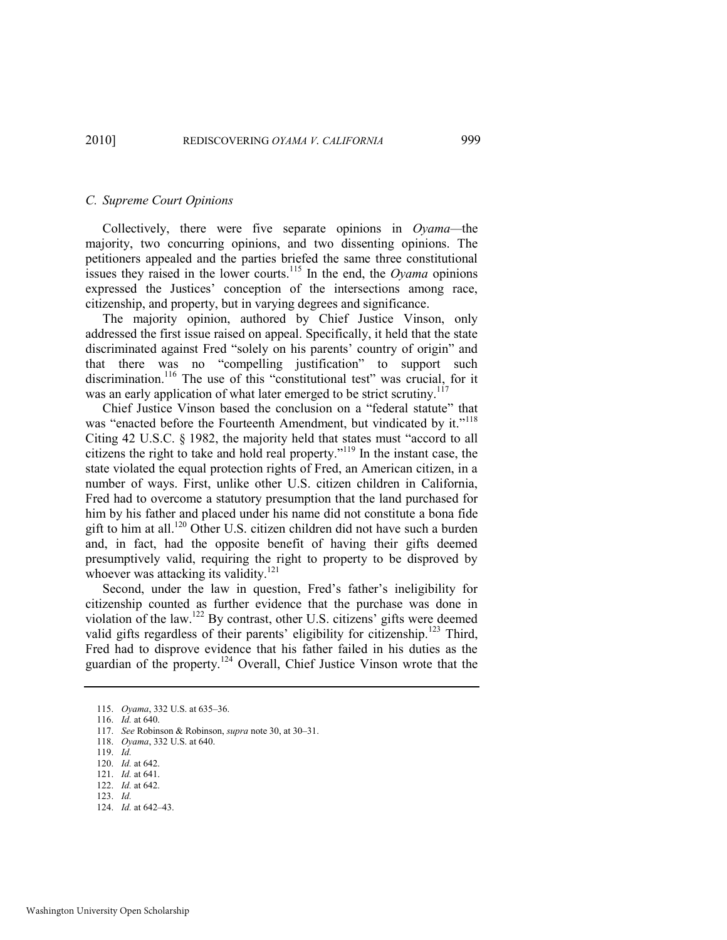#### *C. Supreme Court Opinions*

Collectively, there were five separate opinions in *Oyama—*the majority, two concurring opinions, and two dissenting opinions. The petitioners appealed and the parties briefed the same three constitutional issues they raised in the lower courts.<sup>115</sup> In the end, the *Oyama* opinions expressed the Justices' conception of the intersections among race, citizenship, and property, but in varying degrees and significance.

The majority opinion, authored by Chief Justice Vinson, only addressed the first issue raised on appeal. Specifically, it held that the state discriminated against Fred "solely on his parents' country of origin" and that there was no "compelling justification" to support such discrimination.<sup>116</sup> The use of this "constitutional test" was crucial, for it was an early application of what later emerged to be strict scrutiny.<sup>117</sup>

Chief Justice Vinson based the conclusion on a "federal statute" that was "enacted before the Fourteenth Amendment, but vindicated by it."<sup>118</sup> Citing  $42 \text{ U.S.C. }$  § 1982, the majority held that states must "accord to all citizens the right to take and hold real property."<sup>119</sup> In the instant case, the state violated the equal protection rights of Fred, an American citizen, in a number of ways. First, unlike other U.S. citizen children in California, Fred had to overcome a statutory presumption that the land purchased for him by his father and placed under his name did not constitute a bona fide gift to him at all.<sup>120</sup> Other U.S. citizen children did not have such a burden and, in fact, had the opposite benefit of having their gifts deemed presumptively valid, requiring the right to property to be disproved by whoever was attacking its validity. $121$ 

Second, under the law in question, Fred's father's ineligibility for citizenship counted as further evidence that the purchase was done in violation of the law.<sup>122</sup> By contrast, other U.S. citizens' gifts were deemed valid gifts regardless of their parents' eligibility for citizenship.<sup>123</sup> Third, Fred had to disprove evidence that his father failed in his duties as the guardian of the property.<sup>124</sup> Overall, Chief Justice Vinson wrote that the

124. *Id.* at 642–43.

<sup>115.</sup> *Oyama*, 332 U.S. at 635–36.

<sup>116.</sup> *Id.* at 640.

<sup>117.</sup> *See* Robinson & Robinson, *supra* not[e 30,](#page-8-0) at 30–31.

<sup>118.</sup> *Oyama*, 332 U.S. at 640.

<sup>119.</sup> *Id.* 

<sup>120.</sup> *Id.* at 642.

<sup>121.</sup> *Id.* at 641.

<sup>122.</sup> *Id.* at 642.

<sup>123.</sup> *Id.*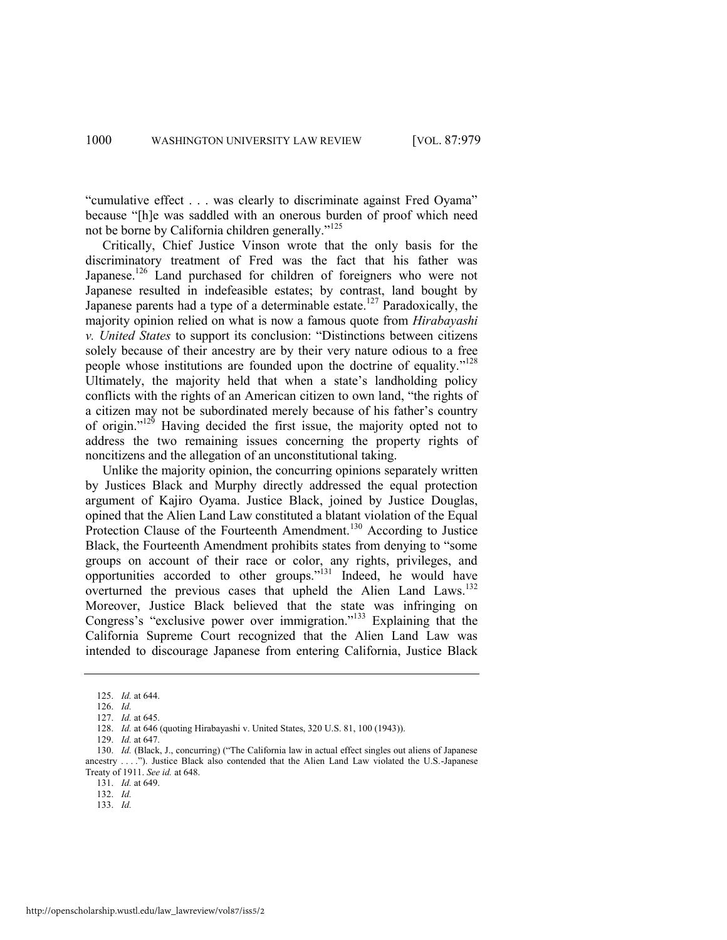"cumulative effect . . . was clearly to discriminate against Fred Oyama" because "[h]e was saddled with an onerous burden of proof which need not be borne by California children generally."<sup>125</sup>

Critically, Chief Justice Vinson wrote that the only basis for the discriminatory treatment of Fred was the fact that his father was Japanese.<sup>126</sup> Land purchased for children of foreigners who were not Japanese resulted in indefeasible estates; by contrast, land bought by Japanese parents had a type of a determinable estate.<sup>127</sup> Paradoxically, the majority opinion relied on what is now a famous quote from *Hirabayashi v. United States* to support its conclusion: "Distinctions between citizens" solely because of their ancestry are by their very nature odious to a free people whose institutions are founded upon the doctrine of equality."<sup>128</sup> Ultimately, the majority held that when a state's landholding policy conflicts with the rights of an American citizen to own land, "the rights of a citizen may not be subordinated merely because of his father's country of origin."<sup>129</sup> Having decided the first issue, the majority opted not to address the two remaining issues concerning the property rights of noncitizens and the allegation of an unconstitutional taking.

Unlike the majority opinion, the concurring opinions separately written by Justices Black and Murphy directly addressed the equal protection argument of Kajiro Oyama. Justice Black, joined by Justice Douglas, opined that the Alien Land Law constituted a blatant violation of the Equal Protection Clause of the Fourteenth Amendment.<sup>130</sup> According to Justice Black, the Fourteenth Amendment prohibits states from denying to "some" groups on account of their race or color, any rights, privileges, and opportunities accorded to other groups."<sup>131</sup> Indeed, he would have overturned the previous cases that upheld the Alien Land Laws.<sup>132</sup> Moreover, Justice Black believed that the state was infringing on Congress's "exclusive power over immigration."<sup>133</sup> Explaining that the California Supreme Court recognized that the Alien Land Law was intended to discourage Japanese from entering California, Justice Black

<sup>125.</sup> *Id.* at 644.

<sup>126.</sup> *Id.*

<sup>127.</sup> *Id.* at 645.

<sup>128.</sup> *Id.* at 646 (quoting Hirabayashi v. United States, 320 U.S. 81, 100 (1943)).

<sup>129.</sup> *Id.* at 647.

<sup>130.</sup> *Id.* (Black, J., concurring) ("The California law in actual effect singles out aliens of Japanese ancestry  $\dots$ "). Justice Black also contended that the Alien Land Law violated the U.S.-Japanese Treaty of 1911. *See id.* at 648.

<sup>131.</sup> *Id.* at 649.

<sup>132.</sup> *Id.*

<sup>133.</sup> *Id.*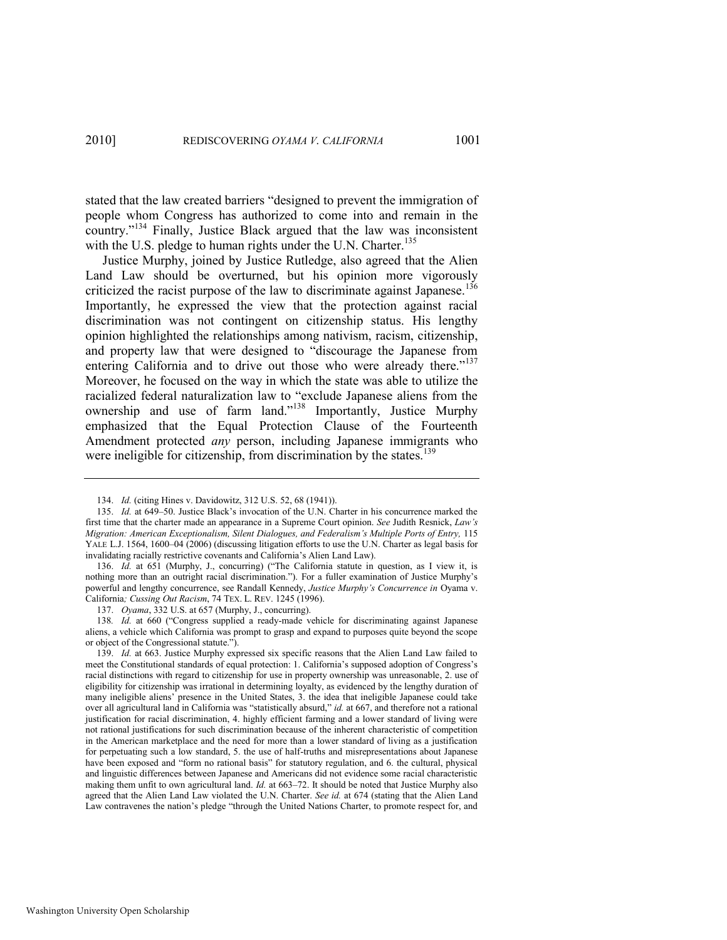stated that the law created barriers "designed to prevent the immigration of people whom Congress has authorized to come into and remain in the country."<sup>134</sup> Finally, Justice Black argued that the law was inconsistent with the U.S. pledge to human rights under the U.N. Charter.<sup>135</sup>

<span id="page-23-0"></span>Justice Murphy, joined by Justice Rutledge, also agreed that the Alien Land Law should be overturned, but his opinion more vigorously criticized the racist purpose of the law to discriminate against Japanese.<sup>136</sup> Importantly, he expressed the view that the protection against racial discrimination was not contingent on citizenship status. His lengthy opinion highlighted the relationships among nativism, racism, citizenship, and property law that were designed to "discourage the Japanese from entering California and to drive out those who were already there."<sup>137</sup> Moreover, he focused on the way in which the state was able to utilize the racialized federal naturalization law to "exclude Japanese aliens from the ownership and use of farm land."<sup>138</sup> Importantly, Justice Murphy emphasized that the Equal Protection Clause of the Fourteenth Amendment protected *any* person, including Japanese immigrants who were ineligible for citizenship, from discrimination by the states.<sup>139</sup>

136. *Id.* at 651 (Murphy, J., concurring) ("The California statute in question, as I view it, is nothing more than an outright racial discrimination."). For a fuller examination of Justice Murphy's powerful and lengthy concurrence, see Randall Kennedy, *Justice Murphy's Concurrence in* Oyama v. California*; Cussing Out Racism*, 74 TEX. L. REV. 1245 (1996).

137. *Oyama*, 332 U.S. at 657 (Murphy, J., concurring).

138. Id. at 660 ("Congress supplied a ready-made vehicle for discriminating against Japanese aliens, a vehicle which California was prompt to grasp and expand to purposes quite beyond the scope or object of the Congressional statute.").

<sup>134.</sup> *Id.* (citing Hines v. Davidowitz, 312 U.S. 52, 68 (1941)).

<sup>135.</sup> *Id.* at 649–50. Justice Black's invocation of the U.N. Charter in his concurrence marked the first time that the charter made an appearance in a Supreme Court opinion. *See* Judith Resnick, *Law's Migration: American Exceptionalism, Silent Dialogues, and Federalism's Multiple Ports of Entry, 115* YALE L.J. 1564, 1600–04 (2006) (discussing litigation efforts to use the U.N. Charter as legal basis for invalidating racially restrictive covenants and California's Alien Land Law).

<sup>139.</sup> *Id.* at 663. Justice Murphy expressed six specific reasons that the Alien Land Law failed to meet the Constitutional standards of equal protection: 1. California's supposed adoption of Congress's racial distinctions with regard to citizenship for use in property ownership was unreasonable, 2. use of eligibility for citizenship was irrational in determining loyalty, as evidenced by the lengthy duration of many ineligible aliens' presence in the United States, 3. the idea that ineligible Japanese could take over all agricultural land in California was "statistically absurd," *id.* at 667, and therefore not a rational justification for racial discrimination, 4. highly efficient farming and a lower standard of living were not rational justifications for such discrimination because of the inherent characteristic of competition in the American marketplace and the need for more than a lower standard of living as a justification for perpetuating such a low standard, 5. the use of half-truths and misrepresentations about Japanese have been exposed and "form no rational basis" for statutory regulation, and 6. the cultural, physical and linguistic differences between Japanese and Americans did not evidence some racial characteristic making them unfit to own agricultural land. *Id.* at 663–72. It should be noted that Justice Murphy also agreed that the Alien Land Law violated the U.N. Charter. *See id.* at 674 (stating that the Alien Land Law contravenes the nation's pledge "through the United Nations Charter, to promote respect for, and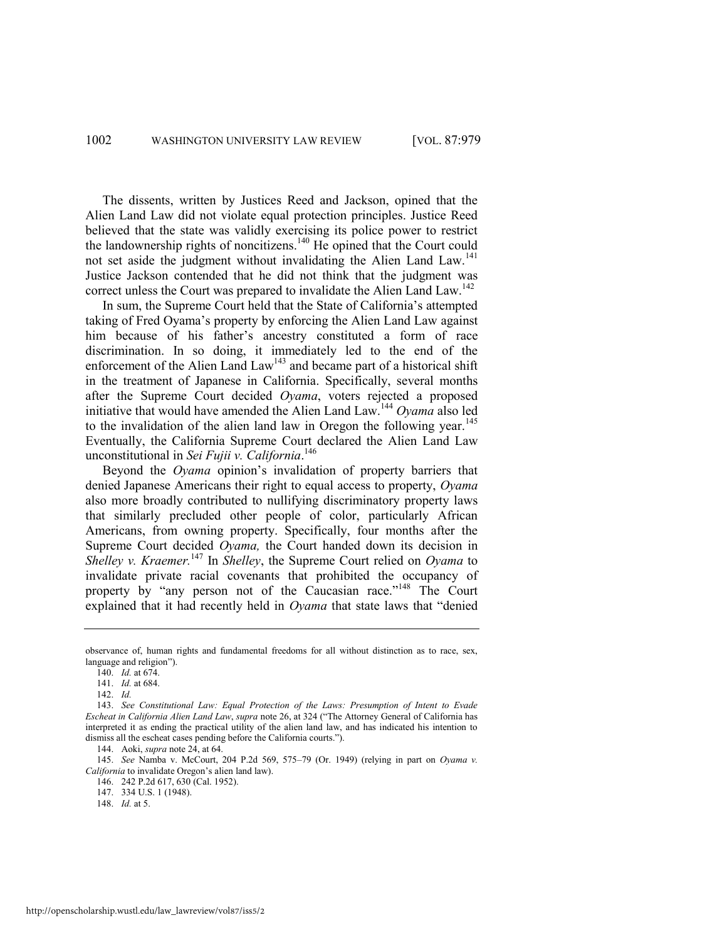The dissents, written by Justices Reed and Jackson, opined that the Alien Land Law did not violate equal protection principles. Justice Reed believed that the state was validly exercising its police power to restrict the landownership rights of noncitizens.<sup>140</sup> He opined that the Court could not set aside the judgment without invalidating the Alien Land Law.<sup>141</sup> Justice Jackson contended that he did not think that the judgment was correct unless the Court was prepared to invalidate the Alien Land Law.<sup>142</sup>

In sum, the Supreme Court held that the State of California's attempted taking of Fred Oyama's property by enforcing the Alien Land Law against him because of his father's ancestry constituted a form of race discrimination. In so doing, it immediately led to the end of the enforcement of the Alien Land Law<sup>143</sup> and became part of a historical shift in the treatment of Japanese in California. Specifically, several months after the Supreme Court decided *Oyama*, voters rejected a proposed initiative that would have amended the Alien Land Law.<sup>144</sup> *Oyama* also led to the invalidation of the alien land law in Oregon the following year.<sup>145</sup> Eventually, the California Supreme Court declared the Alien Land Law unconstitutional in *Sei Fujii v. California*. 146

Beyond the *Oyama* opinion's invalidation of property barriers that denied Japanese Americans their right to equal access to property, *Oyama*  also more broadly contributed to nullifying discriminatory property laws that similarly precluded other people of color, particularly African Americans, from owning property. Specifically, four months after the Supreme Court decided *Oyama,* the Court handed down its decision in *Shelley v. Kraemer.*<sup>147</sup> In *Shelley*, the Supreme Court relied on *Oyama* to invalidate private racial covenants that prohibited the occupancy of property by "any person not of the Caucasian race."<sup>148</sup> The Court explained that it had recently held in *Oyama* that state laws that "denied

observance of, human rights and fundamental freedoms for all without distinction as to race, sex, language and religion").

<sup>140.</sup> *Id.* at 674.

<sup>141.</sup> *Id.* at 684.

<sup>142.</sup> *Id.*

<sup>143.</sup> *See Constitutional Law: Equal Protection of the Laws: Presumption of Intent to Evade Escheat in California Alien Land Law, supra* not[e 26](#page-8-1), at 324 ("The Attorney General of California has interpreted it as ending the practical utility of the alien land law, and has indicated his intention to dismiss all the escheat cases pending before the California courts.").

<sup>144.</sup> Aoki, *supra* not[e 24,](#page-7-0) at 64.

<sup>145.</sup> *See* Namba v. McCourt, 204 P.2d 569, 575–79 (Or. 1949) (relying in part on *Oyama v. California* to invalidate Oregon's alien land law).

<sup>146. 242</sup> P.2d 617, 630 (Cal. 1952).

<sup>147. 334</sup> U.S. 1 (1948).

<sup>148.</sup> *Id.* at 5.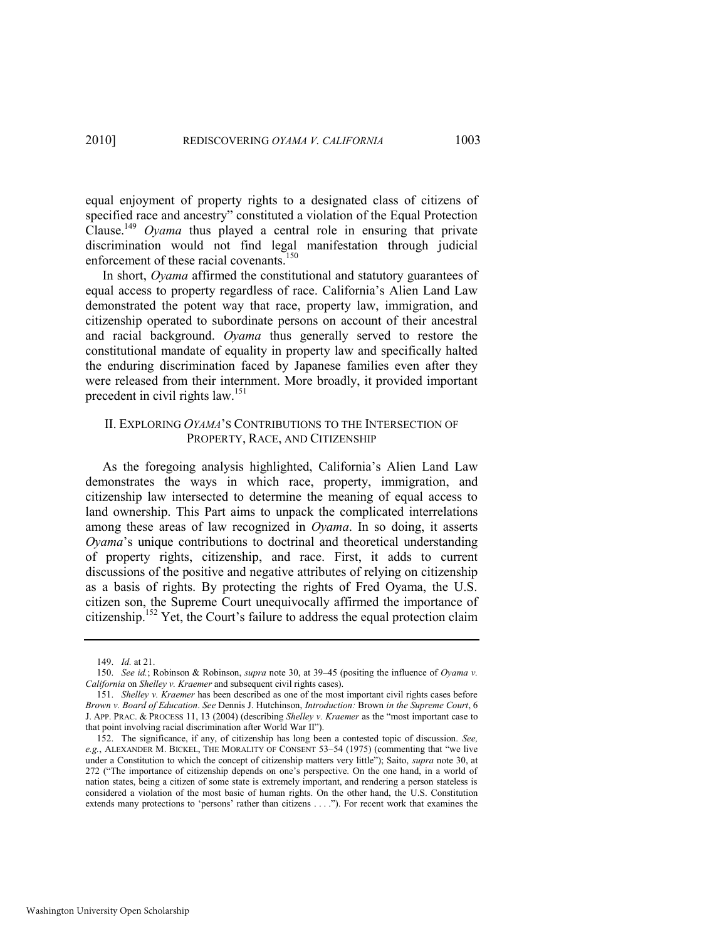equal enjoyment of property rights to a designated class of citizens of specified race and ancestry" constituted a violation of the Equal Protection Clause.<sup>149</sup> *Oyama* thus played a central role in ensuring that private discrimination would not find legal manifestation through judicial enforcement of these racial covenants.<sup>150</sup>

In short, *Oyama* affirmed the constitutional and statutory guarantees of equal access to property regardless of race. California's Alien Land Law demonstrated the potent way that race, property law, immigration, and citizenship operated to subordinate persons on account of their ancestral and racial background. *Oyama* thus generally served to restore the constitutional mandate of equality in property law and specifically halted the enduring discrimination faced by Japanese families even after they were released from their internment. More broadly, it provided important precedent in civil rights law.<sup>151</sup>

## II. EXPLORING *OYAMA*'S CONTRIBUTIONS TO THE INTERSECTION OF PROPERTY, RACE, AND CITIZENSHIP

As the foregoing analysis highlighted, California's Alien Land Law demonstrates the ways in which race, property, immigration, and citizenship law intersected to determine the meaning of equal access to land ownership. This Part aims to unpack the complicated interrelations among these areas of law recognized in *Oyama*. In so doing, it asserts *Oyama*'s unique contributions to doctrinal and theoretical understanding of property rights, citizenship, and race. First, it adds to current discussions of the positive and negative attributes of relying on citizenship as a basis of rights. By protecting the rights of Fred Oyama, the U.S. citizen son, the Supreme Court unequivocally affirmed the importance of citizenship.<sup>152</sup> Yet, the Court's failure to address the equal protection claim

<span id="page-25-0"></span><sup>149.</sup> *Id.* at 21.

<sup>150.</sup> *See id.*; Robinson & Robinson, *supra* note [30,](#page-8-0) at 39–45 (positing the influence of *Oyama v. California* on *Shelley v. Kraemer* and subsequent civil rights cases).

<sup>151.</sup> *Shelley v. Kraemer* has been described as one of the most important civil rights cases before *Brown v. Board of Education*. *See* Dennis J. Hutchinson, *Introduction:* Brown *in the Supreme Court*, 6 J. APP. PRAC. & PROCESS 11, 13 (2004) (describing *Shelley v. Kraemer* as the "most important case to that point involving racial discrimination after World War II").

<sup>152.</sup> The significance, if any, of citizenship has long been a contested topic of discussion. *See, e.g.*, ALEXANDER M. BICKEL, THE MORALITY OF CONSENT 53–54 (1975) (commenting that "we live under a Constitution to which the concept of citizenship matters very little"); Saito, *supra* note [30,](#page-8-0) at 272 ("The importance of citizenship depends on one's perspective. On the one hand, in a world of nation states, being a citizen of some state is extremely important, and rendering a person stateless is considered a violation of the most basic of human rights. On the other hand, the U.S. Constitution extends many protections to 'persons' rather than citizens . . . ."). For recent work that examines the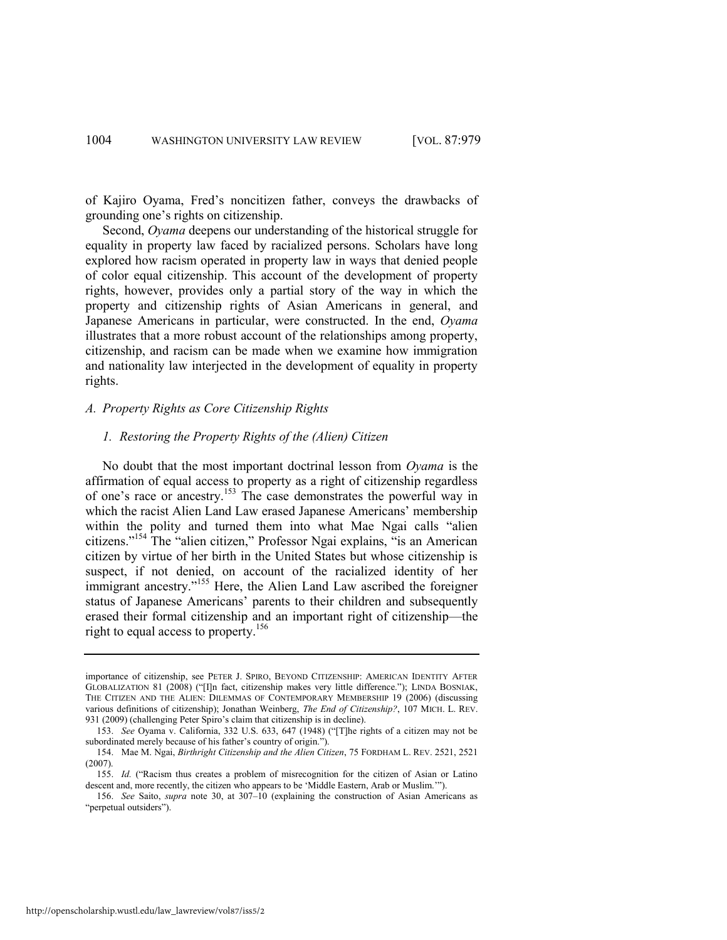of Kajiro Oyama, Fred's noncitizen father, conveys the drawbacks of grounding one's rights on citizenship.

Second, *Oyama* deepens our understanding of the historical struggle for equality in property law faced by racialized persons. Scholars have long explored how racism operated in property law in ways that denied people of color equal citizenship. This account of the development of property rights, however, provides only a partial story of the way in which the property and citizenship rights of Asian Americans in general, and Japanese Americans in particular, were constructed. In the end, *Oyama*  illustrates that a more robust account of the relationships among property, citizenship, and racism can be made when we examine how immigration and nationality law interjected in the development of equality in property rights.

#### *A. Property Rights as Core Citizenship Rights*

## *1. Restoring the Property Rights of the (Alien) Citizen*

No doubt that the most important doctrinal lesson from *Oyama* is the affirmation of equal access to property as a right of citizenship regardless of one's race or ancestry.<sup>153</sup> The case demonstrates the powerful way in which the racist Alien Land Law erased Japanese Americans' membership within the polity and turned them into what Mae Ngai calls "alien citizens."<sup>154</sup> The "alien citizen," Professor Ngai explains, "is an American citizen by virtue of her birth in the United States but whose citizenship is suspect, if not denied, on account of the racialized identity of her immigrant ancestry."<sup>155</sup> Here, the Alien Land Law ascribed the foreigner status of Japanese Americans' parents to their children and subsequently erased their formal citizenship and an important right of citizenship—the right to equal access to property.<sup>156</sup>

importance of citizenship, see PETER J. SPIRO, BEYOND CITIZENSHIP: AMERICAN IDENTITY AFTER GLOBALIZATION 81 (2008) ("[I]n fact, citizenship makes very little difference."); LINDA BOSNIAK, THE CITIZEN AND THE ALIEN: DILEMMAS OF CONTEMPORARY MEMBERSHIP 19 (2006) (discussing various definitions of citizenship); Jonathan Weinberg, *The End of Citizenship?*, 107 MICH. L. REV. 931 (2009) (challenging Peter Spiro's claim that citizenship is in decline).

<sup>153.</sup> *See* Oyama v. California, 332 U.S. 633, 647 (1948) ("[T]he rights of a citizen may not be subordinated merely because of his father's country of origin.").

<sup>154.</sup> Mae M. Ngai, *Birthright Citizenship and the Alien Citizen*, 75 FORDHAM L. REV. 2521, 2521 (2007).

<sup>155.</sup> *Id.* ("Racism thus creates a problem of misrecognition for the citizen of Asian or Latino descent and, more recently, the citizen who appears to be 'Middle Eastern, Arab or Muslim.'").

<sup>156.</sup> *See* Saito, *supra* note [30,](#page-8-0) at 307–10 (explaining the construction of Asian Americans as "perpetual outsiders").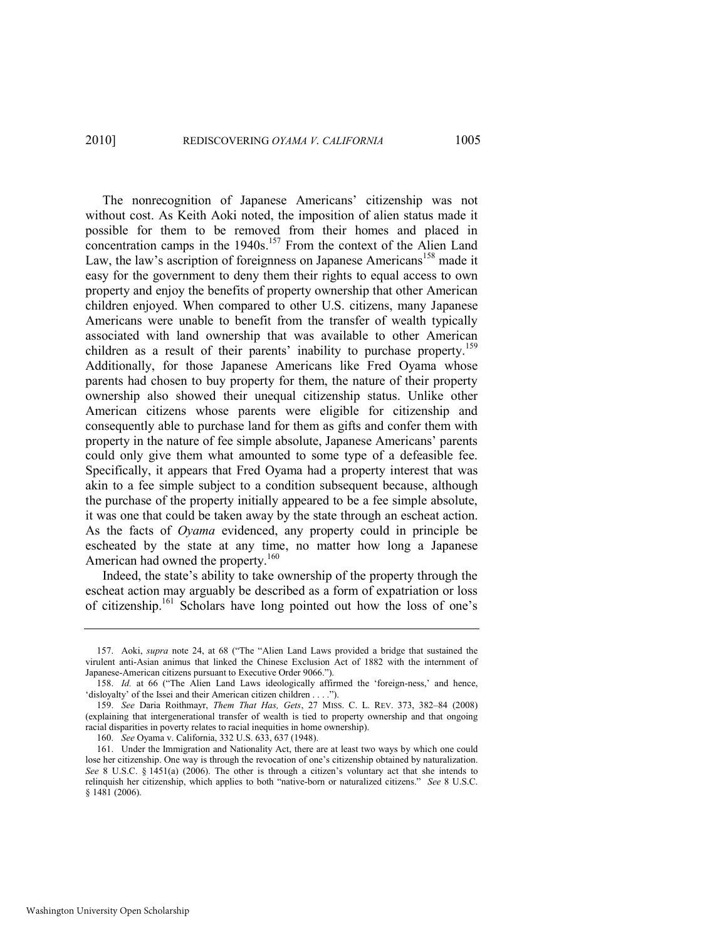<span id="page-27-0"></span>The nonrecognition of Japanese Americans' citizenship was not without cost. As Keith Aoki noted, the imposition of alien status made it possible for them to be removed from their homes and placed in concentration camps in the 1940s.<sup>157</sup> From the context of the Alien Land Law, the law's ascription of foreignness on Japanese Americans<sup>158</sup> made it easy for the government to deny them their rights to equal access to own property and enjoy the benefits of property ownership that other American children enjoyed. When compared to other U.S. citizens, many Japanese Americans were unable to benefit from the transfer of wealth typically associated with land ownership that was available to other American children as a result of their parents' inability to purchase property.<sup>159</sup> Additionally, for those Japanese Americans like Fred Oyama whose parents had chosen to buy property for them, the nature of their property ownership also showed their unequal citizenship status. Unlike other American citizens whose parents were eligible for citizenship and consequently able to purchase land for them as gifts and confer them with property in the nature of fee simple absolute, Japanese Americans' parents could only give them what amounted to some type of a defeasible fee. Specifically, it appears that Fred Oyama had a property interest that was akin to a fee simple subject to a condition subsequent because, although the purchase of the property initially appeared to be a fee simple absolute, it was one that could be taken away by the state through an escheat action. As the facts of *Oyama* evidenced, any property could in principle be escheated by the state at any time, no matter how long a Japanese American had owned the property.<sup>160</sup>

Indeed, the state's ability to take ownership of the property through the escheat action may arguably be described as a form of expatriation or loss of citizenship.<sup>161</sup> Scholars have long pointed out how the loss of one's

<sup>157.</sup> Aoki, *supra* note [24](#page-7-0), at 68 ("The "Alien Land Laws provided a bridge that sustained the virulent anti-Asian animus that linked the Chinese Exclusion Act of 1882 with the internment of Japanese-American citizens pursuant to Executive Order 9066.").

<sup>158.</sup> *Id.* at 66 ("The Alien Land Laws ideologically affirmed the 'foreign-ness,' and hence, 'disloyalty' of the Issei and their American citizen children . . . .").

<sup>159.</sup> *See* Daria Roithmayr, *Them That Has, Gets*, 27 MISS. C. L. REV. 373, 382–84 (2008) (explaining that intergenerational transfer of wealth is tied to property ownership and that ongoing racial disparities in poverty relates to racial inequities in home ownership).

<sup>160.</sup> *See* Oyama v. California, 332 U.S. 633, 637 (1948).

<sup>161.</sup> Under the Immigration and Nationality Act, there are at least two ways by which one could lose her citizenship. One way is through the revocation of one's citizenship obtained by naturalization. *See* 8 U.S.C. § 1451(a) (2006). The other is through a citizen's voluntary act that she intends to relinquish her citizenship, which applies to both "native-born or naturalized citizens." *See* 8 U.S.C. § 1481 (2006).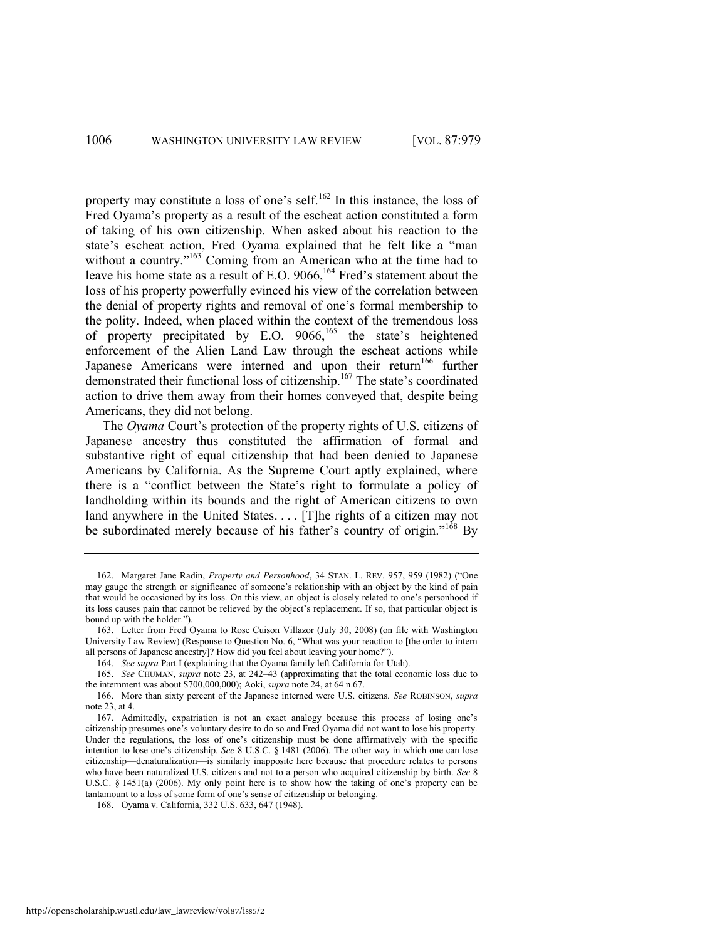<span id="page-28-0"></span>property may constitute a loss of one's self.<sup>162</sup> In this instance, the loss of Fred Oyama's property as a result of the escheat action constituted a form of taking of his own citizenship. When asked about his reaction to the state's escheat action, Fred Oyama explained that he felt like a "man without a country."<sup>163</sup> Coming from an American who at the time had to leave his home state as a result of E.O.  $9066$ <sup>164</sup> Fred's statement about the loss of his property powerfully evinced his view of the correlation between the denial of property rights and removal of one's formal membership to the polity. Indeed, when placed within the context of the tremendous loss of property precipitated by E.O.  $9066$ ,  $^{165}$  the state's heightened enforcement of the Alien Land Law through the escheat actions while Japanese Americans were interned and upon their return<sup>166</sup> further demonstrated their functional loss of citizenship.<sup>167</sup> The state's coordinated action to drive them away from their homes conveyed that, despite being Americans, they did not belong.

The *Oyama* Court's protection of the property rights of U.S. citizens of Japanese ancestry thus constituted the affirmation of formal and substantive right of equal citizenship that had been denied to Japanese Americans by California. As the Supreme Court aptly explained, where there is a "conflict between the State's right to formulate a policy of landholding within its bounds and the right of American citizens to own land anywhere in the United States. . . . [T]he rights of a citizen may not be subordinated merely because of his father's country of origin."<sup>168</sup> By

<sup>162.</sup> Margaret Jane Radin, *Property and Personhood*, 34 STAN. L. REV. 957, 959 (1982) ("One may gauge the strength or significance of someone's relationship with an object by the kind of pain that would be occasioned by its loss. On this view, an object is closely related to one's personhood if its loss causes pain that cannot be relieved by the object's replacement. If so, that particular object is bound up with the holder.").

<sup>163.</sup> Letter from Fred Oyama to Rose Cuison Villazor (July 30, 2008) (on file with Washington University Law Review) (Response to Question No. 6, "What was your reaction to [the order to intern all persons of Japanese ancestry]? How did you feel about leaving your home?").

<sup>164.</sup> *See supra* Part I (explaining that the Oyama family left California for Utah).

<sup>165.</sup> *See* CHUMAN, *supra* note [23,](#page-7-1) at 242–43 (approximating that the total economic loss due to the internment was about \$700,000,000); Aoki, *supra* not[e 24,](#page-7-0) at 64 n.67.

<sup>166.</sup> More than sixty percent of the Japanese interned were U.S. citizens. *See* ROBINSON, *supra*  note [23,](#page-7-1) at 4.

<sup>167.</sup> Admittedly, expatriation is not an exact analogy because this process of losing one's citizenship presumes one's voluntary desire to do so and Fred Oyama did not want to lose his property. Under the regulations, the loss of one's citizenship must be done affirmatively with the specific intention to lose one's citizenship. *See* 8 U.S.C. § 1481 (2006). The other way in which one can lose citizenship—denaturalization—is similarly inapposite here because that procedure relates to persons who have been naturalized U.S. citizens and not to a person who acquired citizenship by birth. *See* 8 U.S.C. § 1451(a) (2006). My only point here is to show how the taking of one's property can be tantamount to a loss of some form of one's sense of citizenship or belonging.

<sup>168.</sup> Oyama v. California, 332 U.S. 633, 647 (1948).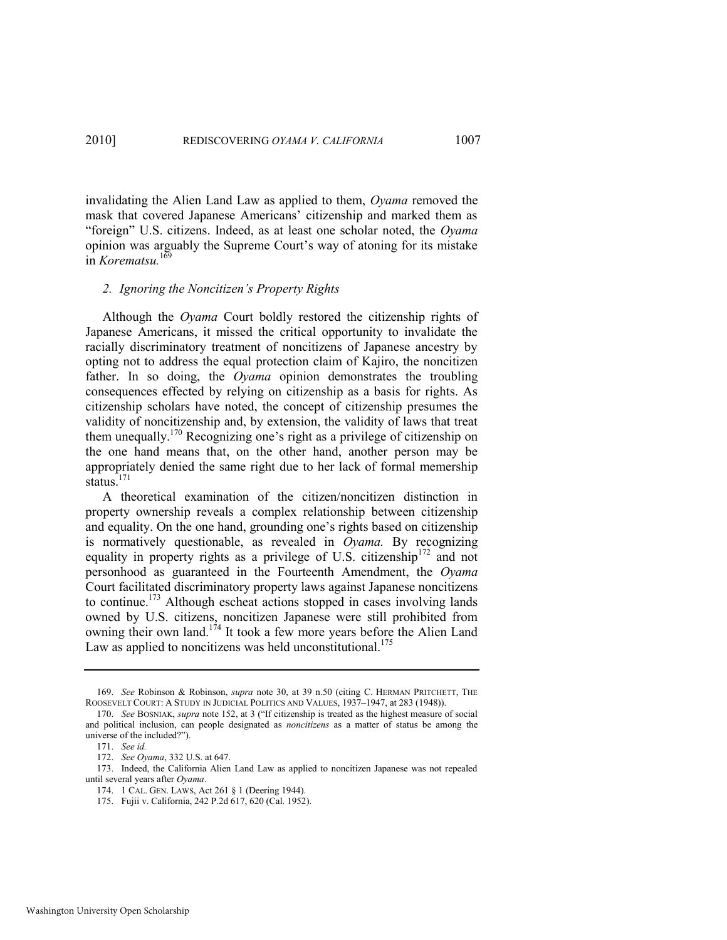invalidating the Alien Land Law as applied to them, *Oyama* removed the mask that covered Japanese Americans' citizenship and marked them as "foreign" U.S. citizens. Indeed, as at least one scholar noted, the *Oyama* opinion was arguably the Supreme Court's way of atoning for its mistake in *Korematsu.*<sup>169</sup>

#### *2. Ignoring the Noncitizen's Property Rights*

Although the *Oyama* Court boldly restored the citizenship rights of Japanese Americans, it missed the critical opportunity to invalidate the racially discriminatory treatment of noncitizens of Japanese ancestry by opting not to address the equal protection claim of Kajiro, the noncitizen father. In so doing, the *Oyama* opinion demonstrates the troubling consequences effected by relying on citizenship as a basis for rights. As citizenship scholars have noted, the concept of citizenship presumes the validity of noncitizenship and, by extension, the validity of laws that treat them unequally.<sup>170</sup> Recognizing one's right as a privilege of citizenship on the one hand means that, on the other hand, another person may be appropriately denied the same right due to her lack of formal memership status.<sup>171</sup>

A theoretical examination of the citizen/noncitizen distinction in property ownership reveals a complex relationship between citizenship and equality. On the one hand, grounding one's rights based on citizenship is normatively questionable, as revealed in *Oyama.* By recognizing equality in property rights as a privilege of U.S. citizenship<sup>172</sup> and not personhood as guaranteed in the Fourteenth Amendment, the *Oyama*  Court facilitated discriminatory property laws against Japanese noncitizens to continue.<sup>173</sup> Although escheat actions stopped in cases involving lands owned by U.S. citizens, noncitizen Japanese were still prohibited from owning their own land.<sup>174</sup> It took a few more years before the Alien Land Law as applied to noncitizens was held unconstitutional.<sup>175</sup>

<sup>169.</sup> *See* Robinson & Robinson, *supra* note [30,](#page-8-0) at 39 n.50 (citing C. HERMAN PRITCHETT, THE ROOSEVELT COURT: A STUDY IN JUDICIAL POLITICS AND VALUES, 1937–1947, at 283 (1948)).

<sup>170.</sup> *See BOSNIAK, supra* not[e 152](#page-25-0), at 3 ("If citizenship is treated as the highest measure of social and political inclusion, can people designated as *noncitizens* as a matter of status be among the universe of the included?").

<sup>171.</sup> *See id.* 

<sup>172.</sup> *See Oyama*, 332 U.S. at 647.

<sup>173.</sup> Indeed, the California Alien Land Law as applied to noncitizen Japanese was not repealed until several years after *Oyama*.

<sup>174. 1</sup> CAL. GEN. LAWS, Act 261 § 1 (Deering 1944).

<sup>175.</sup> Fujii v. California, 242 P.2d 617, 620 (Cal. 1952).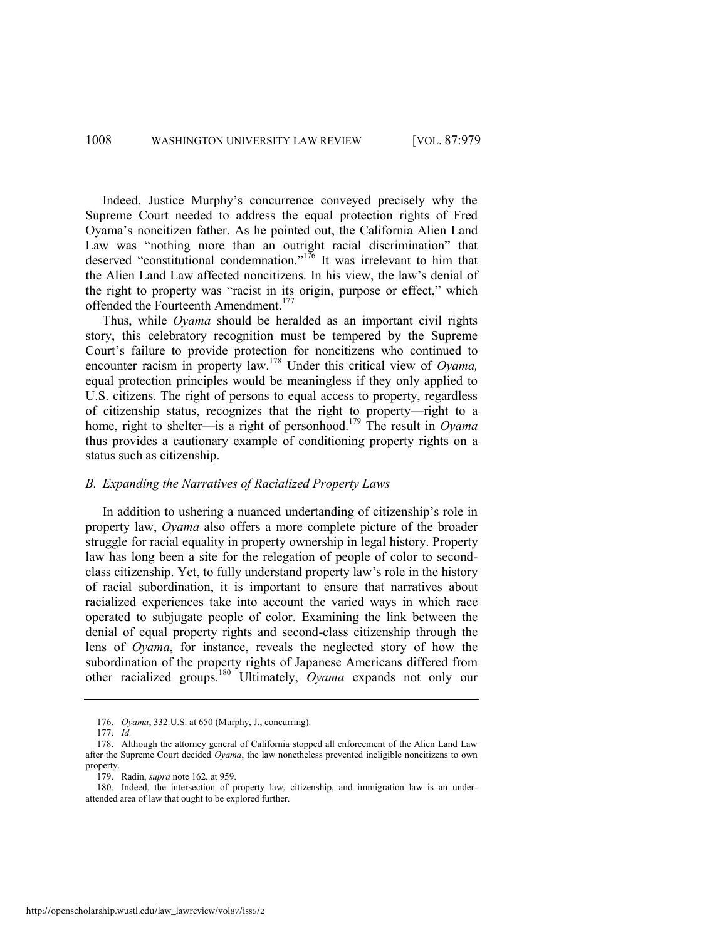Indeed, Justice Murphy's concurrence conveyed precisely why the Supreme Court needed to address the equal protection rights of Fred Oyama's noncitizen father. As he pointed out, the California Alien Land Law was "nothing more than an outright racial discrimination" that deserved "constitutional condemnation."<sup>176</sup> It was irrelevant to him that the Alien Land Law affected noncitizens. In his view, the law's denial of the right to property was "racist in its origin, purpose or effect," which offended the Fourteenth Amendment.<sup>177</sup>

Thus, while *Oyama* should be heralded as an important civil rights story, this celebratory recognition must be tempered by the Supreme Court's failure to provide protection for noncitizens who continued to encounter racism in property law.<sup>178</sup> Under this critical view of *Oyama,* equal protection principles would be meaningless if they only applied to U.S. citizens. The right of persons to equal access to property, regardless of citizenship status, recognizes that the right to property—right to a home, right to shelter—is a right of personhood.<sup>179</sup> The result in *Oyama*  thus provides a cautionary example of conditioning property rights on a status such as citizenship.

### *B. Expanding the Narratives of Racialized Property Laws*

In addition to ushering a nuanced undertanding of citizenship's role in property law, *Oyama* also offers a more complete picture of the broader struggle for racial equality in property ownership in legal history. Property law has long been a site for the relegation of people of color to secondclass citizenship. Yet, to fully understand property law's role in the history of racial subordination, it is important to ensure that narratives about racialized experiences take into account the varied ways in which race operated to subjugate people of color. Examining the link between the denial of equal property rights and second-class citizenship through the lens of *Oyama*, for instance, reveals the neglected story of how the subordination of the property rights of Japanese Americans differed from other racialized groups.<sup>180</sup> Ultimately, *Oyama* expands not only our

<sup>176.</sup> *Oyama*, 332 U.S. at 650 (Murphy, J., concurring).

<sup>177.</sup> *Id.*

<sup>178.</sup> Although the attorney general of California stopped all enforcement of the Alien Land Law after the Supreme Court decided *Oyama*, the law nonetheless prevented ineligible noncitizens to own property.

<sup>179.</sup> Radin, *supra* not[e 162,](#page-28-0) at 959.

<sup>180.</sup> Indeed, the intersection of property law, citizenship, and immigration law is an underattended area of law that ought to be explored further.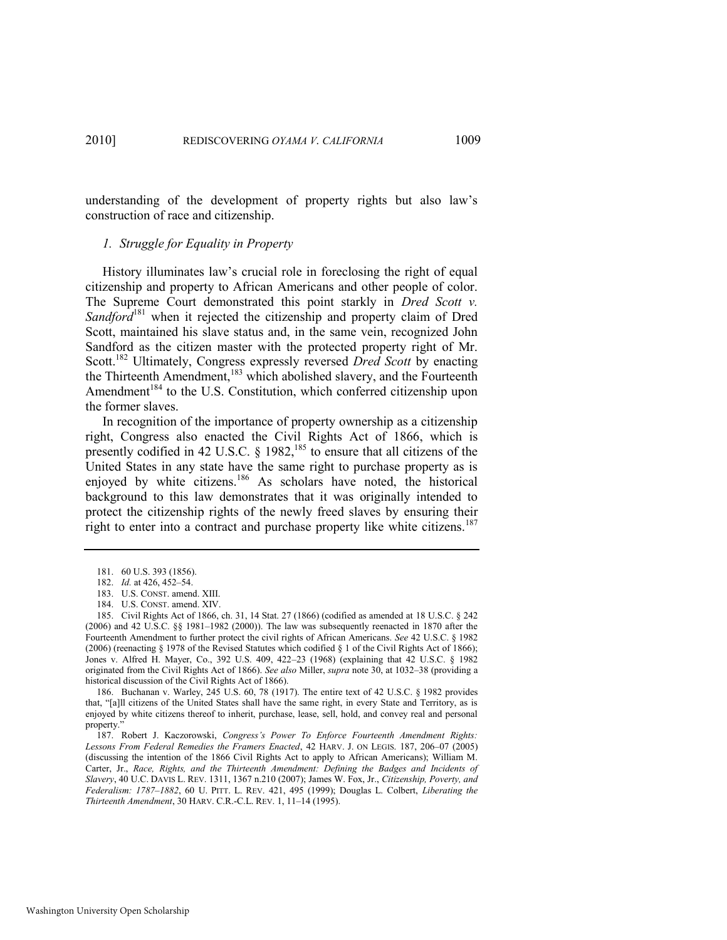understanding of the development of property rights but also law's construction of race and citizenship.

#### *1. Struggle for Equality in Property*

History illuminates law's crucial role in foreclosing the right of equal citizenship and property to African Americans and other people of color. The Supreme Court demonstrated this point starkly in *Dred Scott v.*  Sandford<sup>181</sup> when it rejected the citizenship and property claim of Dred Scott, maintained his slave status and, in the same vein, recognized John Sandford as the citizen master with the protected property right of Mr. Scott.<sup>182</sup> Ultimately, Congress expressly reversed *Dred Scott* by enacting the Thirteenth Amendment,<sup>183</sup> which abolished slavery, and the Fourteenth Amendment<sup>184</sup> to the U.S. Constitution, which conferred citizenship upon the former slaves.

In recognition of the importance of property ownership as a citizenship right, Congress also enacted the Civil Rights Act of 1866, which is presently codified in 42 U.S.C.  $\S$  1982,<sup>185</sup> to ensure that all citizens of the United States in any state have the same right to purchase property as is enjoyed by white citizens.<sup>186</sup> As scholars have noted, the historical background to this law demonstrates that it was originally intended to protect the citizenship rights of the newly freed slaves by ensuring their right to enter into a contract and purchase property like white citizens.<sup>187</sup>

<sup>181. 60</sup> U.S. 393 (1856).

<sup>182.</sup> *Id.* at 426, 452–54.

<sup>183.</sup> U.S. CONST. amend. XIII.

<sup>184.</sup> U.S. CONST. amend. XIV.

<sup>185.</sup> Civil Rights Act of 1866, ch. 31, 14 Stat. 27 (1866) (codified as amended at 18 U.S.C. § 242 (2006) and [42 U.S.C. §§ 1981](https://web2.westlaw.com/find/default.wl?tf=-1&rs=WLW10.05&fn=_top&sv=Split&docname=42USCAS1981&tc=-1&pbc=567263F2&ordoc=0342123858&findtype=L&db=1000546&vr=2.0&rp=%2ffind%2fdefault.wl&mt=208)–[1982 \(2000\)\)](https://web2.westlaw.com/find/default.wl?tf=-1&rs=WLW10.05&fn=_top&sv=Split&docname=42USCAS1982&tc=-1&pbc=567263F2&ordoc=0342123858&findtype=L&db=1000546&vr=2.0&rp=%2ffind%2fdefault.wl&mt=208). The law was subsequently reenacted in 1870 after the Fourteenth Amendment to further protect the civil rights of African Americans. *See* 42 U.S.C. § 1982 (2006) (reenacting § 1978 of the Revised Statutes which codified § 1 of the Civil Rights Act of 1866); Jones v. Alfred H. Mayer, Co., 392 U.S. 409, 422–23 (1968) (explaining that 42 U.S.C. § 1982 originated from the Civil Rights Act of 1866). *See also* Miller, *supra* not[e 30,](#page-8-0) at 1032–38 (providing a historical discussion of the Civil Rights Act of 1866).

<sup>186.</sup> Buchanan v. Warley, 245 U.S. 60, 78 (1917). The entire text of 42 U.S.C. § 1982 provides that, "[a]ll citizens of the United States shall have the same right, in every State and Territory, as is enjoyed by white citizens thereof to inherit, purchase, lease, sell, hold, and convey real and personal property."

<sup>187.</sup> Robert J. Kaczorowski, *Congress's Power To Enforce Fourteenth Amendment Rights: Lessons From Federal Remedies the Framers Enacted*, 42 HARV. J. ON LEGIS. 187, 206–07 (2005) (discussing the intention of the 1866 Civil Rights Act to apply to African Americans); William M. Carter, Jr., *Race, Rights, and the Thirteenth Amendment: Defining the Badges and Incidents of Slavery*, 40 U.C. DAVIS L. REV. 1311, 1367 n.210 (2007); James W. Fox, Jr., *Citizenship, Poverty, and Federalism: 1787–1882*, 60 U. PITT. L. REV. 421, 495 (1999); Douglas L. Colbert, *Liberating the Thirteenth Amendment*, 30 HARV. C.R.-C.L. REV. 1, 11–14 (1995).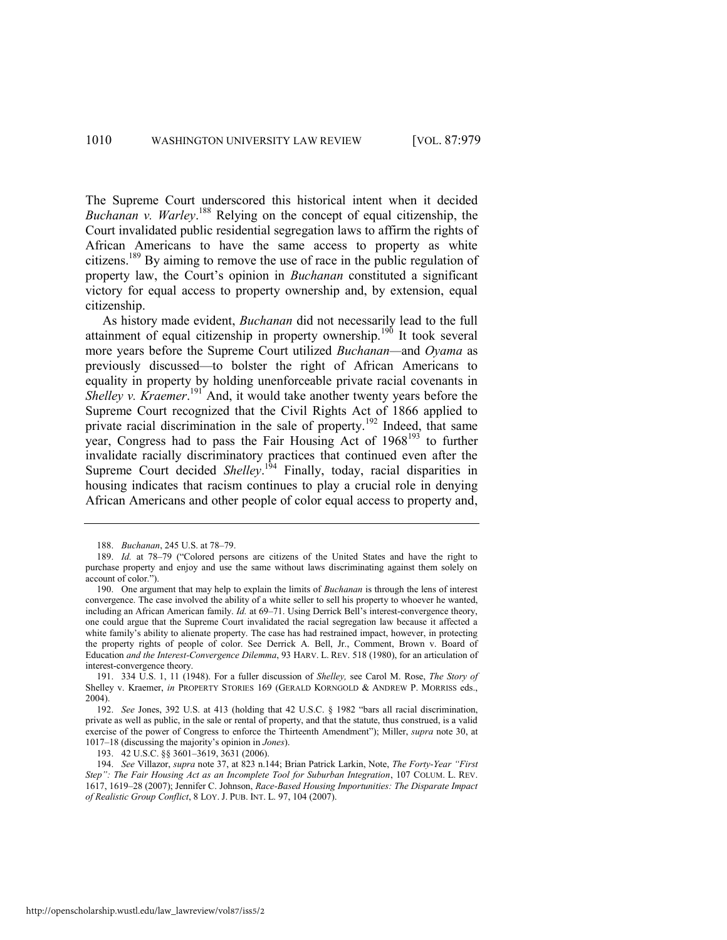The Supreme Court underscored this historical intent when it decided *Buchanan v. Warley*. <sup>188</sup> Relying on the concept of equal citizenship, the Court invalidated public residential segregation laws to affirm the rights of African Americans to have the same access to property as white citizens.<sup>189</sup> By aiming to remove the use of race in the public regulation of property law, the Court's opinion in *Buchanan* constituted a significant victory for equal access to property ownership and, by extension, equal citizenship.

As history made evident, *Buchanan* did not necessarily lead to the full attainment of equal citizenship in property ownership.<sup>190</sup> It took several more years before the Supreme Court utilized *Buchanan—*and *Oyama* as previously discussed—to bolster the right of African Americans to equality in property by holding unenforceable private racial covenants in Shelley v. Kraemer.<sup>191</sup> And, it would take another twenty years before the Supreme Court recognized that the Civil Rights Act of 1866 applied to private racial discrimination in the sale of property.<sup>192</sup> Indeed, that same year, Congress had to pass the Fair Housing Act of  $1968^{193}$  to further invalidate racially discriminatory practices that continued even after the Supreme Court decided *Shelley*.<sup>194</sup> Finally, today, racial disparities in housing indicates that racism continues to play a crucial role in denying African Americans and other people of color equal access to property and,

<sup>188.</sup> *Buchanan*, 245 U.S. at 78–79.

<sup>189.</sup> *Id.* at 78–79 ("Colored persons are citizens of the United States and have the right to purchase property and enjoy and use the same without laws discriminating against them solely on account of color.").

<sup>190.</sup> One argument that may help to explain the limits of *Buchanan* is through the lens of interest convergence. The case involved the ability of a white seller to sell his property to whoever he wanted, including an African American family. *Id.* at 69–71. Using Derrick Bell's interest-convergence theory, one could argue that the Supreme Court invalidated the racial segregation law because it affected a white family's ability to alienate property. The case has had restrained impact, however, in protecting the property rights of people of color. See Derrick A. Bell, Jr., Comment, Brown v. Board of Education *and the Interest-Convergence Dilemma*, 93 HARV. L. REV. 518 (1980), for an articulation of interest-convergence theory.

<sup>191. 334</sup> U.S. 1, 11 (1948). For a fuller discussion of *Shelley,* see Carol M. Rose, *The Story of* Shelley v. Kraemer, *in* PROPERTY STORIES 169 (GERALD KORNGOLD & ANDREW P. MORRISS eds., 2004).

<sup>192.</sup> *See Jones, 392 U.S. at 413 (holding that 42 U.S.C. § 1982 "bars all racial discrimination,* private as well as public, in the sale or rental of property, and that the statute, thus construed, is a valid exercise of the power of Congress to enforce the Thirteenth Amendment"); Miller, *supra* note [30,](#page-8-0) at 1017–18 (discussing the majority's opinion in *Jones*).

<sup>193. 42</sup> U.S.C. §§ 3601–3619, 3631 (2006).

<sup>194.</sup> *See* Villazor, *supra* not[e 37,](#page-12-0) at 823 n.144; Brian Patrick Larkin, Note, *The Forty-Year ―First Step‖: The Fair Housing Act as an Incomplete Tool for Suburban Integration*, 107 COLUM. L. REV. 1617, 1619–28 (2007); Jennifer C. Johnson, *Race-Based Housing Importunities: The Disparate Impact of Realistic Group Conflict*, 8 LOY. J. PUB. INT. L. 97, 104 (2007).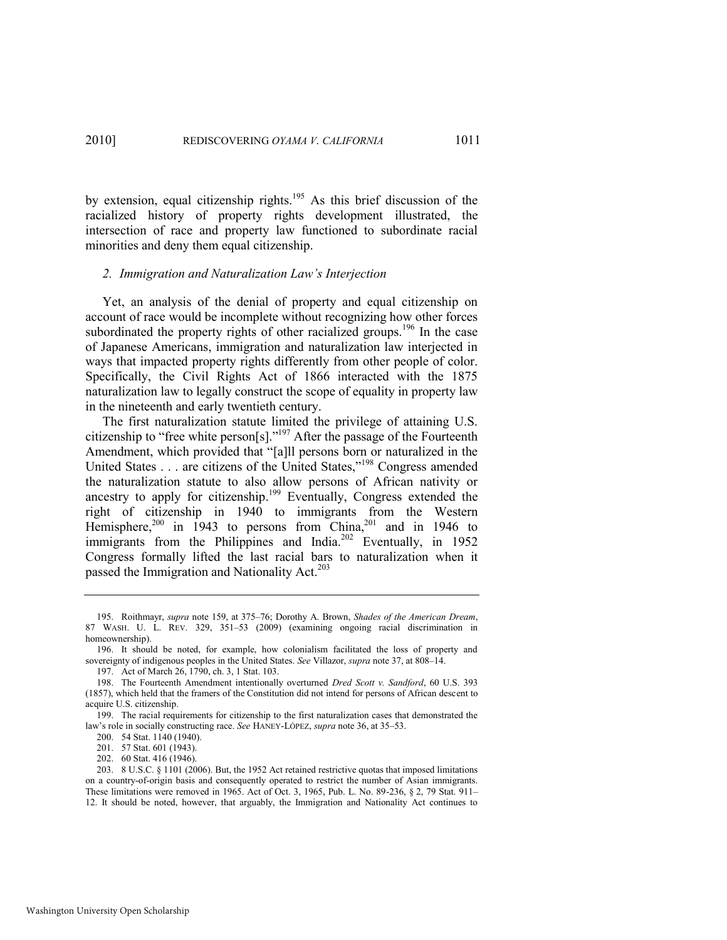by extension, equal citizenship rights.<sup>195</sup> As this brief discussion of the racialized history of property rights development illustrated, the intersection of race and property law functioned to subordinate racial minorities and deny them equal citizenship.

#### *2. Immigration and Naturalization Law's Interjection*

Yet, an analysis of the denial of property and equal citizenship on account of race would be incomplete without recognizing how other forces subordinated the property rights of other racialized groups.<sup>196</sup> In the case of Japanese Americans, immigration and naturalization law interjected in ways that impacted property rights differently from other people of color. Specifically, the Civil Rights Act of 1866 interacted with the 1875 naturalization law to legally construct the scope of equality in property law in the nineteenth and early twentieth century.

The first naturalization statute limited the privilege of attaining U.S. citizenship to "free white person $[s]$ ."<sup>197</sup> After the passage of the Fourteenth Amendment, which provided that "[a]ll persons born or naturalized in the United States . . . are citizens of the United States,"<sup>198</sup> Congress amended the naturalization statute to also allow persons of African nativity or ancestry to apply for citizenship.<sup>199</sup> Eventually, Congress extended the right of citizenship in 1940 to immigrants from the Western Hemisphere,<sup>200</sup> in 1943 to persons from China,<sup>201</sup> and in 1946 to immigrants from the Philippines and India.<sup>202</sup> Eventually, in 1952 Congress formally lifted the last racial bars to naturalization when it passed the Immigration and Nationality Act.<sup>203</sup>

<sup>195.</sup> Roithmayr, *supra* note [159,](#page-27-0) at 375–76; Dorothy A. Brown, *Shades of the American Dream*, 87 WASH. U. L. REV. 329, 351–53 (2009) (examining ongoing racial discrimination in homeownership).

<sup>196.</sup> It should be noted, for example, how colonialism facilitated the loss of property and sovereignty of indigenous peoples in the United States. *See* Villazor, *supra* not[e 37,](#page-12-0) at 808–14.

<sup>197.</sup> Act of March 26, 1790, ch. 3, 1 Stat. 103.

<sup>198.</sup> The Fourteenth Amendment intentionally overturned *Dred Scott v. Sandford*, 60 U.S. 393 (1857), which held that the framers of the Constitution did not intend for persons of African descent to acquire U.S. citizenship.

<sup>199.</sup> The racial requirements for citizenship to the first naturalization cases that demonstrated the law's role in socially constructing race. *See* HANEY-LÓPEZ, *supra* not[e 36,](#page-12-1) at 35–53.

<sup>200. 54</sup> Stat. 1140 (1940).

<sup>201. 57</sup> Stat. 601 (1943).

<sup>202. 60</sup> Stat. 416 (1946).

<sup>203. 8</sup> U.S.C. § 1101 (2006). But, the 1952 Act retained restrictive quotas that imposed limitations on a country-of-origin basis and consequently operated to restrict the number of Asian immigrants. These limitations were removed in 1965. Act of Oct. 3, 1965, Pub. L. No. 89-236, § 2, 79 Stat. 911– 12. It should be noted, however, that arguably, the Immigration and Nationality Act continues to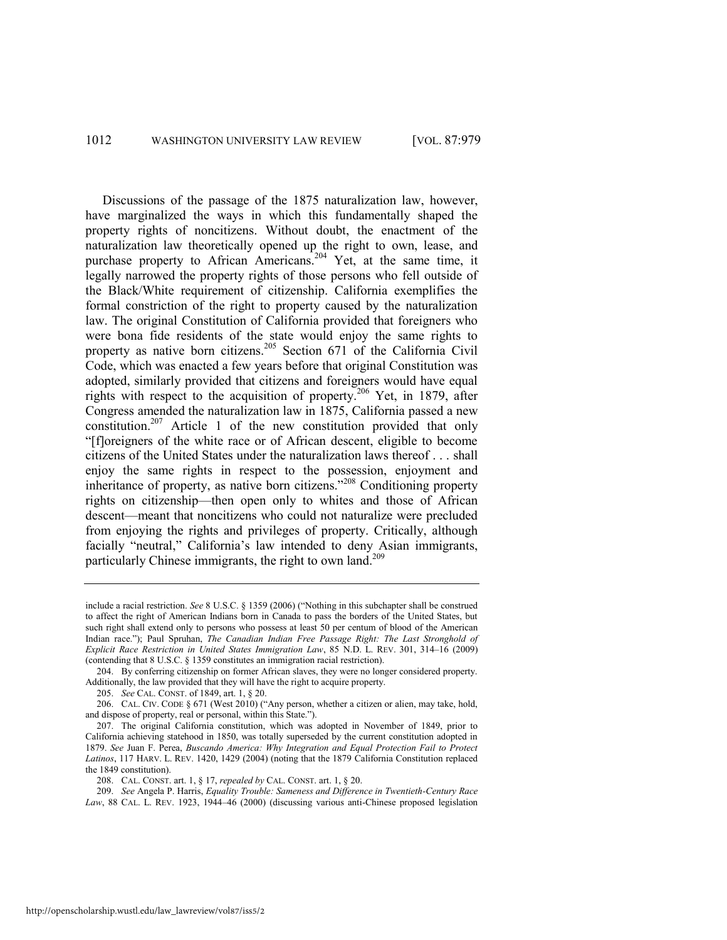Discussions of the passage of the 1875 naturalization law, however, have marginalized the ways in which this fundamentally shaped the property rights of noncitizens. Without doubt, the enactment of the naturalization law theoretically opened up the right to own, lease, and purchase property to African Americans.<sup>204</sup> Yet, at the same time, it legally narrowed the property rights of those persons who fell outside of the Black/White requirement of citizenship. California exemplifies the formal constriction of the right to property caused by the naturalization law. The original Constitution of California provided that foreigners who were bona fide residents of the state would enjoy the same rights to property as native born citizens.<sup>205</sup> Section 671 of the California Civil Code, which was enacted a few years before that original Constitution was adopted, similarly provided that citizens and foreigners would have equal rights with respect to the acquisition of property.<sup>206</sup> Yet, in 1879, after Congress amended the naturalization law in 1875, California passed a new constitution.<sup>207</sup> Article 1 of the new constitution provided that only ―[f]oreigners of the white race or of African descent, eligible to become citizens of the United States under the naturalization laws thereof . . . shall enjoy the same rights in respect to the possession, enjoyment and inheritance of property, as native born citizens."<sup>208</sup> Conditioning property rights on citizenship—then open only to whites and those of African descent—meant that noncitizens who could not naturalize were precluded from enjoying the rights and privileges of property. Critically, although facially "neutral," California's law intended to deny Asian immigrants, particularly Chinese immigrants, the right to own land.<sup>209</sup>

209. *See* Angela P. Harris, *Equality Trouble: Sameness and Difference in Twentieth-Century Race Law*, 88 CAL. L. REV. 1923, 1944–46 (2000) (discussing various anti-Chinese proposed legislation

include a racial restriction. *See* 8 U.S.C. § 1359 (2006) ("Nothing in this subchapter shall be construed to affect the right of American Indians born in Canada to pass the borders of the United States, but such right shall extend only to persons who possess at least 50 per centum of blood of the American Indian race.‖); Paul Spruhan, *The Canadian Indian Free Passage Right: The Last Stronghold of Explicit Race Restriction in United States Immigration Law*, 85 N.D. L. REV. 301, 314–16 (2009) (contending that 8 U.S.C. § 1359 constitutes an immigration racial restriction).

<sup>204.</sup> By conferring citizenship on former African slaves, they were no longer considered property. Additionally, the law provided that they will have the right to acquire property.

<sup>205.</sup> *See* CAL. CONST. of 1849, art. 1, § 20.

<sup>206.</sup> CAL. CIV. CODE § 671 (West 2010) ("Any person, whether a citizen or alien, may take, hold, and dispose of property, real or personal, within this State.").

<sup>207.</sup> The original California constitution, which was adopted in November of 1849, prior to California achieving statehood in 1850, was totally superseded by the current constitution adopted in 1879. *See* Juan F. Perea, *Buscando America: Why Integration and Equal Protection Fail to Protect Latinos*, 117 HARV. L. REV. 1420, 1429 (2004) (noting that the 1879 California Constitution replaced the 1849 constitution).

<sup>208.</sup> CAL. CONST. art. 1, § 17, *repealed by* CAL. CONST. art. 1, § 20.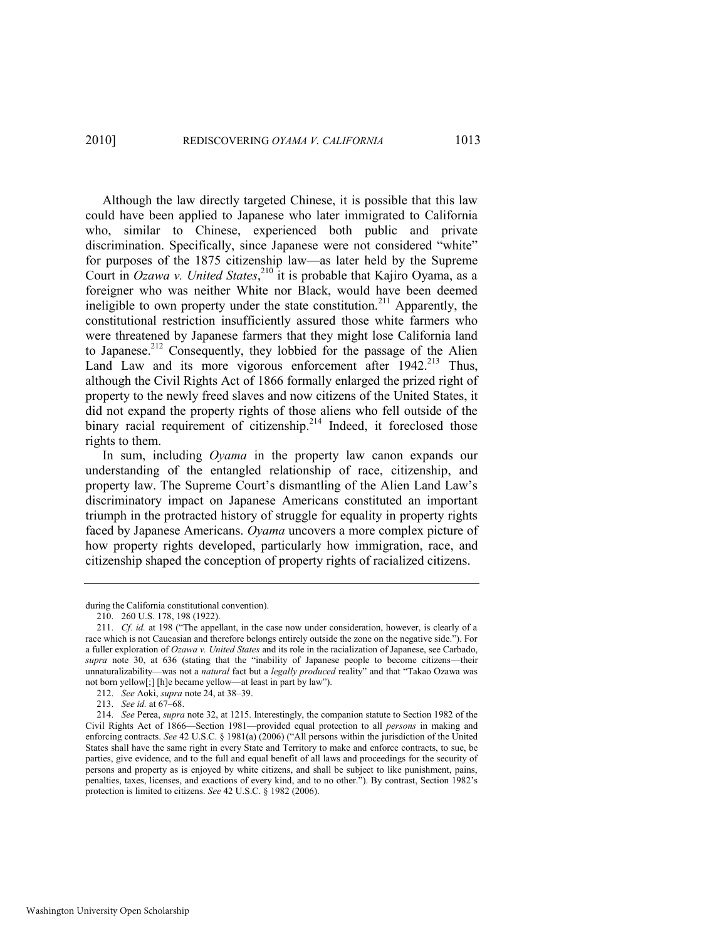2010] REDISCOVERING *OYAMA V. CALIFORNIA* 1013

Although the law directly targeted Chinese, it is possible that this law could have been applied to Japanese who later immigrated to California who, similar to Chinese, experienced both public and private discrimination. Specifically, since Japanese were not considered "white" for purposes of the 1875 citizenship law—as later held by the Supreme Court in *Ozawa v. United States*,<sup>210</sup> it is probable that Kajiro Oyama, as a foreigner who was neither White nor Black, would have been deemed ineligible to own property under the state constitution.<sup>211</sup> Apparently, the constitutional restriction insufficiently assured those white farmers who were threatened by Japanese farmers that they might lose California land to Japanese.<sup>212</sup> Consequently, they lobbied for the passage of the Alien Land Law and its more vigorous enforcement after  $1942$ <sup>213</sup> Thus, although the Civil Rights Act of 1866 formally enlarged the prized right of property to the newly freed slaves and now citizens of the United States, it did not expand the property rights of those aliens who fell outside of the binary racial requirement of citizenship.<sup>214</sup> Indeed, it foreclosed those rights to them.

In sum, including *Oyama* in the property law canon expands our understanding of the entangled relationship of race, citizenship, and property law. The Supreme Court's dismantling of the Alien Land Law's discriminatory impact on Japanese Americans constituted an important triumph in the protracted history of struggle for equality in property rights faced by Japanese Americans. *Oyama* uncovers a more complex picture of how property rights developed, particularly how immigration, race, and citizenship shaped the conception of property rights of racialized citizens.

during the California constitutional convention).

<sup>210. 260</sup> U.S. 178, 198 (1922).

<sup>211.</sup> *Cf. id.* at 198 ("The appellant, in the case now under consideration, however, is clearly of a race which is not Caucasian and therefore belongs entirely outside the zone on the negative side."). For a fuller exploration of *Ozawa v. United States* and its role in the racialization of Japanese, see Carbado, supra note [30,](#page-8-0) at 636 (stating that the "inability of Japanese people to become citizens--their unnaturalizability—was not a *natural* fact but a *legally produced* reality" and that "Takao Ozawa was not born yellow[;] [h]e became yellow—at least in part by law").

<sup>212.</sup> *See* Aoki, *supra* not[e 24,](#page-7-0) at 38–39.

<sup>213.</sup> *See id.* at 67–68.

<sup>214.</sup> *See* Perea, *supra* not[e 32,](#page-9-0) at 1215. Interestingly, the companion statute to Section 1982 of the Civil Rights Act of 1866—Section 1981—provided equal protection to all *persons* in making and enforcing contracts. *See* 42 U.S.C. § 1981(a) (2006) ("All persons within the jurisdiction of the United States shall have the same right in every State and Territory to make and enforce contracts, to sue, be parties, give evidence, and to the full and equal benefit of all laws and proceedings for the security of persons and property as is enjoyed by white citizens, and shall be subject to like punishment, pains, penalties, taxes, licenses, and exactions of every kind, and to no other."). By contrast, Section 1982's protection is limited to citizens. *See* 42 U.S.C. § 1982 (2006).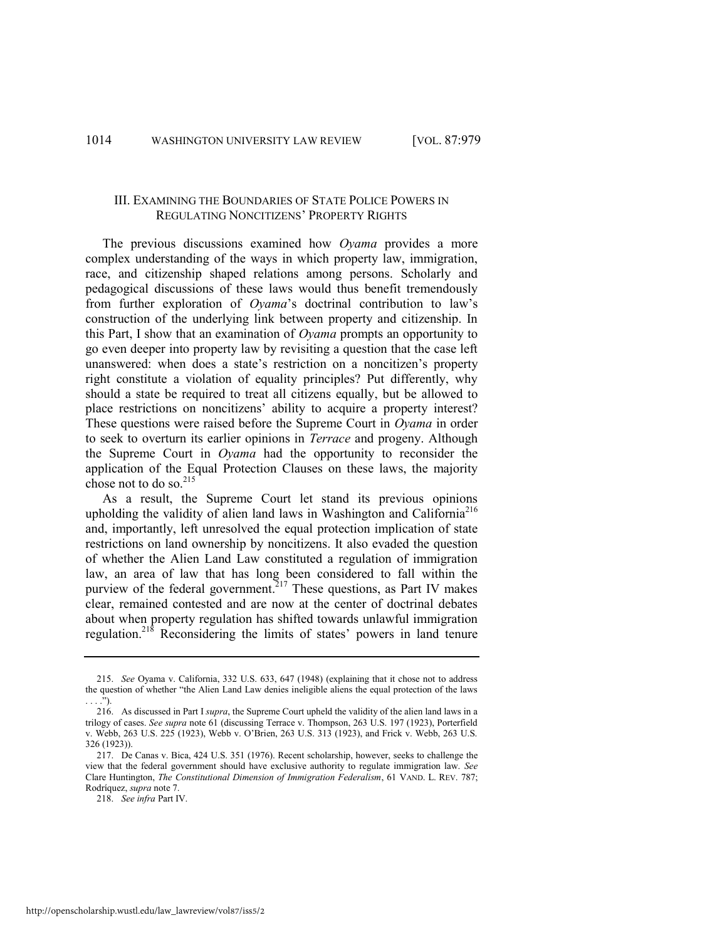## III. EXAMINING THE BOUNDARIES OF STATE POLICE POWERS IN REGULATING NONCITIZENS' PROPERTY RIGHTS

The previous discussions examined how *Oyama* provides a more complex understanding of the ways in which property law, immigration, race, and citizenship shaped relations among persons. Scholarly and pedagogical discussions of these laws would thus benefit tremendously from further exploration of *Oyama*'s doctrinal contribution to law's construction of the underlying link between property and citizenship. In this Part, I show that an examination of *Oyama* prompts an opportunity to go even deeper into property law by revisiting a question that the case left unanswered: when does a state's restriction on a noncitizen's property right constitute a violation of equality principles? Put differently, why should a state be required to treat all citizens equally, but be allowed to place restrictions on noncitizens' ability to acquire a property interest? These questions were raised before the Supreme Court in *Oyama* in order to seek to overturn its earlier opinions in *Terrace* and progeny. Although the Supreme Court in *Oyama* had the opportunity to reconsider the application of the Equal Protection Clauses on these laws, the majority chose not to do so. $^{215}$ 

<span id="page-36-0"></span>As a result, the Supreme Court let stand its previous opinions upholding the validity of alien land laws in Washington and California<sup>216</sup> and, importantly, left unresolved the equal protection implication of state restrictions on land ownership by noncitizens. It also evaded the question of whether the Alien Land Law constituted a regulation of immigration law, an area of law that has long been considered to fall within the purview of the federal government.<sup>217</sup> These questions, as Part IV makes clear, remained contested and are now at the center of doctrinal debates about when property regulation has shifted towards unlawful immigration regulation.<sup>218</sup> Reconsidering the limits of states' powers in land tenure

<sup>215.</sup> *See* Oyama v. California, 332 U.S. 633, 647 (1948) (explaining that it chose not to address the question of whether "the Alien Land Law denies ineligible aliens the equal protection of the laws  $\cdot$ ").

<sup>216.</sup> As discussed in Part I *supra*, the Supreme Court upheld the validity of the alien land laws in a trilogy of cases. *See supra* not[e 61](#page-15-2) (discussing Terrace v. Thompson, 263 U.S. 197 (1923), Porterfield v. Webb, 263 U.S. 225 (1923), Webb v. O'Brien, 263 U.S. 313 (1923), and Frick v. Webb, 263 U.S. 326 (1923)).

<sup>217.</sup> De Canas v. Bica, 424 U.S. 351 (1976). Recent scholarship, however, seeks to challenge the view that the federal government should have exclusive authority to regulate immigration law. *See*  Clare Huntington, *The Constitutional Dimension of Immigration Federalism*, 61 VAND. L. REV. 787; Rodríquez, *supra* not[e 7.](#page-4-0)

<sup>218.</sup> *See infra* Part IV.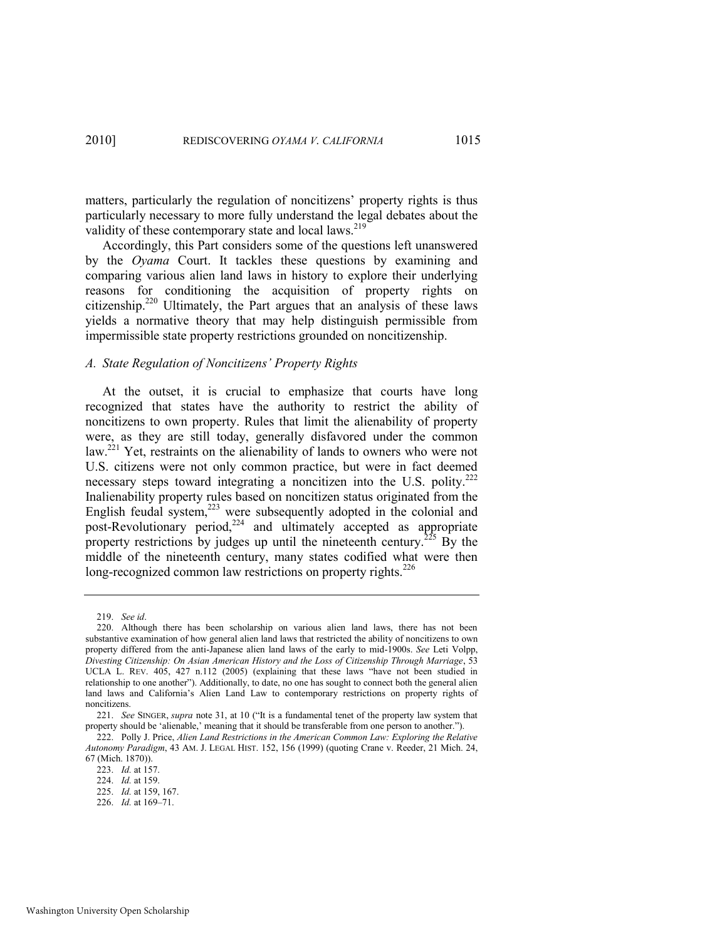matters, particularly the regulation of noncitizens' property rights is thus particularly necessary to more fully understand the legal debates about the validity of these contemporary state and local laws.<sup>219</sup>

<span id="page-37-1"></span>Accordingly, this Part considers some of the questions left unanswered by the *Oyama* Court. It tackles these questions by examining and comparing various alien land laws in history to explore their underlying reasons for conditioning the acquisition of property rights on citizenship.<sup>220</sup> Ultimately, the Part argues that an analysis of these laws yields a normative theory that may help distinguish permissible from impermissible state property restrictions grounded on noncitizenship.

#### *A. State Regulation of Noncitizens' Property Rights*

<span id="page-37-0"></span>At the outset, it is crucial to emphasize that courts have long recognized that states have the authority to restrict the ability of noncitizens to own property. Rules that limit the alienability of property were, as they are still today, generally disfavored under the common law.<sup>221</sup> Yet, restraints on the alienability of lands to owners who were not U.S. citizens were not only common practice, but were in fact deemed necessary steps toward integrating a noncitizen into the U.S. polity.<sup>222</sup> Inalienability property rules based on noncitizen status originated from the English feudal system, $^{223}$  were subsequently adopted in the colonial and post-Revolutionary period,<sup>224</sup> and ultimately accepted as appropriate property restrictions by judges up until the nineteenth century.<sup>225</sup> By the middle of the nineteenth century, many states codified what were then long-recognized common law restrictions on property rights.<sup>226</sup>

<sup>219.</sup> *See id*.

<sup>220.</sup> Although there has been scholarship on various alien land laws, there has not been substantive examination of how general alien land laws that restricted the ability of noncitizens to own property differed from the anti-Japanese alien land laws of the early to mid-1900s. *See* Leti Volpp, *Divesting Citizenship: On Asian American History and the Loss of Citizenship Through Marriage*, 53 UCLA L. REV. 405, 427 n.112 (2005) (explaining that these laws "have not been studied in relationship to one another"). Additionally, to date, no one has sought to connect both the general alien land laws and California's Alien Land Law to contemporary restrictions on property rights of noncitizens.

<sup>221.</sup> *See* SINGER, *supra* note [31](#page-9-1), at 10 ("It is a fundamental tenet of the property law system that property should be 'alienable,' meaning that it should be transferable from one person to another.").

<sup>222.</sup> Polly J. Price, *Alien Land Restrictions in the American Common Law: Exploring the Relative Autonomy Paradigm*, 43 AM. J. LEGAL HIST. 152, 156 (1999) (quoting Crane v. Reeder, 21 Mich. 24, 67 (Mich. 1870)).

<sup>223.</sup> *Id.* at 157.

<sup>224.</sup> *Id.* at 159.

<sup>225.</sup> *Id.* at 159, 167.

<sup>226.</sup> *Id.* at 169–71.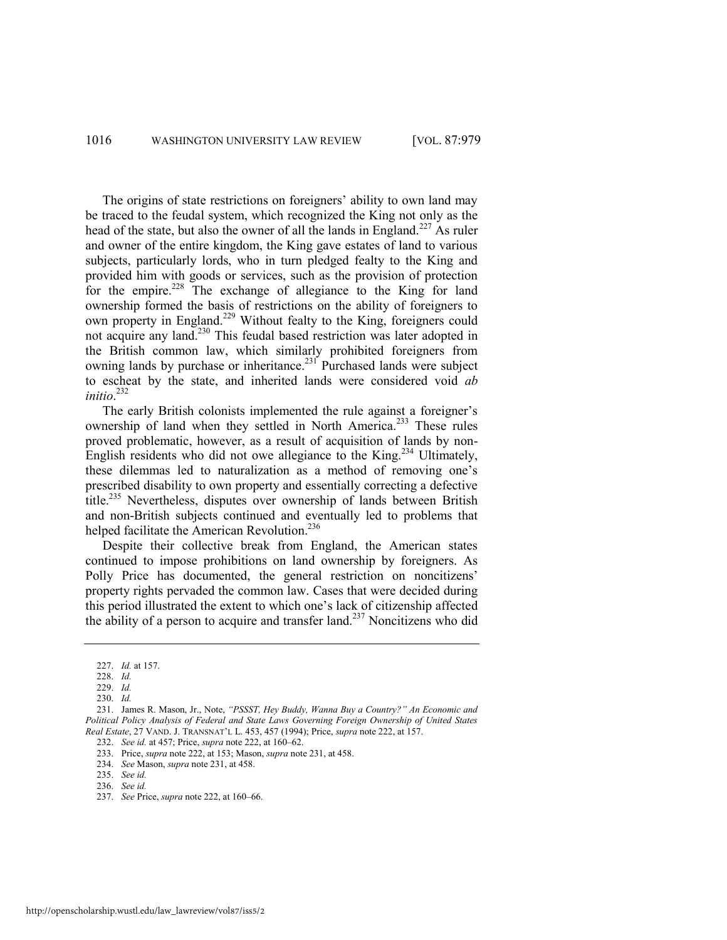The origins of state restrictions on foreigners' ability to own land may be traced to the feudal system, which recognized the King not only as the head of the state, but also the owner of all the lands in England.<sup>227</sup> As ruler and owner of the entire kingdom, the King gave estates of land to various subjects, particularly lords, who in turn pledged fealty to the King and provided him with goods or services, such as the provision of protection for the empire.<sup>228</sup> The exchange of allegiance to the King for land ownership formed the basis of restrictions on the ability of foreigners to own property in England.<sup>229</sup> Without fealty to the King, foreigners could not acquire any land.<sup>230</sup> This feudal based restriction was later adopted in the British common law, which similarly prohibited foreigners from owning lands by purchase or inheritance.<sup>231</sup> Purchased lands were subject to escheat by the state, and inherited lands were considered void *ab initio*. 232

<span id="page-38-0"></span>The early British colonists implemented the rule against a foreigner's ownership of land when they settled in North America.<sup>233</sup> These rules proved problematic, however, as a result of acquisition of lands by non-English residents who did not owe allegiance to the King.<sup>234</sup> Ultimately, these dilemmas led to naturalization as a method of removing one's prescribed disability to own property and essentially correcting a defective title.<sup>235</sup> Nevertheless, disputes over ownership of lands between British and non-British subjects continued and eventually led to problems that helped facilitate the American Revolution.<sup>236</sup>

Despite their collective break from England, the American states continued to impose prohibitions on land ownership by foreigners. As Polly Price has documented, the general restriction on noncitizens' property rights pervaded the common law. Cases that were decided during this period illustrated the extent to which one's lack of citizenship affected the ability of a person to acquire and transfer land.<sup>237</sup> Noncitizens who did

<sup>227.</sup> *Id.* at 157.

<sup>228.</sup> *Id.* 

<sup>229.</sup> *Id.*

<sup>230.</sup> *Id.*

<sup>231.</sup> James R. Mason, Jr., Note, "PSSST, Hey Buddy, Wanna Buy a Country?" An Economic and *Political Policy Analysis of Federal and State Laws Governing Foreign Ownership of United States Real Estate*, 27 VAND. J. TRANSNAT'L L. 453, 457 (1994); Price, *supra* not[e 222,](#page-37-0) at 157.

<sup>232.</sup> *See id.* at 457; Price, *supra* not[e 222,](#page-37-0) at 160–62.

<sup>233.</sup> Price, *supra* not[e 222,](#page-37-0) at 153; Mason, *supra* not[e 231,](#page-38-0) at 458.

<sup>234.</sup> *See* Mason, *supra* not[e 231,](#page-38-0) at 458.

<sup>235.</sup> *See id.* 

<sup>236.</sup> *See id.* 

<sup>237.</sup> *See* Price, *supra* note [222,](#page-37-0) at 160–66.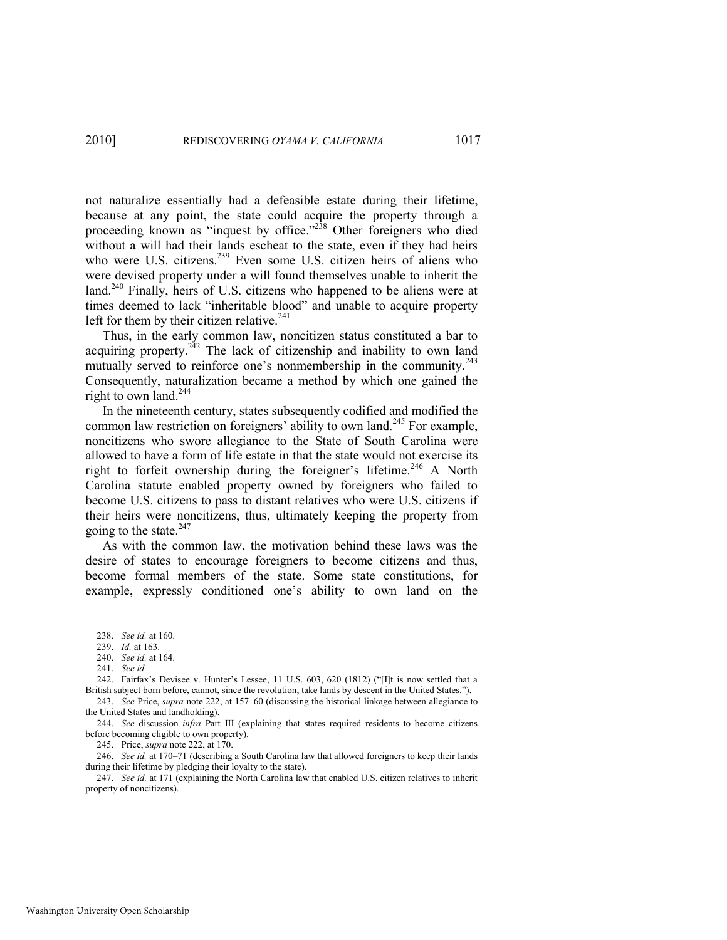not naturalize essentially had a defeasible estate during their lifetime, because at any point, the state could acquire the property through a proceeding known as "inquest by office."<sup>238</sup> Other foreigners who died without a will had their lands escheat to the state, even if they had heirs who were U.S. citizens.<sup>239</sup> Even some U.S. citizen heirs of aliens who were devised property under a will found themselves unable to inherit the land.<sup>240</sup> Finally, heirs of U.S. citizens who happened to be aliens were at times deemed to lack "inheritable blood" and unable to acquire property left for them by their citizen relative. $241$ 

Thus, in the early common law, noncitizen status constituted a bar to acquiring property.<sup>242</sup> The lack of citizenship and inability to own land mutually served to reinforce one's nonmembership in the community.<sup>243</sup> Consequently, naturalization became a method by which one gained the right to own land.<sup>244</sup>

In the nineteenth century, states subsequently codified and modified the common law restriction on foreigners' ability to own land.<sup>245</sup> For example, noncitizens who swore allegiance to the State of South Carolina were allowed to have a form of life estate in that the state would not exercise its right to forfeit ownership during the foreigner's lifetime.<sup>246</sup> A North Carolina statute enabled property owned by foreigners who failed to become U.S. citizens to pass to distant relatives who were U.S. citizens if their heirs were noncitizens, thus, ultimately keeping the property from going to the state. $247$ 

As with the common law, the motivation behind these laws was the desire of states to encourage foreigners to become citizens and thus, become formal members of the state. Some state constitutions, for example, expressly conditioned one's ability to own land on the

241. *See id.* 

245. Price, *supra* not[e 222,](#page-37-0) at 170.

246. *See id.* at 170–71 (describing a South Carolina law that allowed foreigners to keep their lands during their lifetime by pledging their loyalty to the state).

247. *See id.* at 171 (explaining the North Carolina law that enabled U.S. citizen relatives to inherit property of noncitizens).

<sup>238.</sup> *See id.* at 160.

<sup>239.</sup> *Id.* at 163.

<sup>240.</sup> *See id.* at 164.

<sup>242.</sup> Fairfax's Devisee v. Hunter's Lessee, 11 U.S. 603, 620 (1812) ("[I]t is now settled that a British subject born before, cannot, since the revolution, take lands by descent in the United States."). 243. *See* Price, *supra* note [222,](#page-37-0) at 157–60 (discussing the historical linkage between allegiance to

the United States and landholding).

<sup>244.</sup> *See* discussion *infra* Part III (explaining that states required residents to become citizens before becoming eligible to own property).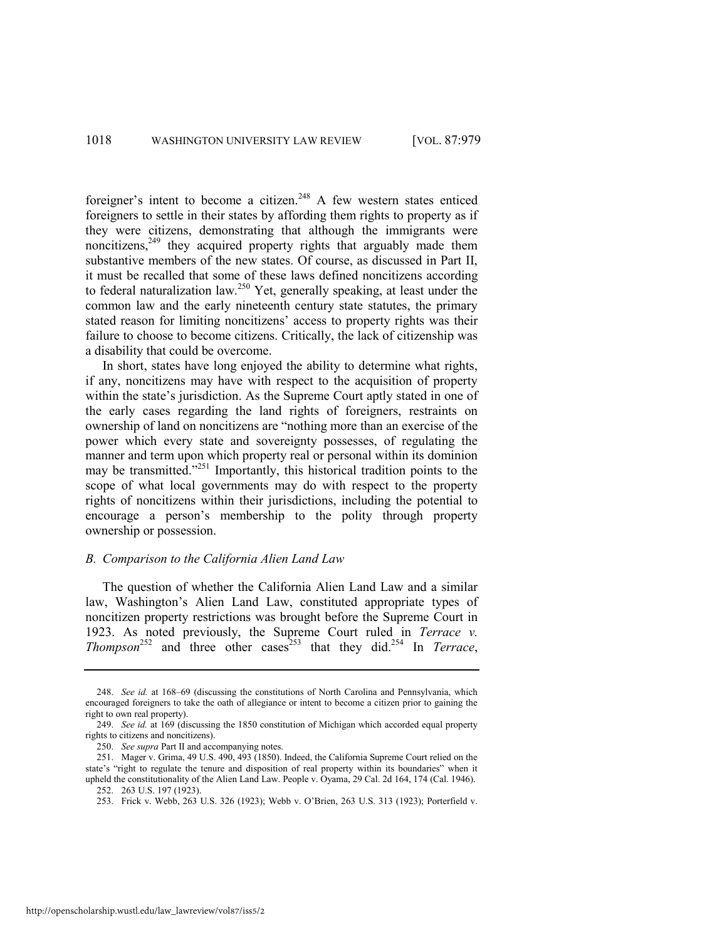foreigner's intent to become a citizen.<sup>248</sup> A few western states enticed foreigners to settle in their states by affording them rights to property as if they were citizens, demonstrating that although the immigrants were noncitizens,<sup>249</sup> they acquired property rights that arguably made them substantive members of the new states. Of course, as discussed in Part II, it must be recalled that some of these laws defined noncitizens according to federal naturalization law.<sup>250</sup> Yet, generally speaking, at least under the common law and the early nineteenth century state statutes, the primary stated reason for limiting noncitizens' access to property rights was their failure to choose to become citizens. Critically, the lack of citizenship was a disability that could be overcome.

In short, states have long enjoyed the ability to determine what rights, if any, noncitizens may have with respect to the acquisition of property within the state's jurisdiction. As the Supreme Court aptly stated in one of the early cases regarding the land rights of foreigners, restraints on ownership of land on noncitizens are "nothing more than an exercise of the power which every state and sovereignty possesses, of regulating the manner and term upon which property real or personal within its dominion may be transmitted.<sup>3251</sup> Importantly, this historical tradition points to the scope of what local governments may do with respect to the property rights of noncitizens within their jurisdictions, including the potential to encourage a person's membership to the polity through property ownership or possession.

#### *B. Comparison to the California Alien Land Law*

The question of whether the California Alien Land Law and a similar law, Washington's Alien Land Law, constituted appropriate types of noncitizen property restrictions was brought before the Supreme Court in 1923. As noted previously, the Supreme Court ruled in *Terrace v. Thompson*<sup>252</sup> and three other cases<sup>253</sup> that they did.<sup>254</sup> In *Terrace*,

<sup>248.</sup> *See id.* at 168–69 (discussing the constitutions of North Carolina and Pennsylvania, which encouraged foreigners to take the oath of allegiance or intent to become a citizen prior to gaining the right to own real property).

<sup>249.</sup> *See id.* at 169 (discussing the 1850 constitution of Michigan which accorded equal property rights to citizens and noncitizens).

<sup>250.</sup> *See supra* Part II and accompanying notes.

<sup>251.</sup> Mager v. Grima, 49 U.S. 490, 493 (1850). Indeed, the California Supreme Court relied on the state's "right to regulate the tenure and disposition of real property within its boundaries" when it upheld the constitutionality of the Alien Land Law. People v. Oyama, 29 Cal. 2d 164, 174 (Cal. 1946). 252. 263 U.S. 197 (1923).

<sup>253.</sup> Frick v. Webb, 263 U.S. 326 (1923); Webb v. O'Brien, 263 U.S. 313 (1923); Porterfield v.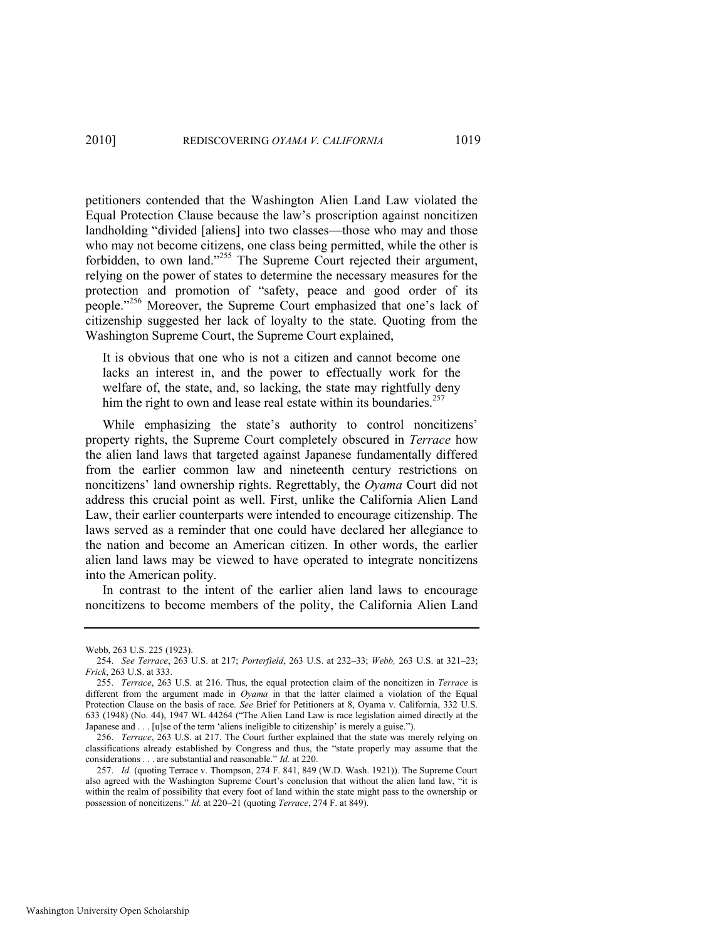petitioners contended that the Washington Alien Land Law violated the Equal Protection Clause because the law's proscription against noncitizen landholding "divided [aliens] into two classes—those who may and those who may not become citizens, one class being permitted, while the other is forbidden, to own land."<sup>255</sup> The Supreme Court rejected their argument, relying on the power of states to determine the necessary measures for the protection and promotion of "safety, peace and good order of its people."<sup>256</sup> Moreover, the Supreme Court emphasized that one's lack of citizenship suggested her lack of loyalty to the state. Quoting from the Washington Supreme Court, the Supreme Court explained,

It is obvious that one who is not a citizen and cannot become one lacks an interest in, and the power to effectually work for the welfare of, the state, and, so lacking, the state may rightfully deny him the right to own and lease real estate within its boundaries.<sup>257</sup>

While emphasizing the state's authority to control noncitizens' property rights, the Supreme Court completely obscured in *Terrace* how the alien land laws that targeted against Japanese fundamentally differed from the earlier common law and nineteenth century restrictions on noncitizens' land ownership rights. Regrettably, the *Oyama* Court did not address this crucial point as well. First, unlike the California Alien Land Law, their earlier counterparts were intended to encourage citizenship. The laws served as a reminder that one could have declared her allegiance to the nation and become an American citizen. In other words, the earlier alien land laws may be viewed to have operated to integrate noncitizens into the American polity.

In contrast to the intent of the earlier alien land laws to encourage noncitizens to become members of the polity, the California Alien Land

Webb, 263 U.S. 225 (1923).

<sup>254.</sup> *See Terrace*, 263 U.S. at 217; *Porterfield*, 263 U.S. at 232–33; *Webb,* 263 U.S. at 321–23; *Frick*, 263 U.S. at 333.

<sup>255.</sup> *Terrace*, 263 U.S. at 216. Thus, the equal protection claim of the noncitizen in *Terrace* is different from the argument made in *Oyama* in that the latter claimed a violation of the Equal Protection Clause on the basis of race. *See* Brief for Petitioners at 8, Oyama v. California, 332 U.S.  $633$  (1948) (No. 44), 1947 WL 44264 ("The Alien Land Law is race legislation aimed directly at the Japanese and . . . [u]se of the term 'aliens ineligible to citizenship' is merely a guise.").

<sup>256.</sup> *Terrace*, 263 U.S. at 217. The Court further explained that the state was merely relying on classifications already established by Congress and thus, the "state properly may assume that the considerations . . . are substantial and reasonable." *Id.* at 220.

<sup>257.</sup> *Id.* (quoting Terrace v. Thompson, 274 F. 841, 849 (W.D. Wash. 1921)). The Supreme Court also agreed with the Washington Supreme Court's conclusion that without the alien land law, "it is within the realm of possibility that every foot of land within the state might pass to the ownership or possession of noncitizens." *Id.* at 220–21 (quoting *Terrace*, 274 F. at 849).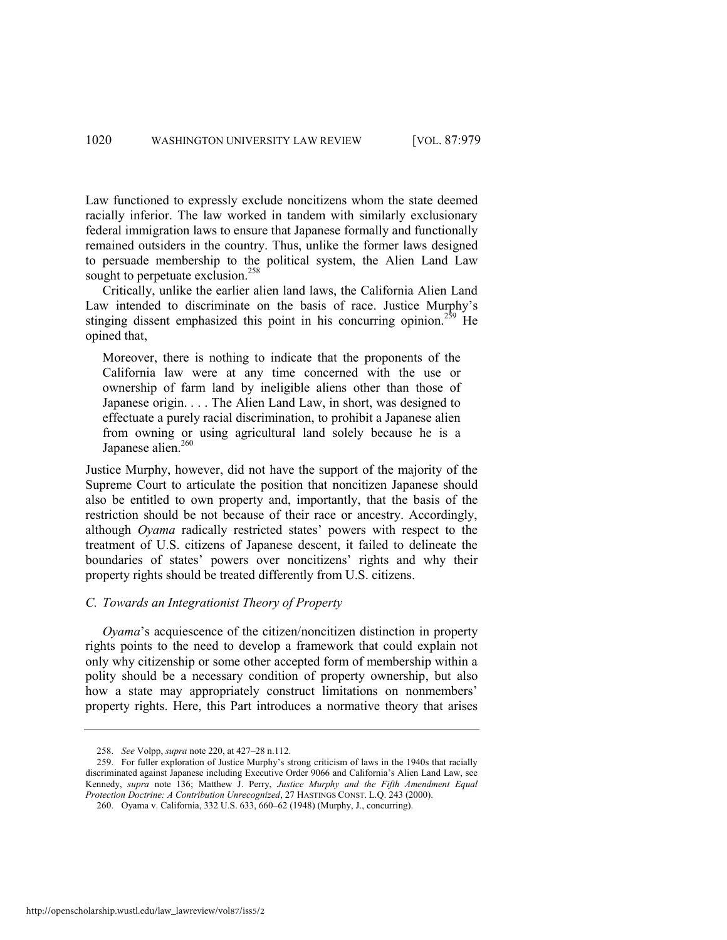Law functioned to expressly exclude noncitizens whom the state deemed racially inferior. The law worked in tandem with similarly exclusionary federal immigration laws to ensure that Japanese formally and functionally remained outsiders in the country. Thus, unlike the former laws designed to persuade membership to the political system, the Alien Land Law sought to perpetuate exclusion.<sup>258</sup>

Critically, unlike the earlier alien land laws, the California Alien Land Law intended to discriminate on the basis of race. Justice Murphy's stinging dissent emphasized this point in his concurring opinion.<sup>259</sup> He opined that,

Moreover, there is nothing to indicate that the proponents of the California law were at any time concerned with the use or ownership of farm land by ineligible aliens other than those of Japanese origin. . . . The Alien Land Law, in short, was designed to effectuate a purely racial discrimination, to prohibit a Japanese alien from owning or using agricultural land solely because he is a Japanese alien.<sup>260</sup>

Justice Murphy, however, did not have the support of the majority of the Supreme Court to articulate the position that noncitizen Japanese should also be entitled to own property and, importantly, that the basis of the restriction should be not because of their race or ancestry. Accordingly, although *Oyama* radically restricted states' powers with respect to the treatment of U.S. citizens of Japanese descent, it failed to delineate the boundaries of states' powers over noncitizens' rights and why their property rights should be treated differently from U.S. citizens.

### *C. Towards an Integrationist Theory of Property*

*Oyama*'s acquiescence of the citizen/noncitizen distinction in property rights points to the need to develop a framework that could explain not only why citizenship or some other accepted form of membership within a polity should be a necessary condition of property ownership, but also how a state may appropriately construct limitations on nonmembers' property rights. Here, this Part introduces a normative theory that arises

<sup>258.</sup> *See* Volpp, *supra* not[e 220,](#page-37-1) at 427–28 n.112.

<sup>259.</sup> For fuller exploration of Justice Murphy's strong criticism of laws in the 1940s that racially discriminated against Japanese including Executive Order 9066 and California's Alien Land Law, see Kennedy, *supra* note [136;](#page-23-0) Matthew J. Perry, *Justice Murphy and the Fifth Amendment Equal Protection Doctrine: A Contribution Unrecognized*, 27 HASTINGS CONST. L.Q. 243 (2000).

<sup>260.</sup> Oyama v. California, 332 U.S. 633, 660–62 (1948) (Murphy, J., concurring).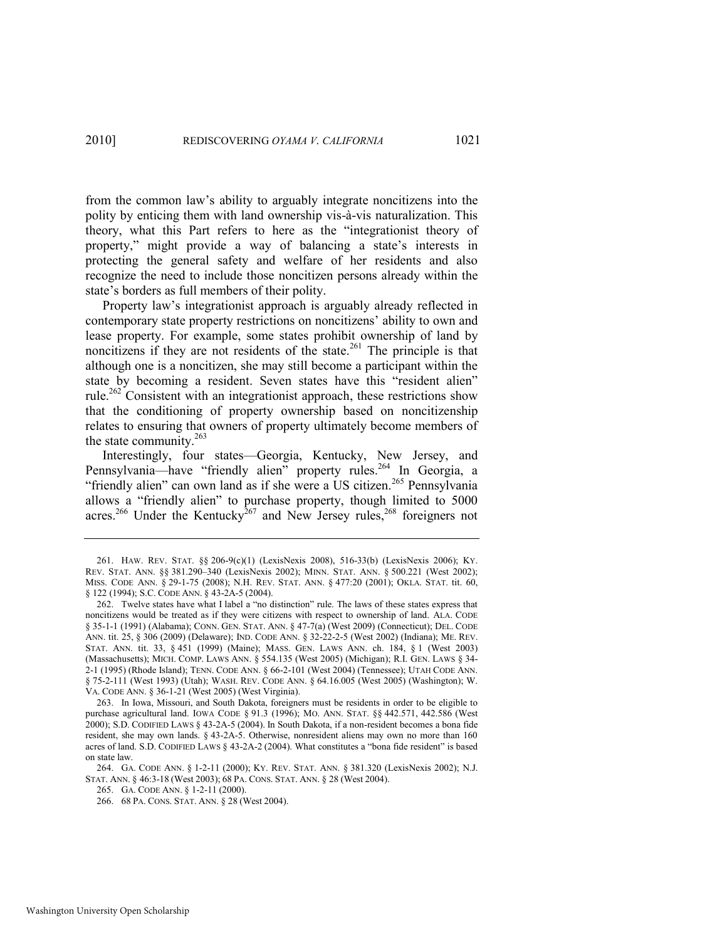from the common law's ability to arguably integrate noncitizens into the polity by enticing them with land ownership vis-à-vis naturalization. This theory, what this Part refers to here as the "integrationist theory of property," might provide a way of balancing a state's interests in protecting the general safety and welfare of her residents and also recognize the need to include those noncitizen persons already within the state's borders as full members of their polity.

Property law's integrationist approach is arguably already reflected in contemporary state property restrictions on noncitizens' ability to own and lease property. For example, some states prohibit ownership of land by noncitizens if they are not residents of the state.<sup>261</sup> The principle is that although one is a noncitizen, she may still become a participant within the state by becoming a resident. Seven states have this "resident alien" rule.<sup>262</sup> Consistent with an integrationist approach, these restrictions show that the conditioning of property ownership based on noncitizenship relates to ensuring that owners of property ultimately become members of the state community.<sup>263</sup>

Interestingly, four states—Georgia, Kentucky, New Jersey, and Pennsylvania—have "friendly alien" property rules.<sup>264</sup> In Georgia, a "friendly alien" can own land as if she were a US citizen.<sup>265</sup> Pennsylvania allows a "friendly alien" to purchase property, though limited to 5000 acres.<sup>266</sup> Under the Kentucky<sup>267</sup> and New Jersey rules,<sup>268</sup> foreigners not

<sup>261.</sup> HAW. REV. STAT. §§ 206-9(c)(1) (LexisNexis 2008), 516-33(b) (LexisNexis 2006); KY. REV. STAT. ANN. §§ 381.290–340 (LexisNexis 2002); MINN. STAT. ANN. § 500.221 (West 2002); MISS. CODE ANN. § 29-1-75 (2008); N.H. REV. STAT. ANN. § 477:20 (2001); OKLA. STAT. tit. 60, § 122 (1994); S.C. CODE ANN. § 43-2A-5 (2004).

<sup>262.</sup> Twelve states have what I label a "no distinction" rule. The laws of these states express that noncitizens would be treated as if they were citizens with respect to ownership of land. ALA. CODE § 35-1-1 (1991) (Alabama); CONN. GEN. STAT. ANN. § 47-7(a) (West 2009) (Connecticut); DEL. CODE ANN. tit. 25, § 306 (2009) (Delaware); IND. CODE ANN. § 32-22-2-5 (West 2002) (Indiana); ME. REV. STAT. ANN. tit. 33, § 451 (1999) (Maine); MASS. GEN. LAWS ANN. ch. 184, § 1 (West 2003) (Massachusetts); MICH. COMP. LAWS ANN. § 554.135 (West 2005) (Michigan); R.I. GEN. LAWS § 34- 2-1 (1995) (Rhode Island); TENN. CODE ANN. § 66-2-101 (West 2004) (Tennessee); UTAH CODE ANN. § 75-2-111 (West 1993) (Utah); WASH. REV. CODE ANN. § 64.16.005 (West 2005) (Washington); W. VA. CODE ANN. § 36-1-21 (West 2005) (West Virginia).

<sup>263.</sup> In Iowa, Missouri, and South Dakota, foreigners must be residents in order to be eligible to purchase agricultural land. IOWA CODE § 91.3 (1996); MO. ANN. STAT. §§ 442.571, 442.586 (West 2000); S.D. CODIFIED LAWS § 43-2A-5 (2004). In South Dakota, if a non-resident becomes a bona fide resident, she may own lands. § 43-2A-5. Otherwise, nonresident aliens may own no more than 160 acres of land. S.D. CODIFIED LAWS § 43-2A-2 (2004). What constitutes a "bona fide resident" is based on state law.

<sup>264.</sup> GA. CODE ANN. § 1-2-11 (2000); KY. REV. STAT. ANN. § 381.320 (LexisNexis 2002); N.J. STAT. ANN. § 46:3-18 (West 2003); 68 PA. CONS. STAT. ANN. § 28 (West 2004).

<sup>265.</sup> GA. CODE ANN. § 1-2-11 (2000).

<sup>266. 68</sup> PA. CONS. STAT. ANN. § 28 (West 2004).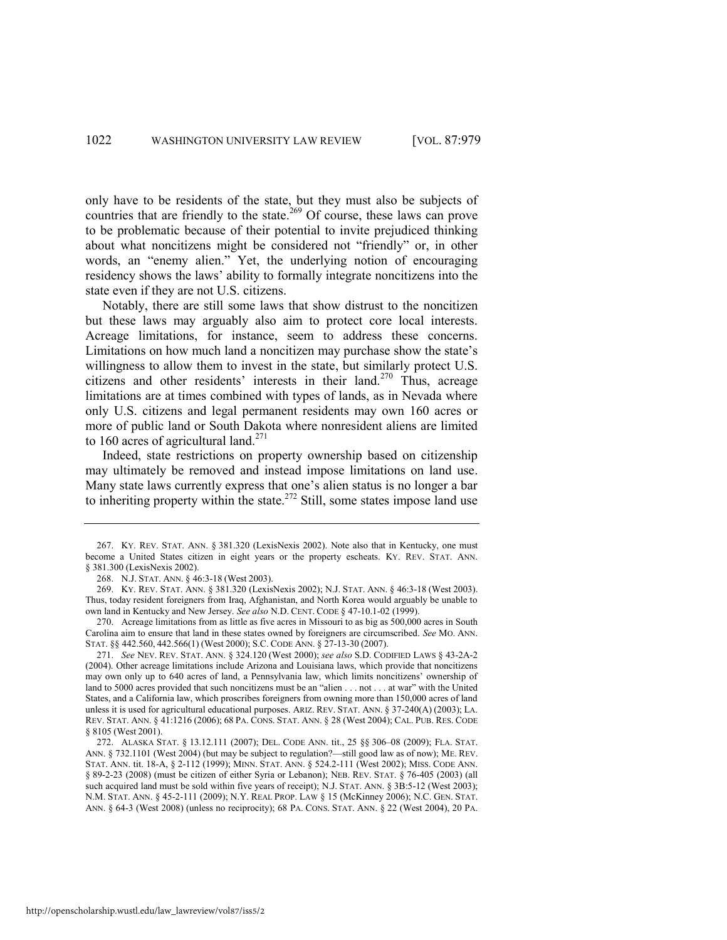only have to be residents of the state, but they must also be subjects of countries that are friendly to the state.<sup>269</sup> Of course, these laws can prove to be problematic because of their potential to invite prejudiced thinking about what noncitizens might be considered not "friendly" or, in other words, an "enemy alien." Yet, the underlying notion of encouraging residency shows the laws' ability to formally integrate noncitizens into the state even if they are not U.S. citizens.

Notably, there are still some laws that show distrust to the noncitizen but these laws may arguably also aim to protect core local interests. Acreage limitations, for instance, seem to address these concerns. Limitations on how much land a noncitizen may purchase show the state's willingness to allow them to invest in the state, but similarly protect U.S. citizens and other residents' interests in their land.<sup>270</sup> Thus, acreage limitations are at times combined with types of lands, as in Nevada where only U.S. citizens and legal permanent residents may own 160 acres or more of public land or South Dakota where nonresident aliens are limited to 160 acres of agricultural land.<sup>271</sup>

Indeed, state restrictions on property ownership based on citizenship may ultimately be removed and instead impose limitations on land use. Many state laws currently express that one's alien status is no longer a bar to inheriting property within the state.<sup>272</sup> Still, some states impose land use

<sup>267.</sup> KY. REV. STAT. ANN. § 381.320 (LexisNexis 2002). Note also that in Kentucky, one must become a United States citizen in eight years or the property escheats. KY. REV. STAT. ANN. § 381.300 (LexisNexis 2002).

<sup>268.</sup> N.J. STAT. ANN. § 46:3-18 (West 2003).

<sup>269.</sup> KY. REV. STAT. ANN. § 381.320 (LexisNexis 2002); N.J. STAT. ANN. § 46:3-18 (West 2003). Thus, today resident foreigners from Iraq, Afghanistan, and North Korea would arguably be unable to own land in Kentucky and New Jersey. *See also* N.D. CENT. CODE § 47-10.1-02 (1999).

<sup>270.</sup> Acreage limitations from as little as five acres in Missouri to as big as 500,000 acres in South Carolina aim to ensure that land in these states owned by foreigners are circumscribed. *See* MO. ANN. STAT. §§ 442.560, 442.566(1) (West 2000); S.C. CODE ANN. § 27-13-30 (2007).

<sup>271.</sup> *See* NEV. REV. STAT. ANN. § 324.120 (West 2000); *see also* S.D. CODIFIED LAWS § 43-2A-2 (2004). Other acreage limitations include Arizona and Louisiana laws, which provide that noncitizens may own only up to 640 acres of land, a Pennsylvania law, which limits noncitizens' ownership of land to 5000 acres provided that such noncitizens must be an "alien . . . not . . . at war" with the United States, and a California law, which proscribes foreigners from owning more than 150,000 acres of land unless it is used for agricultural educational purposes. ARIZ. REV. STAT. ANN. § 37-240(A) (2003); LA. REV. STAT. ANN. § 41:1216 (2006); 68 PA. CONS. STAT. ANN. § 28 (West 2004); CAL. PUB. RES. CODE § 8105 (West 2001).

<sup>272.</sup> ALASKA STAT. § 13.12.111 (2007); DEL. CODE ANN. tit., 25 §§ 306–08 (2009); FLA. STAT. ANN. § 732.1101 (West 2004) (but may be subject to regulation?—still good law as of now); ME. REV. STAT. ANN. tit. 18-A, § 2-112 (1999); MINN. STAT. ANN. § 524.2-111 (West 2002); MISS. CODE ANN. § 89-2-23 (2008) (must be citizen of either Syria or Lebanon); NEB. REV. STAT. § 76-405 (2003) (all such acquired land must be sold within five years of receipt); N.J. STAT. ANN. § 3B:5-12 (West 2003); N.M. STAT. ANN. § 45-2-111 (2009); N.Y. REAL PROP. LAW § 15 (McKinney 2006); N.C. GEN. STAT. ANN. § 64-3 (West 2008) (unless no reciprocity); 68 PA. CONS. STAT. ANN. § 22 (West 2004), 20 PA.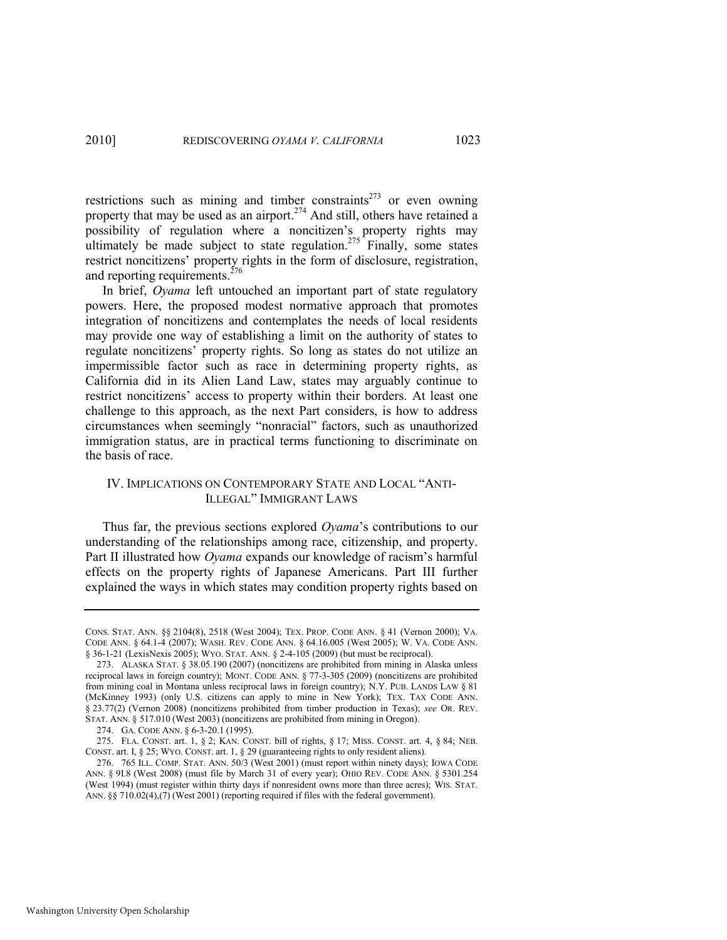restrictions such as mining and timber constraints<sup>273</sup> or even owning property that may be used as an airport.<sup>274</sup> And still, others have retained a possibility of regulation where a noncitizen's property rights may ultimately be made subject to state regulation.<sup>275</sup> Finally, some states restrict noncitizens' property rights in the form of disclosure, registration, and reporting requirements. $^{276}$ 

In brief, *Oyama* left untouched an important part of state regulatory powers. Here, the proposed modest normative approach that promotes integration of noncitizens and contemplates the needs of local residents may provide one way of establishing a limit on the authority of states to regulate noncitizens' property rights. So long as states do not utilize an impermissible factor such as race in determining property rights, as California did in its Alien Land Law, states may arguably continue to restrict noncitizens' access to property within their borders. At least one challenge to this approach, as the next Part considers, is how to address circumstances when seemingly "nonracial" factors, such as unauthorized immigration status, are in practical terms functioning to discriminate on the basis of race.

# IV. IMPLICATIONS ON CONTEMPORARY STATE AND LOCAL "ANTI-ILLEGAL‖ IMMIGRANT LAWS

Thus far, the previous sections explored *Oyama*'s contributions to our understanding of the relationships among race, citizenship, and property. Part II illustrated how *Oyama* expands our knowledge of racism's harmful effects on the property rights of Japanese Americans. Part III further explained the ways in which states may condition property rights based on

CONS. STAT. ANN. §§ 2104(8), 2518 (West 2004); TEX. PROP. CODE ANN. § 41 (Vernon 2000); VA. CODE ANN. § 64.1-4 (2007); WASH. REV. CODE ANN. § 64.16.005 (West 2005); W. VA. CODE ANN. § 36-1-21 (LexisNexis 2005); WYO. STAT. ANN. § 2-4-105 (2009) (but must be reciprocal).

<sup>273.</sup> ALASKA STAT. § 38.05.190 (2007) (noncitizens are prohibited from mining in Alaska unless reciprocal laws in foreign country); MONT. CODE ANN. § 77-3-305 (2009) (noncitizens are prohibited from mining coal in Montana unless reciprocal laws in foreign country); N.Y. PUB. LANDS LAW § 81 (McKinney 1993) (only U.S. citizens can apply to mine in New York); TEX. TAX CODE ANN. § 23.77(2) (Vernon 2008) (noncitizens prohibited from timber production in Texas); *see* OR. REV. STAT. ANN. § 517.010 (West 2003) (noncitizens are prohibited from mining in Oregon).

<sup>274.</sup> GA. CODE ANN. § 6-3-20.1 (1995).

<sup>275.</sup> FLA. CONST. art. 1, § 2; KAN. CONST. bill of rights, § 17; MISS. CONST. art. 4, § 84; NEB. CONST. art. I, § 25; WYO. CONST. art. 1, § 29 (guaranteeing rights to only resident aliens).

<sup>276. 765</sup> ILL. COMP. STAT. ANN. 50/3 (West 2001) (must report within ninety days); IOWA CODE ANN. § 9I.8 (West 2008) (must file by March 31 of every year); OHIO REV. CODE ANN. § 5301.254 (West 1994) (must register within thirty days if nonresident owns more than three acres); WIS. STAT. ANN. §§ 710.02(4),(7) (West 2001) (reporting required if files with the federal government).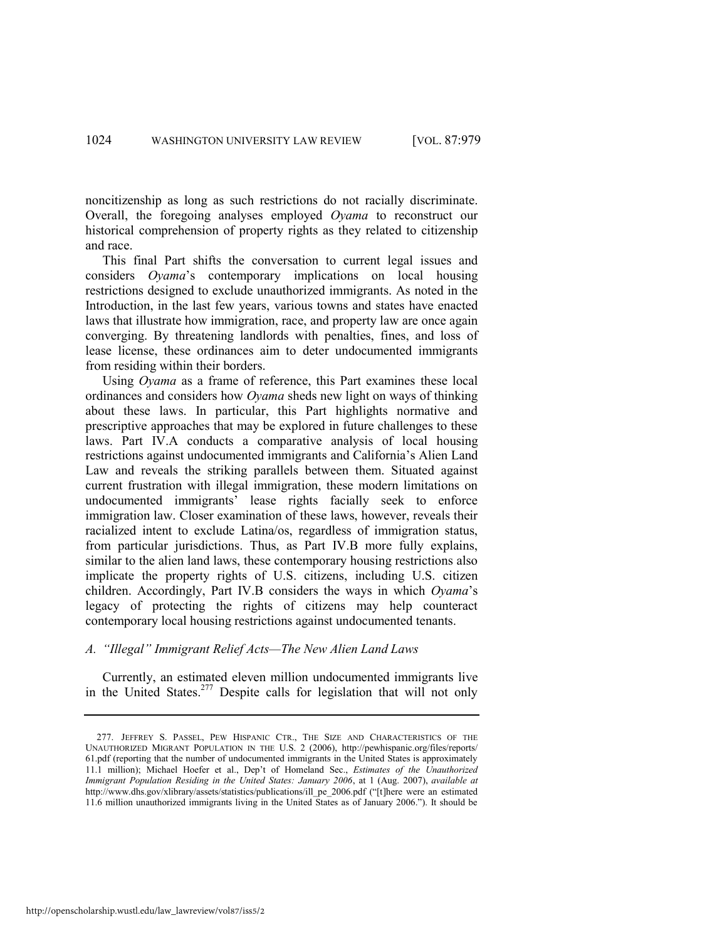noncitizenship as long as such restrictions do not racially discriminate. Overall, the foregoing analyses employed *Oyama* to reconstruct our historical comprehension of property rights as they related to citizenship and race.

This final Part shifts the conversation to current legal issues and considers *Oyama*'s contemporary implications on local housing restrictions designed to exclude unauthorized immigrants. As noted in the Introduction, in the last few years, various towns and states have enacted laws that illustrate how immigration, race, and property law are once again converging. By threatening landlords with penalties, fines, and loss of lease license, these ordinances aim to deter undocumented immigrants from residing within their borders.

Using *Oyama* as a frame of reference, this Part examines these local ordinances and considers how *Oyama* sheds new light on ways of thinking about these laws. In particular, this Part highlights normative and prescriptive approaches that may be explored in future challenges to these laws. Part IV.A conducts a comparative analysis of local housing restrictions against undocumented immigrants and California's Alien Land Law and reveals the striking parallels between them. Situated against current frustration with illegal immigration, these modern limitations on undocumented immigrants' lease rights facially seek to enforce immigration law. Closer examination of these laws, however, reveals their racialized intent to exclude Latina/os, regardless of immigration status, from particular jurisdictions. Thus, as Part IV.B more fully explains, similar to the alien land laws, these contemporary housing restrictions also implicate the property rights of U.S. citizens, including U.S. citizen children. Accordingly, Part IV.B considers the ways in which *Oyama*'s legacy of protecting the rights of citizens may help counteract contemporary local housing restrictions against undocumented tenants.

## *A. ―Illegal‖ Immigrant Relief Acts—The New Alien Land Laws*

Currently, an estimated eleven million undocumented immigrants live in the United States.<sup>277</sup> Despite calls for legislation that will not only

<sup>277.</sup> JEFFREY S. PASSEL, PEW HISPANIC CTR., THE SIZE AND CHARACTERISTICS OF THE UNAUTHORIZED MIGRANT POPULATION IN THE U.S. 2 (2006), http://pewhispanic.org/files/reports/ 61.pdf (reporting that the number of undocumented immigrants in the United States is approximately 11.1 million); Michael Hoefer et al., Dep't of Homeland Sec., *Estimates of the Unauthorized Immigrant Population Residing in the United States: January 2006*, at 1 (Aug. 2007), *available at*  http://www.dhs.gov/xlibrary/assets/statistics/publications/ill\_pe\_2006.pdf ("[t]here were an estimated 11.6 million unauthorized immigrants living in the United States as of January 2006."). It should be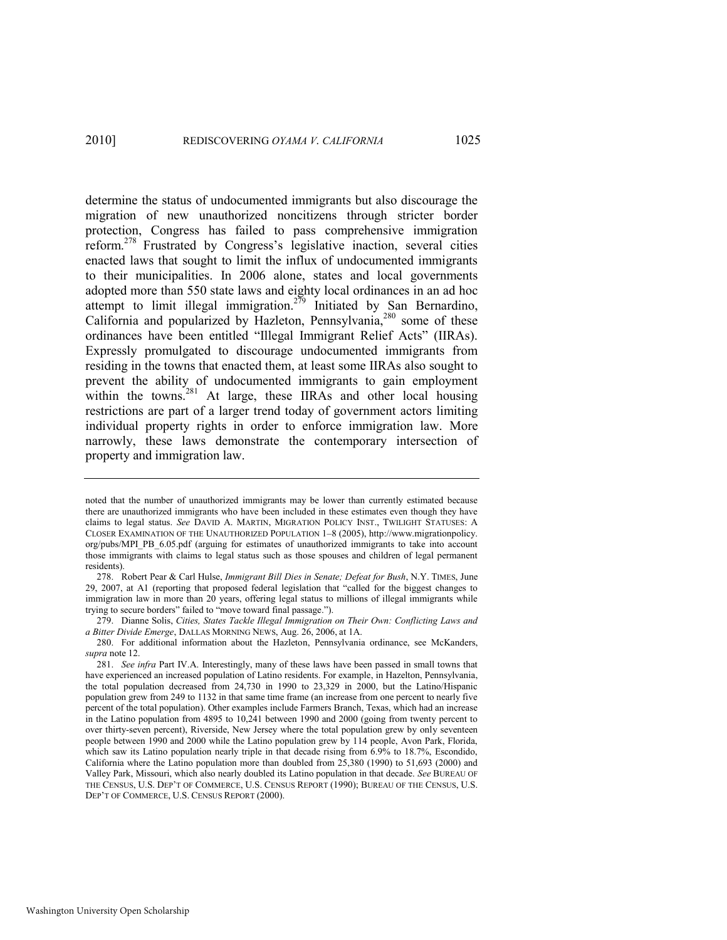determine the status of undocumented immigrants but also discourage the migration of new unauthorized noncitizens through stricter border protection, Congress has failed to pass comprehensive immigration reform.<sup>278</sup> Frustrated by Congress's legislative inaction, several cities enacted laws that sought to limit the influx of undocumented immigrants to their municipalities. In 2006 alone, states and local governments adopted more than 550 state laws and eighty local ordinances in an ad hoc attempt to limit illegal immigration.<sup>279</sup> Initiated by San Bernardino, California and popularized by Hazleton, Pennsylvania, $280$  some of these ordinances have been entitled "Illegal Immigrant Relief Acts" (IIRAs). Expressly promulgated to discourage undocumented immigrants from residing in the towns that enacted them, at least some IIRAs also sought to prevent the ability of undocumented immigrants to gain employment within the towns.<sup>281</sup> At large, these IIRAs and other local housing restrictions are part of a larger trend today of government actors limiting individual property rights in order to enforce immigration law. More narrowly, these laws demonstrate the contemporary intersection of property and immigration law.

noted that the number of unauthorized immigrants may be lower than currently estimated because there are unauthorized immigrants who have been included in these estimates even though they have claims to legal status. *See* DAVID A. MARTIN, MIGRATION POLICY INST., TWILIGHT STATUSES: A CLOSER EXAMINATION OF THE UNAUTHORIZED POPULATION 1–8 (2005), http://www.migrationpolicy. org/pubs/MPI\_PB\_6.05.pdf (arguing for estimates of unauthorized immigrants to take into account those immigrants with claims to legal status such as those spouses and children of legal permanent residents).

<sup>278.</sup> Robert Pear & Carl Hulse, *Immigrant Bill Dies in Senate; Defeat for Bush*, N.Y. TIMES, June 29, 2007, at A1 (reporting that proposed federal legislation that "called for the biggest changes to immigration law in more than 20 years, offering legal status to millions of illegal immigrants while trying to secure borders" failed to "move toward final passage.").

<sup>279.</sup> Dianne Solis, *Cities, States Tackle Illegal Immigration on Their Own: Conflicting Laws and a Bitter Divide Emerge*, DALLAS MORNING NEWS, Aug. 26, 2006, at 1A.

<sup>280.</sup> For additional information about the Hazleton, Pennsylvania ordinance, see McKanders, *supra* not[e 12.](#page-5-0) 

<sup>281.</sup> *See infra* Part IV.A. Interestingly, many of these laws have been passed in small towns that have experienced an increased population of Latino residents. For example, in Hazelton, Pennsylvania, the total population decreased from 24,730 in 1990 to 23,329 in 2000, but the Latino/Hispanic population grew from 249 to 1132 in that same time frame (an increase from one percent to nearly five percent of the total population). Other examples include Farmers Branch, Texas, which had an increase in the Latino population from 4895 to 10,241 between 1990 and 2000 (going from twenty percent to over thirty-seven percent), Riverside, New Jersey where the total population grew by only seventeen people between 1990 and 2000 while the Latino population grew by 114 people, Avon Park, Florida, which saw its Latino population nearly triple in that decade rising from 6.9% to 18.7%, Escondido, California where the Latino population more than doubled from 25,380 (1990) to 51,693 (2000) and Valley Park, Missouri, which also nearly doubled its Latino population in that decade. *See* BUREAU OF THE CENSUS, U.S. DEP'T OF COMMERCE, U.S. CENSUS REPORT (1990); BUREAU OF THE CENSUS, U.S. DEP'T OF COMMERCE, U.S. CENSUS REPORT (2000).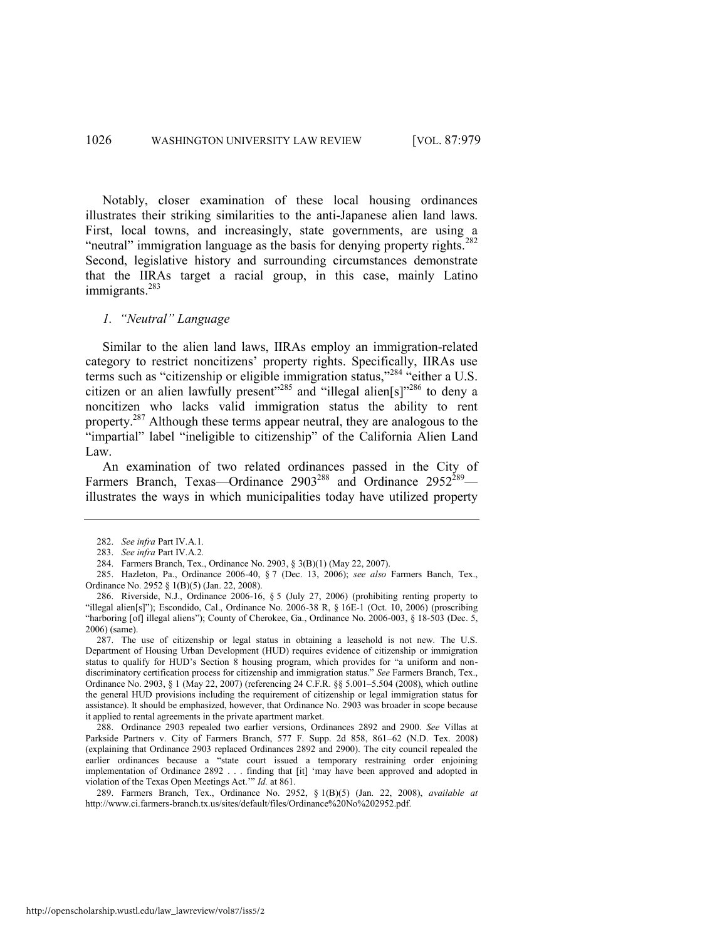Notably, closer examination of these local housing ordinances illustrates their striking similarities to the anti-Japanese alien land laws. First, local towns, and increasingly, state governments, are using a "neutral" immigration language as the basis for denying property rights.<sup>282</sup> Second, legislative history and surrounding circumstances demonstrate that the IIRAs target a racial group, in this case, mainly Latino immigrants.<sup>283</sup>

#### *1. ―Neutral‖ Language*

Similar to the alien land laws, IIRAs employ an immigration-related category to restrict noncitizens' property rights. Specifically, IIRAs use terms such as "citizenship or eligible immigration status,"<sup>284</sup> "either a U.S. citizen or an alien lawfully present"<sup>285</sup> and "illegal alien[s]"<sup>286</sup> to deny a noncitizen who lacks valid immigration status the ability to rent property.<sup>287</sup> Although these terms appear neutral, they are analogous to the "impartial" label "ineligible to citizenship" of the California Alien Land Law.

An examination of two related ordinances passed in the City of Farmers Branch, Texas—Ordinance 2903<sup>288</sup> and Ordinance 2952<sup>289</sup> illustrates the ways in which municipalities today have utilized property

287. The use of citizenship or legal status in obtaining a leasehold is not new. The U.S. Department of Housing Urban Development (HUD) requires evidence of citizenship or immigration status to qualify for HUD's Section  $\bar{8}$  housing program, which provides for "a uniform and nondiscriminatory certification process for citizenship and immigration status.‖ *See* Farmers Branch, Tex., Ordinance No. 2903, § 1 (May 22, 2007) (referencing 24 C.F.R. §§ 5.001–5.504 (2008), which outline the general HUD provisions including the requirement of citizenship or legal immigration status for assistance). It should be emphasized, however, that Ordinance No. 2903 was broader in scope because it applied to rental agreements in the private apartment market.

288. Ordinance 2903 repealed two earlier versions, Ordinances 2892 and 2900. *See* Villas at Parkside Partners v. City of Farmers Branch, 577 F. Supp. 2d 858, 861–62 (N.D. Tex. 2008) (explaining that Ordinance 2903 replaced Ordinances 2892 and 2900). The city council repealed the earlier ordinances because a "state court issued a temporary restraining order enjoining implementation of Ordinance 2892 . . . finding that [it] ‗may have been approved and adopted in violation of the Texas Open Meetings Act." *Id.* at 861.

289. Farmers Branch, Tex., Ordinance No. 2952, § 1(B)(5) (Jan. 22, 2008), *available at*  http://www.ci.farmers-branch.tx.us/sites/default/files/Ordinance%20No%202952.pdf.

<sup>282.</sup> *See infra* Part IV.A.1*.* 

<sup>283.</sup> *See infra* Part IV.A.2*.*

<sup>284.</sup> Farmers Branch, Tex., Ordinance No. 2903, § 3(B)(1) (May 22, 2007).

<sup>285.</sup> Hazleton, Pa., Ordinance 2006-40, § 7 (Dec. 13, 2006); *see also* Farmers Banch, Tex., Ordinance No. 2952 § 1(B)(5) (Jan. 22, 2008).

<sup>286.</sup> Riverside, N.J., Ordinance 2006-16, § 5 (July 27, 2006) (prohibiting renting property to "illegal alien[s]"); Escondido, Cal., Ordinance No. 2006-38 R, § 16E-1 (Oct. 10, 2006) (proscribing "harboring [of] illegal aliens"); County of Cherokee, Ga., Ordinance No. 2006-003, § 18-503 (Dec. 5, 2006) (same).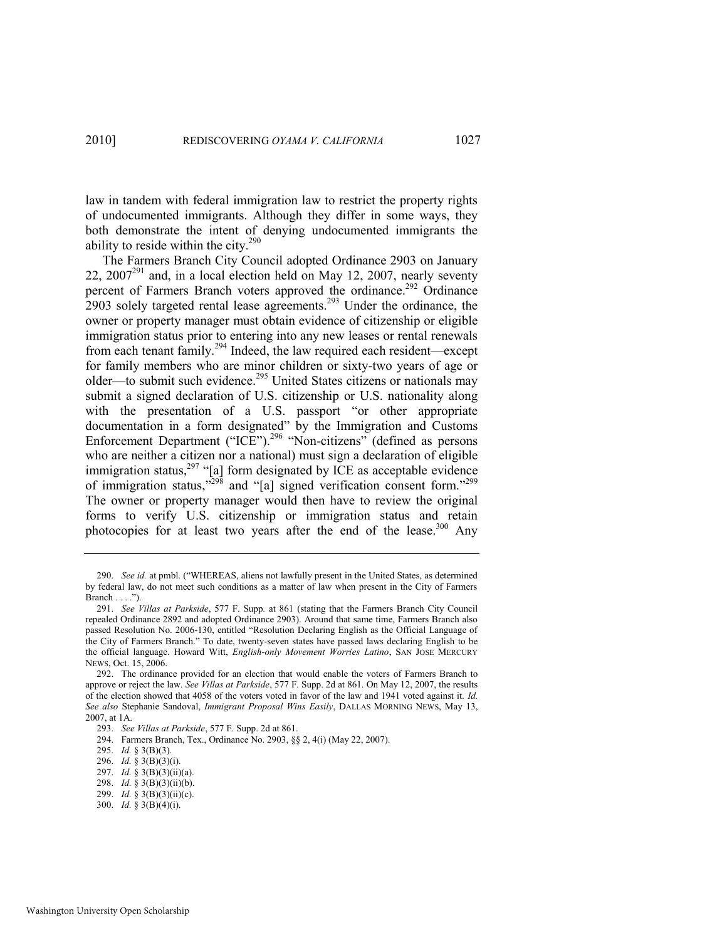law in tandem with federal immigration law to restrict the property rights of undocumented immigrants. Although they differ in some ways, they both demonstrate the intent of denying undocumented immigrants the ability to reside within the city.<sup>290</sup>

The Farmers Branch City Council adopted Ordinance 2903 on January 22,  $2007^{291}$  and, in a local election held on May 12, 2007, nearly seventy percent of Farmers Branch voters approved the ordinance.<sup>292</sup> Ordinance 2903 solely targeted rental lease agreements.<sup>293</sup> Under the ordinance, the owner or property manager must obtain evidence of citizenship or eligible immigration status prior to entering into any new leases or rental renewals from each tenant family.<sup>294</sup> Indeed, the law required each resident—except for family members who are minor children or sixty-two years of age or older—to submit such evidence.<sup>295</sup> United States citizens or nationals may submit a signed declaration of U.S. citizenship or U.S. nationality along with the presentation of a U.S. passport "or other appropriate documentation in a form designated" by the Immigration and Customs Enforcement Department ("ICE").<sup>296</sup> "Non-citizens" (defined as persons who are neither a citizen nor a national) must sign a declaration of eligible immigration status,<sup>297</sup> "[a] form designated by ICE as acceptable evidence of immigration status,<sup> $298$ </sup> and "[a] signed verification consent form."<sup>299</sup> The owner or property manager would then have to review the original forms to verify U.S. citizenship or immigration status and retain photocopies for at least two years after the end of the lease. $300$  Any

<sup>290.</sup> *See id.* at pmbl. ("WHEREAS, aliens not lawfully present in the United States, as determined by federal law, do not meet such conditions as a matter of law when present in the City of Farmers Branch  $\dots$ .").

<sup>291.</sup> *See Villas at Parkside*, 577 F. Supp*.* at 861 (stating that the Farmers Branch City Council repealed Ordinance 2892 and adopted Ordinance 2903). Around that same time, Farmers Branch also passed Resolution No. 2006-130, entitled "Resolution Declaring English as the Official Language of the City of Farmers Branch." To date, twenty-seven states have passed laws declaring English to be the official language. Howard Witt, *English-only Movement Worries Latino*, SAN JOSE MERCURY NEWS, Oct. 15, 2006.

<sup>292.</sup> The ordinance provided for an election that would enable the voters of Farmers Branch to approve or reject the law. *See Villas at Parkside*, 577 F. Supp. 2d at 861. On May 12, 2007, the results of the election showed that 4058 of the voters voted in favor of the law and 1941 voted against it. *Id. See also* Stephanie Sandoval, *Immigrant Proposal Wins Easily*, DALLAS MORNING NEWS, May 13, 2007, at 1A.

<sup>293.</sup> *See Villas at Parkside*, 577 F. Supp. 2d at 861.

<sup>294.</sup> Farmers Branch, Tex., Ordinance No. 2903, §§ 2, 4(i) (May 22, 2007).

<sup>295.</sup> *Id.* § 3(B)(3).

<sup>296.</sup> *Id.* § 3(B)(3)(i).

<sup>297.</sup> *Id.* § 3(B)(3)(ii)(a).

<sup>298.</sup> *Id.* § 3(B)(3)(ii)(b).

<sup>299.</sup> *Id.* § 3(B)(3)(ii)(c).

<sup>300.</sup> *Id.* § 3(B)(4)(i).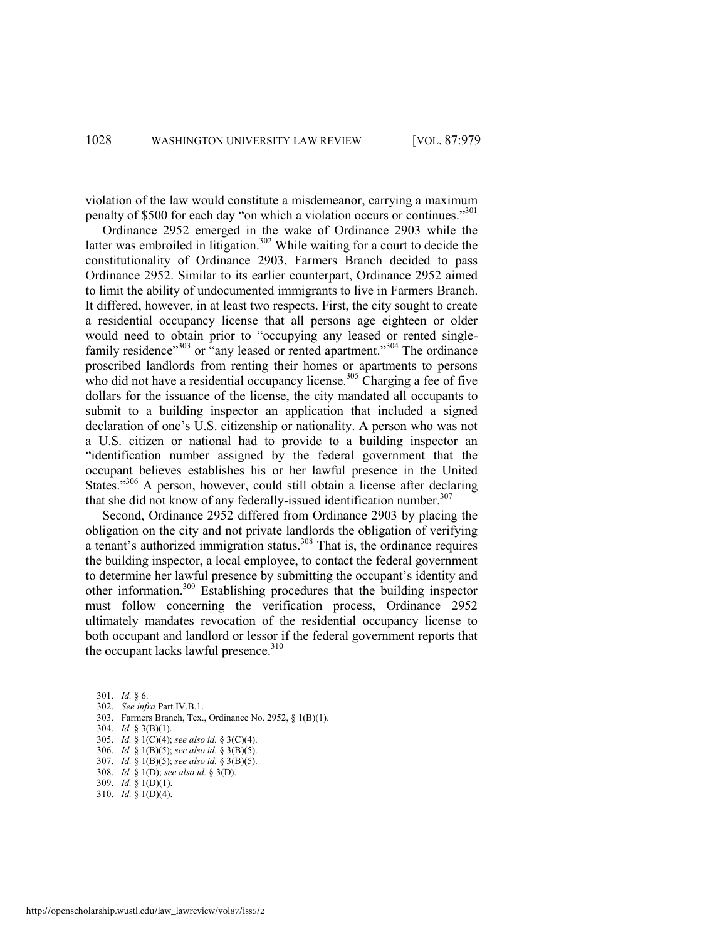violation of the law would constitute a misdemeanor, carrying a maximum penalty of \$500 for each day "on which a violation occurs or continues."301

Ordinance 2952 emerged in the wake of Ordinance 2903 while the latter was embroiled in litigation.<sup>302</sup> While waiting for a court to decide the constitutionality of Ordinance 2903, Farmers Branch decided to pass Ordinance 2952. Similar to its earlier counterpart, Ordinance 2952 aimed to limit the ability of undocumented immigrants to live in Farmers Branch. It differed, however, in at least two respects. First, the city sought to create a residential occupancy license that all persons age eighteen or older would need to obtain prior to "occupying any leased or rented singlefamily residence<sup>303</sup> or  $\cdot$ any leased or rented apartment.<sup>304</sup> The ordinance proscribed landlords from renting their homes or apartments to persons who did not have a residential occupancy license.<sup>305</sup> Charging a fee of five dollars for the issuance of the license, the city mandated all occupants to submit to a building inspector an application that included a signed declaration of one's U.S. citizenship or nationality. A person who was not a U.S. citizen or national had to provide to a building inspector an ―identification number assigned by the federal government that the occupant believes establishes his or her lawful presence in the United States."<sup>306</sup> A person, however, could still obtain a license after declaring that she did not know of any federally-issued identification number. $307$ 

Second, Ordinance 2952 differed from Ordinance 2903 by placing the obligation on the city and not private landlords the obligation of verifying a tenant's authorized immigration status.<sup>308</sup> That is, the ordinance requires the building inspector, a local employee, to contact the federal government to determine her lawful presence by submitting the occupant's identity and other information.<sup>309</sup> Establishing procedures that the building inspector must follow concerning the verification process, Ordinance 2952 ultimately mandates revocation of the residential occupancy license to both occupant and landlord or lessor if the federal government reports that the occupant lacks lawful presence.<sup>310</sup>

- 309. *Id.* § 1(D)(1).
- 310. *Id.* § 1(D)(4).

<sup>301.</sup> *Id.* § 6.

<sup>302.</sup> *See infra* Part IV.B.1.

<sup>303.</sup> Farmers Branch, Tex., Ordinance No. 2952, § 1(B)(1).

<sup>304.</sup> *Id.* § 3(B)(1).

<sup>305.</sup> *Id.* § 1(C)(4); *see also id.* § 3(C)(4).

<sup>306.</sup> *Id.* § 1(B)(5); *see also id.* § 3(B)(5).

<sup>307.</sup> *Id.* § 1(B)(5); *see also id.* § 3(B)(5).

<sup>308.</sup> *Id.* § 1(D); *see also id.* § 3(D).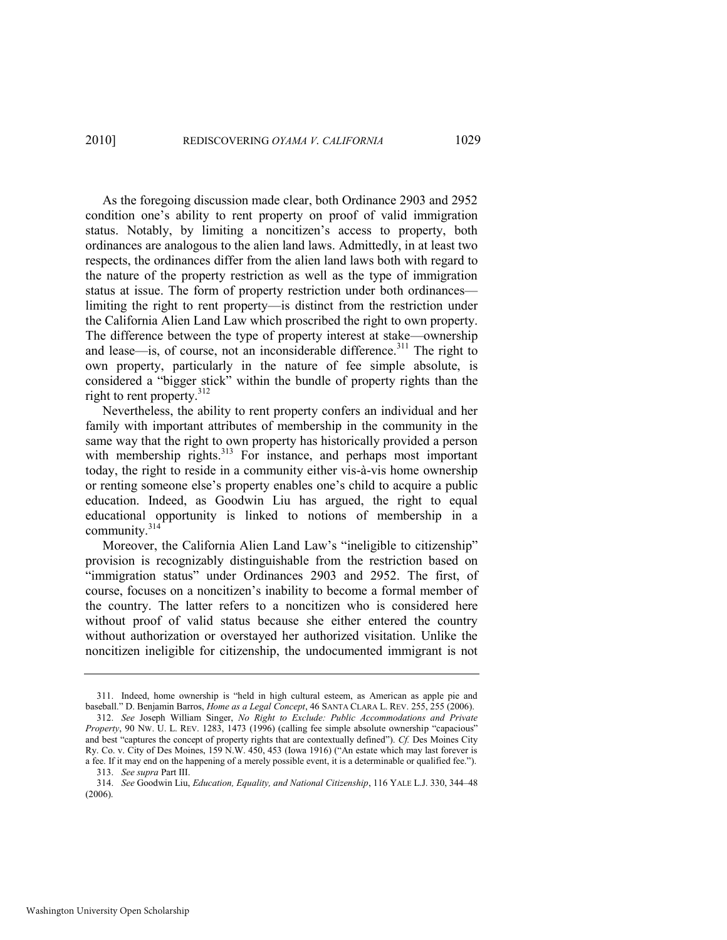As the foregoing discussion made clear, both Ordinance 2903 and 2952 condition one's ability to rent property on proof of valid immigration status. Notably, by limiting a noncitizen's access to property, both ordinances are analogous to the alien land laws. Admittedly, in at least two respects, the ordinances differ from the alien land laws both with regard to the nature of the property restriction as well as the type of immigration status at issue. The form of property restriction under both ordinances limiting the right to rent property—is distinct from the restriction under the California Alien Land Law which proscribed the right to own property. The difference between the type of property interest at stake—ownership and lease—is, of course, not an inconsiderable difference.<sup>311</sup> The right to own property, particularly in the nature of fee simple absolute, is considered a "bigger stick" within the bundle of property rights than the right to rent property.<sup>312</sup>

Nevertheless, the ability to rent property confers an individual and her family with important attributes of membership in the community in the same way that the right to own property has historically provided a person with membership rights.<sup>313</sup> For instance, and perhaps most important today, the right to reside in a community either vis-à-vis home ownership or renting someone else's property enables one's child to acquire a public education. Indeed, as Goodwin Liu has argued, the right to equal educational opportunity is linked to notions of membership in a community. $314$ 

Moreover, the California Alien Land Law's "ineligible to citizenship" provision is recognizably distinguishable from the restriction based on "immigration status" under Ordinances 2903 and 2952. The first, of course, focuses on a noncitizen's inability to become a formal member of the country. The latter refers to a noncitizen who is considered here without proof of valid status because she either entered the country without authorization or overstayed her authorized visitation. Unlike the noncitizen ineligible for citizenship, the undocumented immigrant is not

<sup>311.</sup> Indeed, home ownership is "held in high cultural esteem, as American as apple pie and baseball." D. Benjamin Barros, *Home as a Legal Concept*, 46 SANTA CLARA L. REV. 255, 255 (2006).

<sup>312.</sup> *See* Joseph William Singer, *No Right to Exclude: Public Accommodations and Private Property*, 90 Nw. U. L. REV. 1283, 1473 (1996) (calling fee simple absolute ownership "capacious" and best "captures the concept of property rights that are contextually defined"). *Cf.* Des Moines City Ry. Co. v. City of Des Moines, 159 N.W. 450, 453 (Iowa 1916) ("An estate which may last forever is a fee. If it may end on the happening of a merely possible event, it is a determinable or qualified fee.").

<sup>313.</sup> *See supra* Part III.

<sup>314.</sup> *See* Goodwin Liu, *Education, Equality, and National Citizenship*, 116 YALE L.J. 330, 344–48 (2006).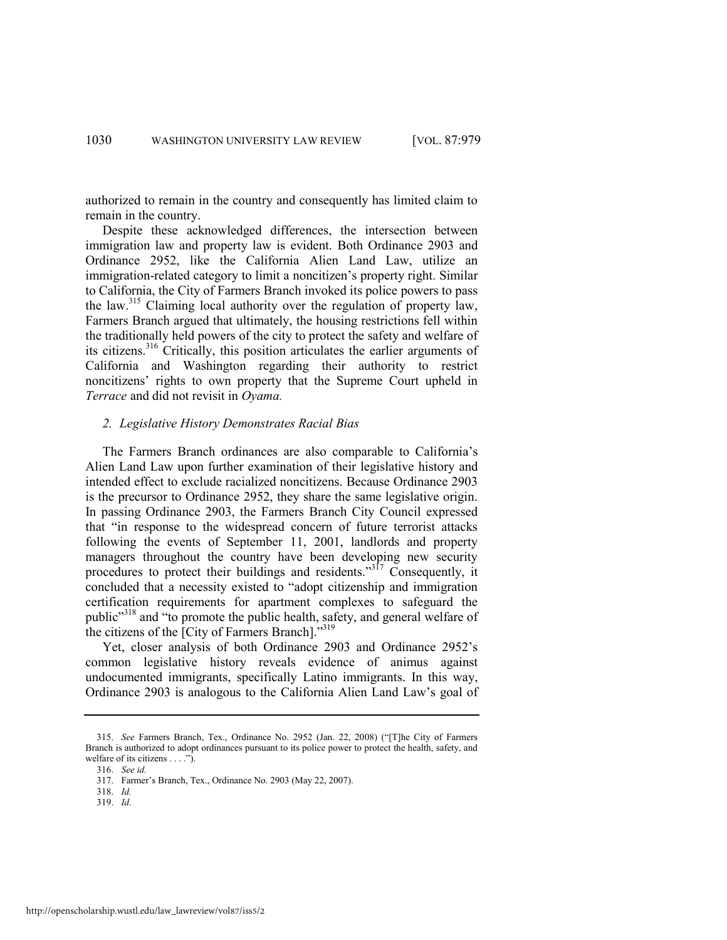authorized to remain in the country and consequently has limited claim to remain in the country.

Despite these acknowledged differences, the intersection between immigration law and property law is evident. Both Ordinance 2903 and Ordinance 2952, like the California Alien Land Law, utilize an immigration-related category to limit a noncitizen's property right. Similar to California, the City of Farmers Branch invoked its police powers to pass the law.<sup>315</sup> Claiming local authority over the regulation of property law, Farmers Branch argued that ultimately, the housing restrictions fell within the traditionally held powers of the city to protect the safety and welfare of its citizens.<sup>316</sup> Critically, this position articulates the earlier arguments of California and Washington regarding their authority to restrict noncitizens' rights to own property that the Supreme Court upheld in *Terrace* and did not revisit in *Oyama.* 

#### *2. Legislative History Demonstrates Racial Bias*

The Farmers Branch ordinances are also comparable to California's Alien Land Law upon further examination of their legislative history and intended effect to exclude racialized noncitizens. Because Ordinance 2903 is the precursor to Ordinance 2952, they share the same legislative origin. In passing Ordinance 2903, the Farmers Branch City Council expressed that "in response to the widespread concern of future terrorist attacks following the events of September 11, 2001, landlords and property managers throughout the country have been developing new security procedures to protect their buildings and residents."<sup>317</sup> Consequently, it concluded that a necessity existed to "adopt citizenship and immigration certification requirements for apartment complexes to safeguard the public<sup>3318</sup> and "to promote the public health, safety, and general welfare of the citizens of the [City of Farmers Branch]. $\frac{319}{2}$ 

Yet, closer analysis of both Ordinance 2903 and Ordinance 2952's common legislative history reveals evidence of animus against undocumented immigrants, specifically Latino immigrants. In this way, Ordinance 2903 is analogous to the California Alien Land Law's goal of

316. *See id.* 

318. *Id.* 

<sup>315.</sup> *See* Farmers Branch, Tex., Ordinance No. 2952 (Jan. 22, 2008) ("The City of Farmers Branch is authorized to adopt ordinances pursuant to its police power to protect the health, safety, and welfare of its citizens  $\dots$ .").

<sup>317.</sup> Farmer's Branch, Tex., Ordinance No. 2903 (May 22, 2007).

<sup>319.</sup> *Id.*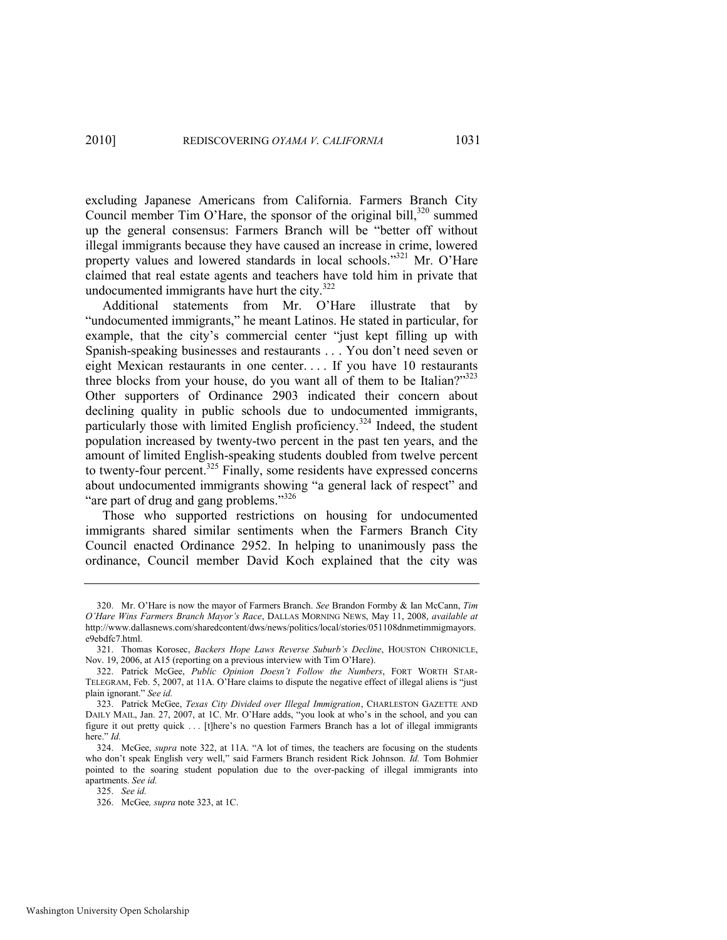excluding Japanese Americans from California. Farmers Branch City Council member Tim O'Hare, the sponsor of the original bill, $320$  summed up the general consensus: Farmers Branch will be "better off without illegal immigrants because they have caused an increase in crime, lowered property values and lowered standards in local schools."<sup>321</sup> Mr. O'Hare claimed that real estate agents and teachers have told him in private that undocumented immigrants have hurt the city. $322$ 

Additional statements from Mr. O'Hare illustrate that by "undocumented immigrants," he meant Latinos. He stated in particular, for example, that the city's commercial center "just kept filling up with Spanish-speaking businesses and restaurants . . . You don't need seven or eight Mexican restaurants in one center. . . . If you have 10 restaurants three blocks from your house, do you want all of them to be Italian?"323 Other supporters of Ordinance 2903 indicated their concern about declining quality in public schools due to undocumented immigrants, particularly those with limited English proficiency.<sup>324</sup> Indeed, the student population increased by twenty-two percent in the past ten years, and the amount of limited English-speaking students doubled from twelve percent to twenty-four percent.<sup>325</sup> Finally, some residents have expressed concerns about undocumented immigrants showing "a general lack of respect" and "are part of drug and gang problems."<sup>326</sup>

Those who supported restrictions on housing for undocumented immigrants shared similar sentiments when the Farmers Branch City Council enacted Ordinance 2952. In helping to unanimously pass the ordinance, Council member David Koch explained that the city was

<span id="page-53-1"></span><span id="page-53-0"></span>

<sup>320.</sup> Mr. O'Hare is now the mayor of Farmers Branch. *See* Brandon Formby & Ian McCann, *Tim O'Hare Wins Farmers Branch Mayor's Race*, DALLAS MORNING NEWS, May 11, 2008, *available at* http://www.dallasnews.com/sharedcontent/dws/news/politics/local/stories/051108dnmetimmigmayors. e9ebdfc7.html.

<sup>321.</sup> Thomas Korosec, *Backers Hope Laws Reverse Suburb's Decline*, HOUSTON CHRONICLE, Nov. 19, 2006, at A15 (reporting on a previous interview with Tim O'Hare).

<sup>322.</sup> Patrick McGee, *Public Opinion Doesn't Follow the Numbers*, FORT WORTH STAR-TELEGRAM, Feb. 5, 2007, at 11A. O'Hare claims to dispute the negative effect of illegal aliens is "just" plain ignorant." See id.

<sup>323.</sup> Patrick McGee, *Texas City Divided over Illegal Immigration*, CHARLESTON GAZETTE AND DAILY MAIL, Jan. 27, 2007, at 1C. Mr. O'Hare adds, "you look at who's in the school, and you can figure it out pretty quick . . . [t]here's no question Farmers Branch has a lot of illegal immigrants here." *Id.* 

<sup>324.</sup> McGee, *supra* note [322,](#page-53-0) at 11A. "A lot of times, the teachers are focusing on the students who don't speak English very well," said Farmers Branch resident Rick Johnson. *Id.* Tom Bohmier pointed to the soaring student population due to the over-packing of illegal immigrants into apartments. *See id.*

<sup>325.</sup> *See id.*

<sup>326.</sup> McGee*, supra* note [323,](#page-53-1) at 1C.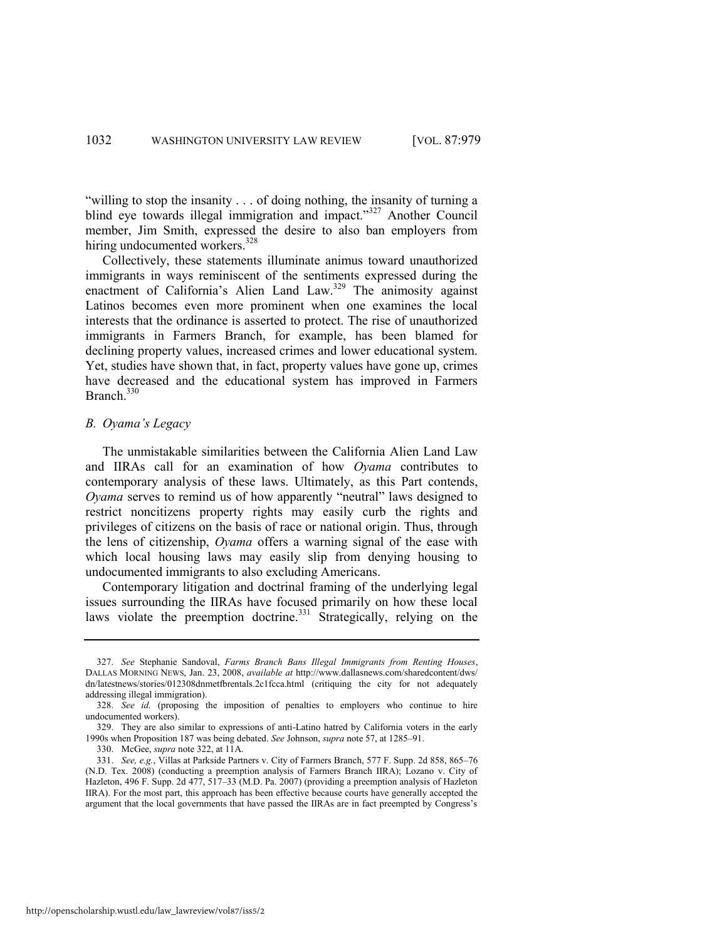"willing to stop the insanity . . . of doing nothing, the insanity of turning a blind eye towards illegal immigration and impact."<sup>327</sup> Another Council member, Jim Smith, expressed the desire to also ban employers from hiring undocumented workers.<sup>328</sup>

Collectively, these statements illuminate animus toward unauthorized immigrants in ways reminiscent of the sentiments expressed during the enactment of California's Alien Land Law.<sup>329</sup> The animosity against Latinos becomes even more prominent when one examines the local interests that the ordinance is asserted to protect. The rise of unauthorized immigrants in Farmers Branch, for example, has been blamed for declining property values, increased crimes and lower educational system. Yet, studies have shown that, in fact, property values have gone up, crimes have decreased and the educational system has improved in Farmers Branch<sup>330</sup>

#### *B. Oyama's Legacy*

The unmistakable similarities between the California Alien Land Law and IIRAs call for an examination of how *Oyama* contributes to contemporary analysis of these laws. Ultimately, as this Part contends, *Oyama* serves to remind us of how apparently "neutral" laws designed to restrict noncitizens property rights may easily curb the rights and privileges of citizens on the basis of race or national origin. Thus, through the lens of citizenship, *Oyama* offers a warning signal of the ease with which local housing laws may easily slip from denying housing to undocumented immigrants to also excluding Americans.

Contemporary litigation and doctrinal framing of the underlying legal issues surrounding the IIRAs have focused primarily on how these local laws violate the preemption doctrine.<sup>331</sup> Strategically, relying on the

http://openscholarship.wustl.edu/law\_lawreview/vol87/iss5/2

<sup>327.</sup> *See* Stephanie Sandoval, *Farms Branch Bans Illegal Immigrants from Renting Houses*, DALLAS MORNING NEWS, Jan. 23, 2008, *available at* [http://www.dallasnews.com/sharedcontent/dws/](http://www.dallasnews.com/sharedcontent/dws/dn/latestnews/stories/012308dnmetfbrentals.2c1fcca.html)  [dn/latestnews/stories/012308dnmetfbrentals.2c1fcca.html](http://www.dallasnews.com/sharedcontent/dws/dn/latestnews/stories/012308dnmetfbrentals.2c1fcca.html) (critiquing the city for not adequately addressing illegal immigration).

<sup>328.</sup> *See id.* (proposing the imposition of penalties to employers who continue to hire undocumented workers).

<sup>329.</sup> They are also similar to expressions of anti-Latino hatred by California voters in the early 1990s when Proposition 187 was being debated. *See* Johnson, *supra* not[e 57,](#page-15-3) at 1285–91.

<sup>330.</sup> McGee, *supra* note [322,](#page-53-0) at 11A.

<sup>331.</sup> *See, e.g.*, Villas at Parkside Partners v. City of Farmers Branch, 577 F. Supp. 2d 858, 865–76 (N.D. Tex. 2008) (conducting a preemption analysis of Farmers Branch IIRA); Lozano v. City of Hazleton, 496 F. Supp. 2d 477, 517–33 (M.D. Pa. 2007) (providing a preemption analysis of Hazleton IIRA). For the most part, this approach has been effective because courts have generally accepted the argument that the local governments that have passed the IIRAs are in fact preempted by Congress's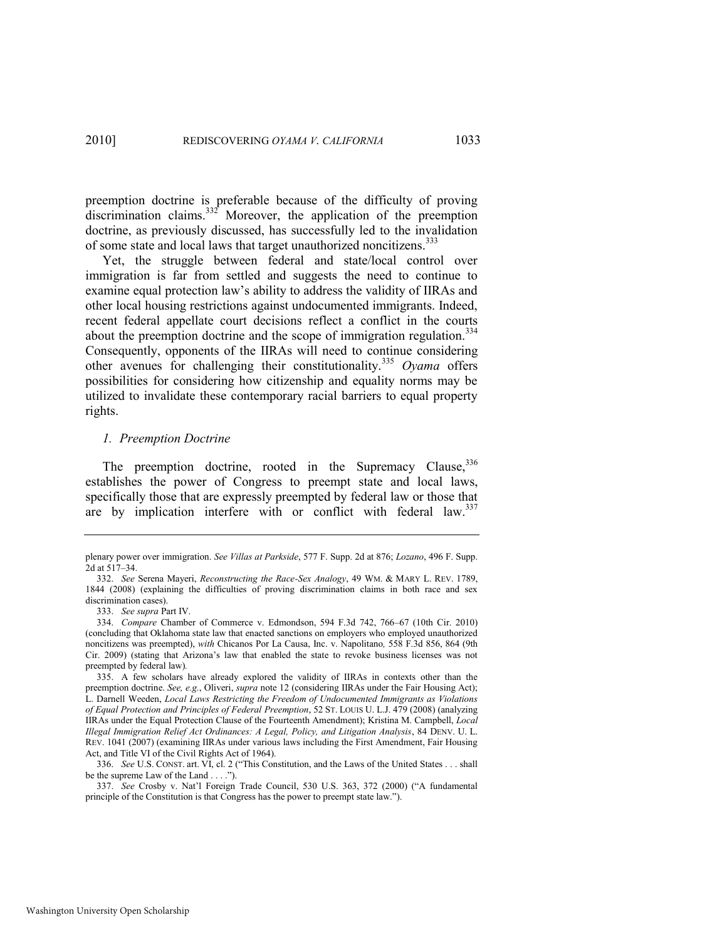<span id="page-55-0"></span>preemption doctrine is preferable because of the difficulty of proving discrimination claims. $332$ <sup>t</sup> Moreover, the application of the preemption doctrine, as previously discussed, has successfully led to the invalidation of some state and local laws that target unauthorized noncitizens.<sup>333</sup>

Yet, the struggle between federal and state/local control over immigration is far from settled and suggests the need to continue to examine equal protection law's ability to address the validity of IIRAs and other local housing restrictions against undocumented immigrants. Indeed, recent federal appellate court decisions reflect a conflict in the courts about the preemption doctrine and the scope of immigration regulation.<sup>334</sup> Consequently, opponents of the IIRAs will need to continue considering other avenues for challenging their constitutionality.<sup>335</sup> *Oyama* offers possibilities for considering how citizenship and equality norms may be utilized to invalidate these contemporary racial barriers to equal property rights.

#### *1. Preemption Doctrine*

The preemption doctrine, rooted in the Supremacy Clause, 336 establishes the power of Congress to preempt state and local laws, specifically those that are expressly preempted by federal law or those that are by implication interfere with or conflict with federal law.<sup>337</sup>

plenary power over immigration. *See Villas at Parkside*, 577 F. Supp. 2d at 876; *Lozano*, 496 F. Supp. 2d at 517–34.

<sup>332.</sup> *See* Serena Mayeri, *Reconstructing the Race-Sex Analogy*, 49 WM. & MARY L. REV. 1789, 1844 (2008) (explaining the difficulties of proving discrimination claims in both race and sex discrimination cases).

<sup>333.</sup> *See supra* Part IV.

<sup>334.</sup> *Compare* Chamber of Commerce v. Edmondson, 594 F.3d 742, 766–67 (10th Cir. 2010) (concluding that Oklahoma state law that enacted sanctions on employers who employed unauthorized noncitizens was preempted), *with* Chicanos Por La Causa, Inc. v. Napolitano*,* 558 F.3d 856, 864 (9th Cir. 2009) (stating that Arizona's law that enabled the state to revoke business licenses was not preempted by federal law)*.* 

<sup>335.</sup> A few scholars have already explored the validity of IIRAs in contexts other than the preemption doctrine. *See, e.g.*, Oliveri, *supra* not[e 12](#page-5-0) (considering IIRAs under the Fair Housing Act); L. Darnell Weeden, *Local Laws Restricting the Freedom of Undocumented Immigrants as Violations of Equal Protection and Principles of Federal Preemption*, 52 ST. LOUIS U. L.J. 479 (2008) (analyzing IIRAs under the Equal Protection Clause of the Fourteenth Amendment); Kristina M. Campbell, *Local Illegal Immigration Relief Act Ordinances: A Legal, Policy, and Litigation Analysis*, 84 DENV. U. L. REV. 1041 (2007) (examining IIRAs under various laws including the First Amendment, Fair Housing Act, and Title VI of the Civil Rights Act of 1964).

<sup>336.</sup> *See U.S. CONST. art. VI, cl. 2 ("This Constitution, and the Laws of the United States . . . shall* be the supreme Law of the Land . . . .").

<sup>337.</sup> *See* Crosby v. Nat'l Foreign Trade Council, 530 U.S. 363, 372 (2000) ("A fundamental principle of the Constitution is that Congress has the power to preempt state law.").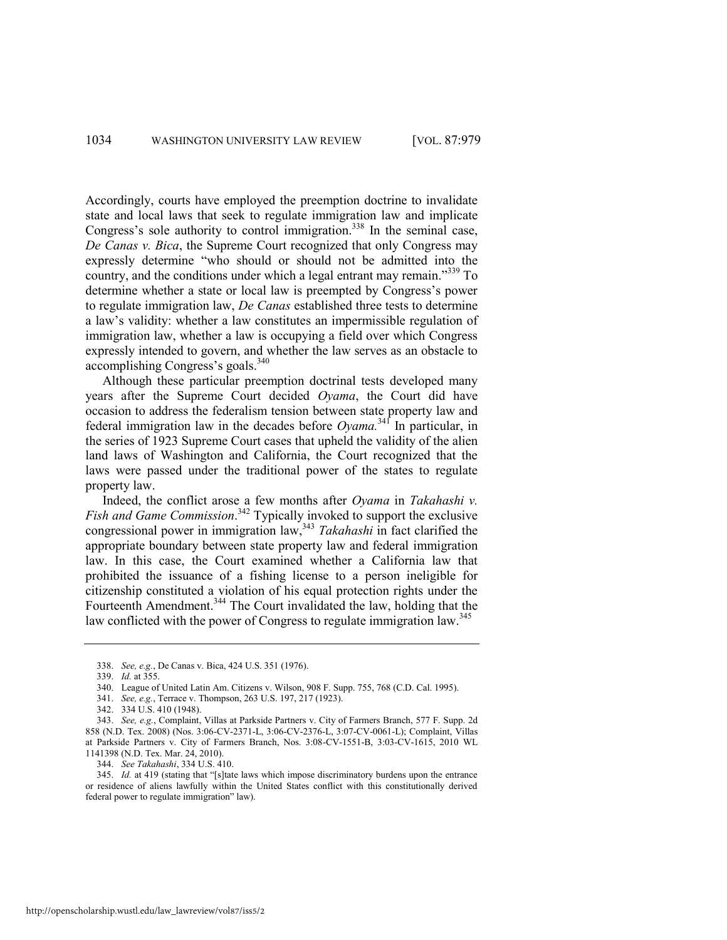Accordingly, courts have employed the preemption doctrine to invalidate state and local laws that seek to regulate immigration law and implicate Congress's sole authority to control immigration.<sup>338</sup> In the seminal case, *De Canas v. Bica*, the Supreme Court recognized that only Congress may expressly determine "who should or should not be admitted into the country, and the conditions under which a legal entrant may remain.<sup>339</sup> To determine whether a state or local law is preempted by Congress's power to regulate immigration law, *De Canas* established three tests to determine a law's validity: whether a law constitutes an impermissible regulation of immigration law, whether a law is occupying a field over which Congress expressly intended to govern, and whether the law serves as an obstacle to accomplishing Congress's goals.<sup>340</sup>

Although these particular preemption doctrinal tests developed many years after the Supreme Court decided *Oyama*, the Court did have occasion to address the federalism tension between state property law and federal immigration law in the decades before  $Oyama$ <sup>341</sup> In particular, in the series of 1923 Supreme Court cases that upheld the validity of the alien land laws of Washington and California, the Court recognized that the laws were passed under the traditional power of the states to regulate property law.

Indeed, the conflict arose a few months after *Oyama* in *Takahashi v. Fish and Game Commission*. <sup>342</sup> Typically invoked to support the exclusive congressional power in immigration law,<sup>343</sup> *Takahashi* in fact clarified the appropriate boundary between state property law and federal immigration law. In this case, the Court examined whether a California law that prohibited the issuance of a fishing license to a person ineligible for citizenship constituted a violation of his equal protection rights under the Fourteenth Amendment.<sup>344</sup> The Court invalidated the law, holding that the law conflicted with the power of Congress to regulate immigration law.<sup>345</sup>

<sup>338.</sup> *See, e.g.*, De Canas v. Bica, 424 U.S. 351 (1976).

<sup>339.</sup> *Id.* at 355.

<sup>340.</sup> League of United Latin Am. Citizens v. Wilson, 908 F. Supp. 755, 768 (C.D. Cal. 1995).

<sup>341.</sup> *See, e.g.*, Terrace v. Thompson, 263 U.S. 197, 217 (1923).

<sup>342. 334</sup> U.S. 410 (1948).

<sup>343.</sup> *See, e.g.*, Complaint, Villas at Parkside Partners v. City of Farmers Branch, 577 F. Supp. 2d 858 (N.D. Tex. 2008) (Nos. 3:06-CV-2371-L, 3:06-CV-2376-L, 3:07-CV-0061-L); Complaint, Villas at Parkside Partners v. City of Farmers Branch, Nos. 3:08-CV-1551-B, 3:03-CV-1615, 2010 WL 1141398 (N.D. Tex. Mar. 24, 2010).

<sup>344.</sup> *See Takahashi*, 334 U.S. 410.

<sup>345.</sup> *Id.* at 419 (stating that "[s]tate laws which impose discriminatory burdens upon the entrance or residence of aliens lawfully within the United States conflict with this constitutionally derived federal power to regulate immigration" law).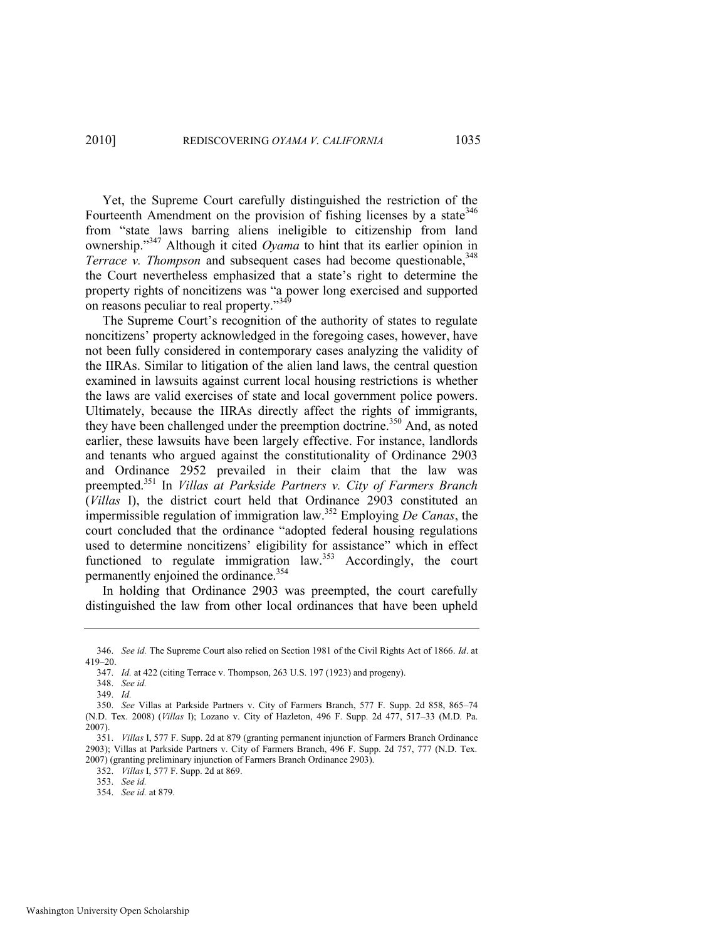Yet, the Supreme Court carefully distinguished the restriction of the Fourteenth Amendment on the provision of fishing licenses by a state  $346$ from "state laws barring aliens ineligible to citizenship from land ownership.<sup>347</sup> Although it cited *Oyama* to hint that its earlier opinion in *Terrace v. Thompson* and subsequent cases had become questionable,<sup>348</sup> the Court nevertheless emphasized that a state's right to determine the property rights of noncitizens was "a power long exercised and supported on reasons peculiar to real property. $349$ 

The Supreme Court's recognition of the authority of states to regulate noncitizens' property acknowledged in the foregoing cases, however, have not been fully considered in contemporary cases analyzing the validity of the IIRAs. Similar to litigation of the alien land laws, the central question examined in lawsuits against current local housing restrictions is whether the laws are valid exercises of state and local government police powers. Ultimately, because the IIRAs directly affect the rights of immigrants, they have been challenged under the preemption doctrine.<sup>350</sup> And, as noted earlier, these lawsuits have been largely effective. For instance, landlords and tenants who argued against the constitutionality of Ordinance 2903 and Ordinance 2952 prevailed in their claim that the law was preempted.<sup>351</sup> In *Villas at Parkside Partners v. City of Farmers Branch*  (*Villas* I), the district court held that Ordinance 2903 constituted an impermissible regulation of immigration law.<sup>352</sup> Employing *De Canas*, the court concluded that the ordinance "adopted federal housing regulations" used to determine noncitizens' eligibility for assistance" which in effect functioned to regulate immigration law.<sup>353</sup> Accordingly, the court permanently enjoined the ordinance.<sup>354</sup>

In holding that Ordinance 2903 was preempted, the court carefully distinguished the law from other local ordinances that have been upheld

352. *Villas* I, 577 F. Supp. 2d at 869.

<sup>346.</sup> *See id.* The Supreme Court also relied on Section 1981 of the Civil Rights Act of 1866. *Id*. at 419–20.

<sup>347.</sup> *Id.* at 422 (citing Terrace v. Thompson, 263 U.S. 197 (1923) and progeny).

<sup>348.</sup> *See id.* 

<sup>349.</sup> *Id.* 

<sup>350.</sup> *See* Villas at Parkside Partners v. City of Farmers Branch, 577 F. Supp. 2d 858, 865–74 (N.D. Tex. 2008) (*Villas* I); Lozano v. City of Hazleton, 496 F. Supp. 2d 477, 517–33 (M.D. Pa. 2007).

<sup>351.</sup> *Villas* I, 577 F. Supp. 2d at 879 (granting permanent injunction of Farmers Branch Ordinance 2903); Villas at Parkside Partners v. City of Farmers Branch, 496 F. Supp. 2d 757, 777 (N.D. Tex. 2007) (granting preliminary injunction of Farmers Branch Ordinance 2903).

<sup>353.</sup> *See id.*

<sup>354.</sup> *See id.* at 879.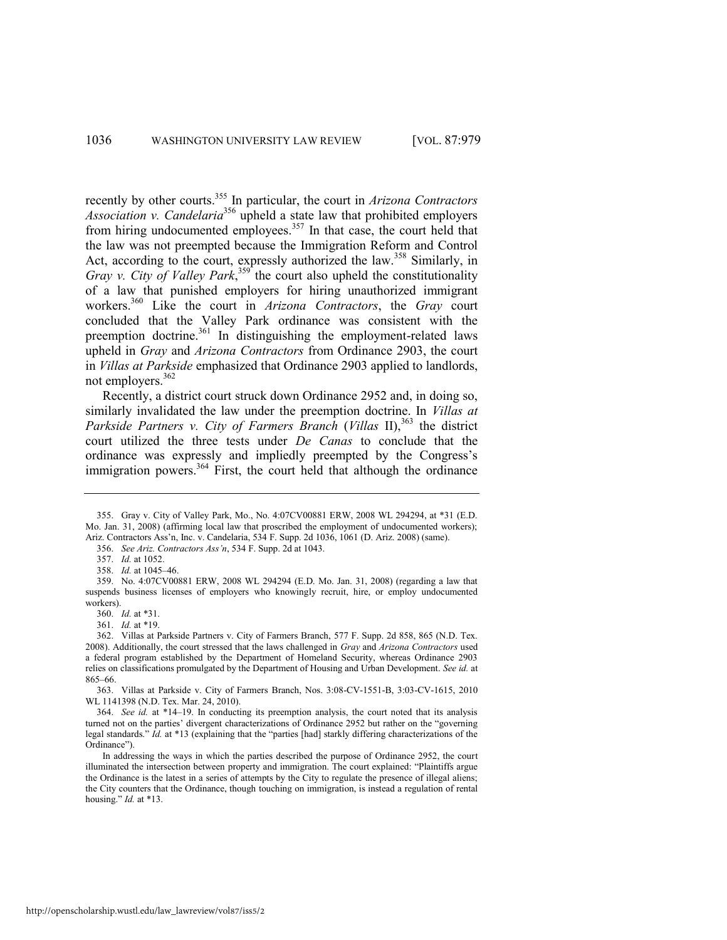recently by other courts.<sup>355</sup> In particular, the court in *Arizona Contractors Association v. Candelaria*<sup>356</sup> upheld a state law that prohibited employers from hiring undocumented employees.<sup>357</sup> In that case, the court held that the law was not preempted because the Immigration Reform and Control Act, according to the court, expressly authorized the law.<sup>358</sup> Similarly, in Gray v. City of Valley Park,<sup>359</sup> the court also upheld the constitutionality of a law that punished employers for hiring unauthorized immigrant workers.<sup>360</sup> Like the court in *Arizona Contractors*, the *Gray* court concluded that the Valley Park ordinance was consistent with the preemption doctrine.<sup>361</sup> In distinguishing the employment-related laws upheld in *Gray* and *Arizona Contractors* from Ordinance 2903, the court in *Villas at Parkside* emphasized that Ordinance 2903 applied to landlords, not employers.<sup>362</sup>

Recently, a district court struck down Ordinance 2952 and, in doing so, similarly invalidated the law under the preemption doctrine. In *Villas at Parkside Partners v. City of Farmers Branch (Villas II)*,<sup>363</sup> the district court utilized the three tests under *De Canas* to conclude that the ordinance was expressly and impliedly preempted by the Congress's immigration powers.<sup>364</sup> First, the court held that although the ordinance

356. *See Ariz. Contractors Ass'n*, 534 F. Supp. 2d at 1043.

357. *Id.* at 1052.

358. *Id.* at 1045–46.

359. No. 4:07CV00881 ERW, 2008 WL 294294 (E.D. Mo. Jan. 31, 2008) (regarding a law that suspends business licenses of employers who knowingly recruit, hire, or employ undocumented workers).

<sup>355.</sup> Gray v. City of Valley Park, Mo., No. 4:07CV00881 ERW, 2008 WL 294294, at \*31 (E.D. Mo. Jan. 31, 2008) (affirming local law that proscribed the employment of undocumented workers); Ariz. Contractors Ass'n, Inc. v. Candelaria, 534 F. Supp. 2d 1036, 1061 (D. Ariz. 2008) (same).

<sup>360.</sup> *Id.* at \*31.

<sup>361.</sup> *Id.* at \*19.

<sup>362.</sup> Villas at Parkside Partners v. City of Farmers Branch, 577 F. Supp. 2d 858, 865 (N.D. Tex. 2008). Additionally, the court stressed that the laws challenged in *Gray* and *Arizona Contractors* used a federal program established by the Department of Homeland Security, whereas Ordinance 2903 relies on classifications promulgated by the Department of Housing and Urban Development. *See id.* at 865–66.

<sup>363.</sup> Villas at Parkside v. City of Farmers Branch, Nos. 3:08-CV-1551-B, 3:03-CV-1615, 2010 WL 1141398 (N.D. Tex. Mar. 24, 2010).

<sup>364.</sup> *See id.* at \*14–19. In conducting its preemption analysis, the court noted that its analysis turned not on the parties' divergent characterizations of Ordinance 2952 but rather on the "governing legal standards." *Id.* at \*13 (explaining that the "parties [had] starkly differing characterizations of the Ordinance").

In addressing the ways in which the parties described the purpose of Ordinance 2952, the court illuminated the intersection between property and immigration. The court explained: "Plaintiffs argue the Ordinance is the latest in a series of attempts by the City to regulate the presence of illegal aliens; the City counters that the Ordinance, though touching on immigration, is instead a regulation of rental housing." *Id.* at \*13.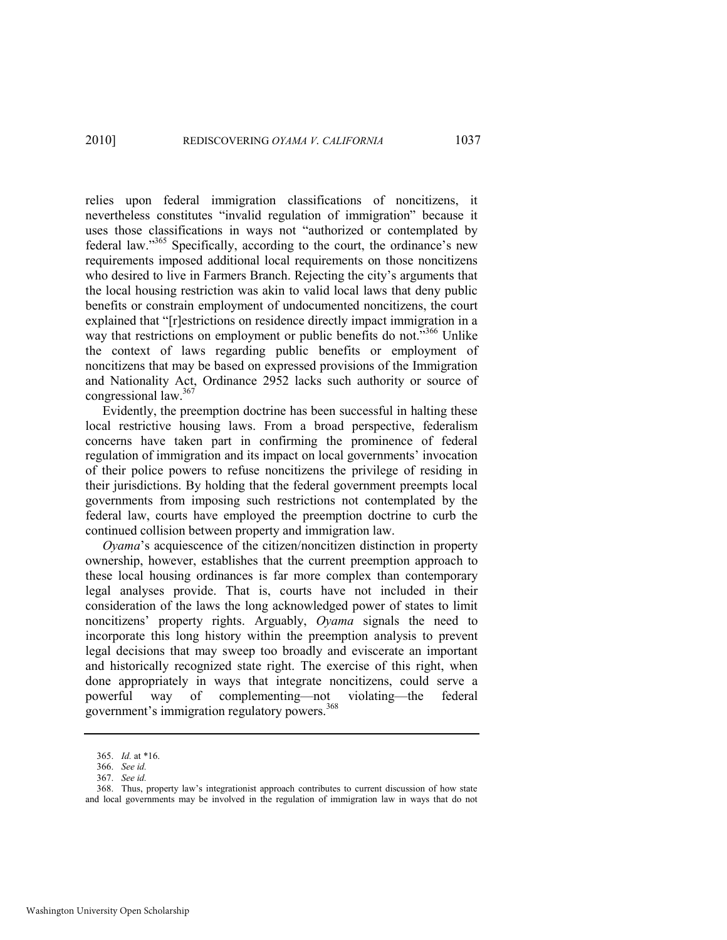relies upon federal immigration classifications of noncitizens, it nevertheless constitutes "invalid regulation of immigration" because it uses those classifications in ways not "authorized or contemplated by federal law."<sup>365</sup> Specifically, according to the court, the ordinance's new requirements imposed additional local requirements on those noncitizens who desired to live in Farmers Branch. Rejecting the city's arguments that the local housing restriction was akin to valid local laws that deny public benefits or constrain employment of undocumented noncitizens, the court explained that "[r]estrictions on residence directly impact immigration in a way that restrictions on employment or public benefits do not.<sup>3566</sup> Unlike the context of laws regarding public benefits or employment of noncitizens that may be based on expressed provisions of the Immigration and Nationality Act, Ordinance 2952 lacks such authority or source of congressional law.<sup>367</sup>

Evidently, the preemption doctrine has been successful in halting these local restrictive housing laws. From a broad perspective, federalism concerns have taken part in confirming the prominence of federal regulation of immigration and its impact on local governments' invocation of their police powers to refuse noncitizens the privilege of residing in their jurisdictions. By holding that the federal government preempts local governments from imposing such restrictions not contemplated by the federal law, courts have employed the preemption doctrine to curb the continued collision between property and immigration law.

*Oyama*'s acquiescence of the citizen/noncitizen distinction in property ownership, however, establishes that the current preemption approach to these local housing ordinances is far more complex than contemporary legal analyses provide. That is, courts have not included in their consideration of the laws the long acknowledged power of states to limit noncitizens' property rights. Arguably, *Oyama* signals the need to incorporate this long history within the preemption analysis to prevent legal decisions that may sweep too broadly and eviscerate an important and historically recognized state right. The exercise of this right, when done appropriately in ways that integrate noncitizens, could serve a powerful way of complementing—not violating—the federal government's immigration regulatory powers.<sup>368</sup>

<sup>365.</sup> *Id.* at \*16.

<sup>366.</sup> *See id.*

<sup>367.</sup> *See id.*

<sup>368.</sup> Thus, property law's integrationist approach contributes to current discussion of how state and local governments may be involved in the regulation of immigration law in ways that do not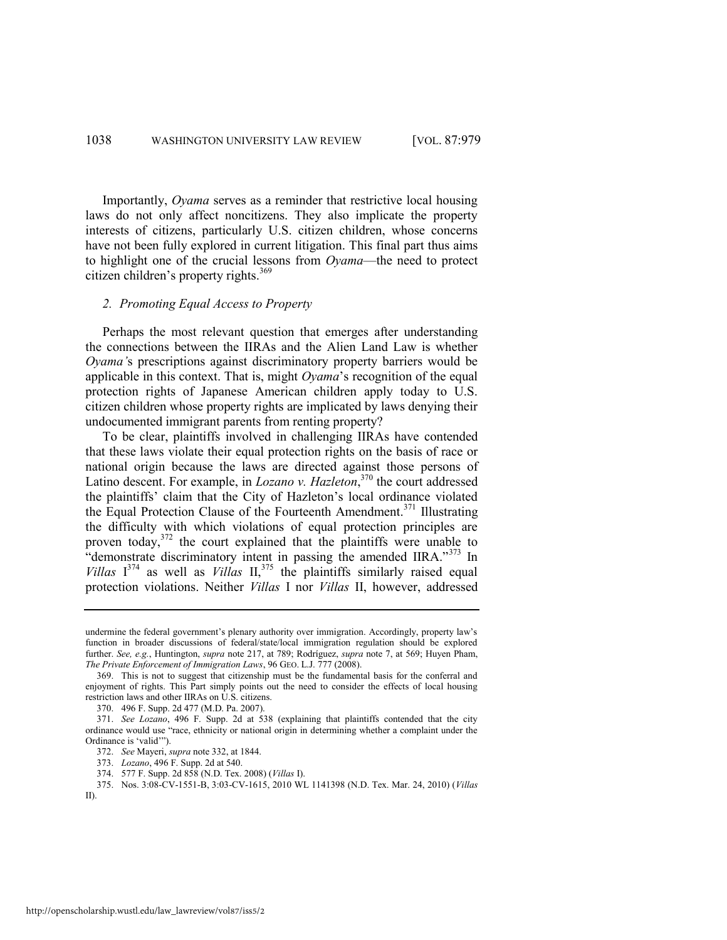Importantly, *Oyama* serves as a reminder that restrictive local housing laws do not only affect noncitizens. They also implicate the property interests of citizens, particularly U.S. citizen children, whose concerns have not been fully explored in current litigation. This final part thus aims to highlight one of the crucial lessons from *Oyama*—the need to protect citizen children's property rights.<sup>369</sup>

#### *2. Promoting Equal Access to Property*

Perhaps the most relevant question that emerges after understanding the connections between the IIRAs and the Alien Land Law is whether *Oyama'*s prescriptions against discriminatory property barriers would be applicable in this context. That is, might *Oyama*'s recognition of the equal protection rights of Japanese American children apply today to U.S. citizen children whose property rights are implicated by laws denying their undocumented immigrant parents from renting property?

To be clear, plaintiffs involved in challenging IIRAs have contended that these laws violate their equal protection rights on the basis of race or national origin because the laws are directed against those persons of Latino descent. For example, in *Lozano v. Hazleton*, <sup>370</sup> the court addressed the plaintiffs' claim that the City of Hazleton's local ordinance violated the Equal Protection Clause of the Fourteenth Amendment.<sup>371</sup> Illustrating the difficulty with which violations of equal protection principles are proven today,<sup>372</sup> the court explained that the plaintiffs were unable to "demonstrate discriminatory intent in passing the amended IIRA."<sup>373</sup> In *Villas*  $I^{374}$  as well as *Villas*  $II^{375}$ , the plaintiffs similarly raised equal protection violations. Neither *Villas* I nor *Villas* II, however, addressed

undermine the federal government's plenary authority over immigration. Accordingly, property law's function in broader discussions of federal/state/local immigration regulation should be explored further. *See, e.g.*, Huntington, *supra* note [217,](#page-36-0) at 789; Rodríguez, *supra* note [7,](#page-4-0) at 569; Huyen Pham, *The Private Enforcement of Immigration Laws*, 96 GEO. L.J. 777 (2008).

<sup>369.</sup> This is not to suggest that citizenship must be the fundamental basis for the conferral and enjoyment of rights. This Part simply points out the need to consider the effects of local housing restriction laws and other IIRAs on U.S. citizens.

<sup>370. 496</sup> F. Supp. 2d 477 (M.D. Pa. 2007).

<sup>371.</sup> *See Lozano*, 496 F. Supp. 2d at 538 (explaining that plaintiffs contended that the city ordinance would use "race, ethnicity or national origin in determining whether a complaint under the Ordinance is 'valid'").

<sup>372.</sup> *See* Mayeri, *supra* not[e 332,](#page-55-0) at 1844.

<sup>373.</sup> *Lozano*, 496 F. Supp. 2d at 540.

<sup>374. 577</sup> F. Supp. 2d 858 (N.D. Tex. 2008) (*Villas* I).

<sup>375.</sup> Nos. 3:08-CV-1551-B, 3:03-CV-1615, 2010 WL 1141398 (N.D. Tex. Mar. 24, 2010) (*Villas* II).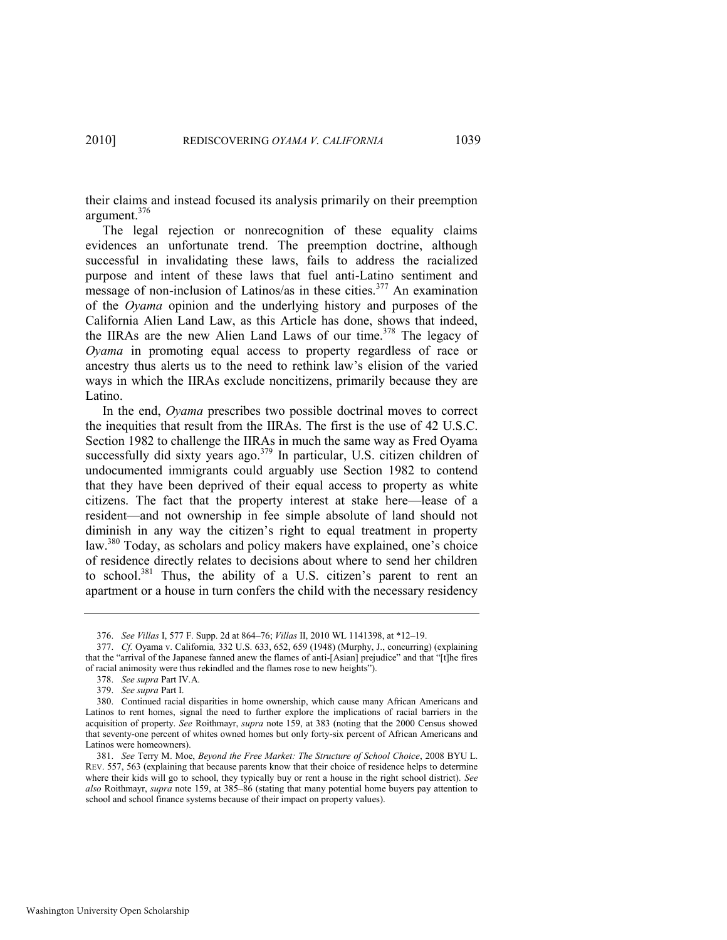their claims and instead focused its analysis primarily on their preemption argument.<sup>376</sup>

The legal rejection or nonrecognition of these equality claims evidences an unfortunate trend. The preemption doctrine, although successful in invalidating these laws, fails to address the racialized purpose and intent of these laws that fuel anti-Latino sentiment and message of non-inclusion of Latinos/as in these cities.<sup>377</sup> An examination of the *Oyama* opinion and the underlying history and purposes of the California Alien Land Law, as this Article has done, shows that indeed, the IIRAs are the new Alien Land Laws of our time.<sup>378</sup> The legacy of *Oyama* in promoting equal access to property regardless of race or ancestry thus alerts us to the need to rethink law's elision of the varied ways in which the IIRAs exclude noncitizens, primarily because they are Latino.

In the end, *Oyama* prescribes two possible doctrinal moves to correct the inequities that result from the IIRAs. The first is the use of 42 U.S.C. Section 1982 to challenge the IIRAs in much the same way as Fred Oyama successfully did sixty years ago.<sup>379</sup> In particular, U.S. citizen children of undocumented immigrants could arguably use Section 1982 to contend that they have been deprived of their equal access to property as white citizens. The fact that the property interest at stake here—lease of a resident—and not ownership in fee simple absolute of land should not diminish in any way the citizen's right to equal treatment in property law.<sup>380</sup> Today, as scholars and policy makers have explained, one's choice of residence directly relates to decisions about where to send her children to school.<sup>381</sup> Thus, the ability of a U.S. citizen's parent to rent an apartment or a house in turn confers the child with the necessary residency

<sup>376.</sup> *See Villas* I, 577 F. Supp. 2d at 864–76; *Villas* II, 2010 WL 1141398, at \*12–19.

<sup>377.</sup> *Cf.* Oyama v. California*,* 332 U.S. 633, 652, 659 (1948) (Murphy, J., concurring) (explaining that the "arrival of the Japanese fanned anew the flames of anti-[Asian] prejudice" and that "[t]he fires of racial animosity were thus rekindled and the flames rose to new heights").

<sup>378.</sup> *See supra* Part IV.A.

<sup>379.</sup> *See supra* Part I.

<sup>380.</sup> Continued racial disparities in home ownership, which cause many African Americans and Latinos to rent homes, signal the need to further explore the implications of racial barriers in the acquisition of property. *See* Roithmayr, *supra* note [159,](#page-27-0) at 383 (noting that the 2000 Census showed that seventy-one percent of whites owned homes but only forty-six percent of African Americans and Latinos were homeowners).

<sup>381.</sup> *See* Terry M. Moe, *Beyond the Free Market: The Structure of School Choice*, 2008 BYU L. REV. 557, 563 (explaining that because parents know that their choice of residence helps to determine where their kids will go to school, they typically buy or rent a house in the right school district). *See also* Roithmayr, *supra* note [159,](#page-27-0) at 385–86 (stating that many potential home buyers pay attention to school and school finance systems because of their impact on property values).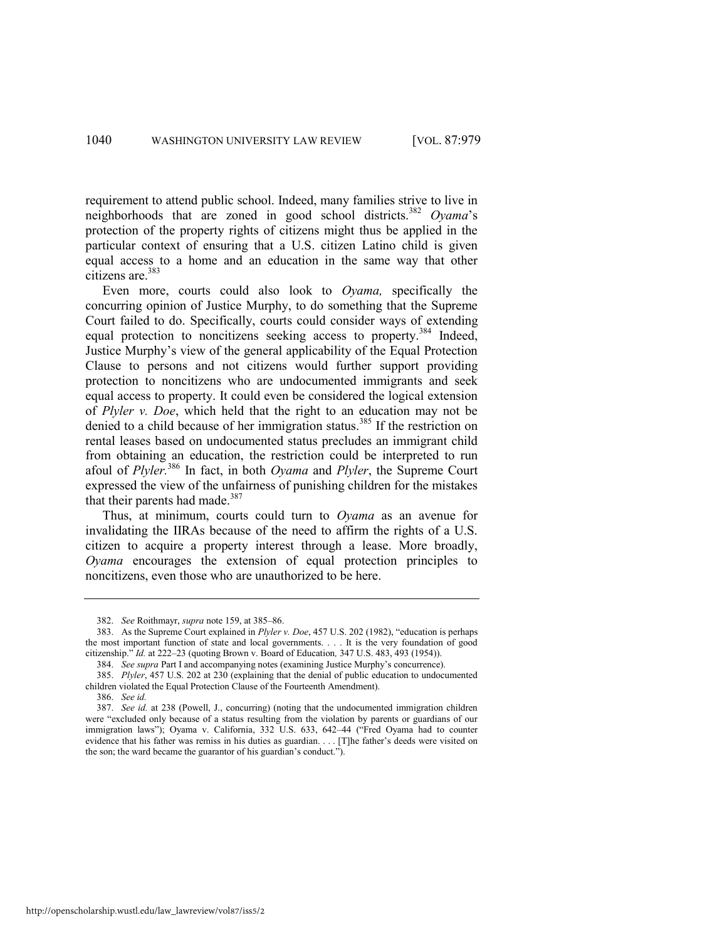requirement to attend public school. Indeed, many families strive to live in neighborhoods that are zoned in good school districts.<sup>382</sup> *Oyama*'s protection of the property rights of citizens might thus be applied in the particular context of ensuring that a U.S. citizen Latino child is given equal access to a home and an education in the same way that other citizens are.<sup>383</sup>

Even more, courts could also look to *Oyama,* specifically the concurring opinion of Justice Murphy, to do something that the Supreme Court failed to do. Specifically, courts could consider ways of extending equal protection to noncitizens seeking access to property.<sup>384</sup> Indeed, Justice Murphy's view of the general applicability of the Equal Protection Clause to persons and not citizens would further support providing protection to noncitizens who are undocumented immigrants and seek equal access to property. It could even be considered the logical extension of *Plyler v. Doe*, which held that the right to an education may not be denied to a child because of her immigration status.<sup>385</sup> If the restriction on rental leases based on undocumented status precludes an immigrant child from obtaining an education, the restriction could be interpreted to run afoul of *Plyler.*<sup>386</sup> In fact, in both *Oyama* and *Plyler*, the Supreme Court expressed the view of the unfairness of punishing children for the mistakes that their parents had made.<sup>387</sup>

Thus, at minimum, courts could turn to *Oyama* as an avenue for invalidating the IIRAs because of the need to affirm the rights of a U.S. citizen to acquire a property interest through a lease. More broadly, *Oyama* encourages the extension of equal protection principles to noncitizens, even those who are unauthorized to be here.

<sup>382.</sup> *See* Roithmayr, *supra* not[e 159,](#page-27-0) at 385–86.

<sup>383.</sup> As the Supreme Court explained in *Plyler v. Doe*, 457 U.S. 202 (1982), "education is perhaps the most important function of state and local governments. . . . It is the very foundation of good citizenship.‖ *Id.* at 222–23 (quoting Brown v. Board of Education*,* 347 U.S. 483, 493 (1954)).

<sup>384.</sup> *See supra* Part I and accompanying notes (examining Justice Murphy's concurrence).

<sup>385.</sup> *Plyler*, 457 U.S. 202 at 230 (explaining that the denial of public education to undocumented children violated the Equal Protection Clause of the Fourteenth Amendment).

<sup>386.</sup> *See id.* 

<sup>387.</sup> *See id.* at 238 (Powell, J., concurring) (noting that the undocumented immigration children were "excluded only because of a status resulting from the violation by parents or guardians of our immigration laws"); Oyama v. California, 332 U.S. 633, 642-44 ("Fred Oyama had to counter evidence that his father was remiss in his duties as guardian. . . . [T]he father's deeds were visited on the son; the ward became the guarantor of his guardian's conduct.").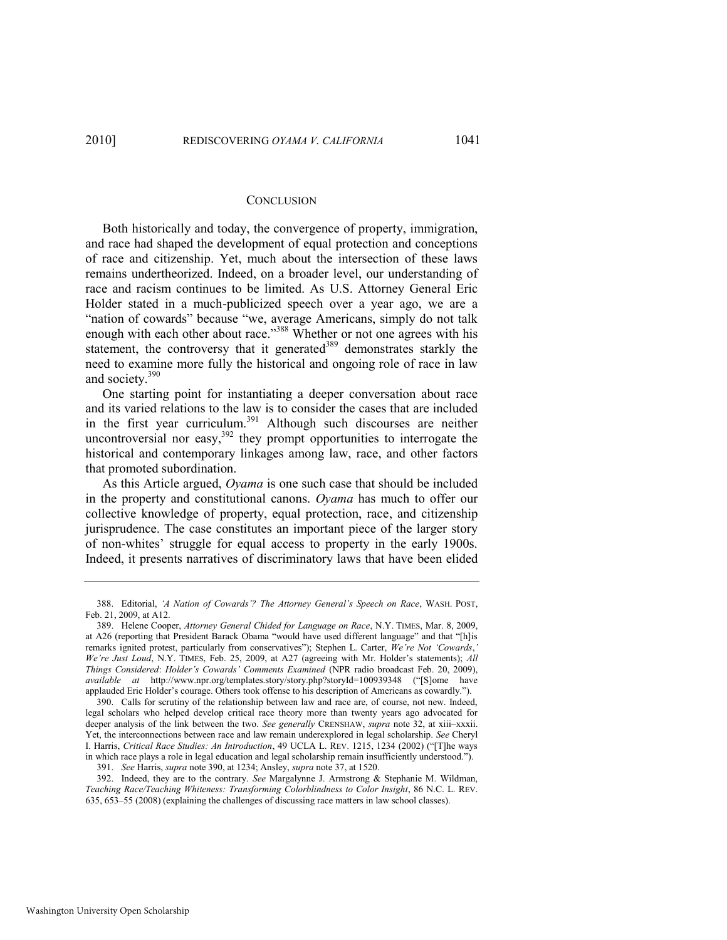#### **CONCLUSION**

Both historically and today, the convergence of property, immigration, and race had shaped the development of equal protection and conceptions of race and citizenship. Yet, much about the intersection of these laws remains undertheorized. Indeed, on a broader level, our understanding of race and racism continues to be limited. As U.S. Attorney General Eric Holder stated in a much-publicized speech over a year ago, we are a "nation of cowards" because "we, average Americans, simply do not talk enough with each other about race."<sup>388</sup> Whether or not one agrees with his statement, the controversy that it generated<sup>389</sup> demonstrates starkly the need to examine more fully the historical and ongoing role of race in law and society.<sup>390</sup>

<span id="page-63-0"></span>One starting point for instantiating a deeper conversation about race and its varied relations to the law is to consider the cases that are included in the first year curriculum.<sup>391</sup> Although such discourses are neither uncontroversial nor easy,  $392$  they prompt opportunities to interrogate the historical and contemporary linkages among law, race, and other factors that promoted subordination.

As this Article argued, *Oyama* is one such case that should be included in the property and constitutional canons. *Oyama* has much to offer our collective knowledge of property, equal protection, race, and citizenship jurisprudence. The case constitutes an important piece of the larger story of non-whites' struggle for equal access to property in the early 1900s. Indeed, it presents narratives of discriminatory laws that have been elided

<sup>388.</sup> Editorial, *‗A Nation of Cowards'? The Attorney General's Speech on Race*, WASH. POST, Feb. 21, 2009, at A12.

<sup>389.</sup> Helene Cooper, *Attorney General Chided for Language on Race*, N.Y. TIMES, Mar. 8, 2009, at A26 (reporting that President Barack Obama "would have used different language" and that "[h]is remarks ignited protest, particularly from conservatives"); Stephen L. Carter, *We're Not 'Cowards*, *We're Just Loud*, N.Y. TIMES, Feb. 25, 2009, at A27 (agreeing with Mr. Holder's statements); *All Things Considered*: *Holder's Cowards' Comments Examined* (NPR radio broadcast Feb. 20, 2009), *available at* http://www.npr.org/templates.story/story.php?storyId=100939348 ("[S]ome have applauded Eric Holder's courage. Others took offense to his description of Americans as cowardly.").

<sup>390.</sup> Calls for scrutiny of the relationship between law and race are, of course, not new. Indeed, legal scholars who helped develop critical race theory more than twenty years ago advocated for deeper analysis of the link between the two. *See generally* CRENSHAW, *supra* note [32,](#page-9-0) at xiii–xxxii. Yet, the interconnections between race and law remain underexplored in legal scholarship. *See* Cheryl I. Harris, *Critical Race Studies: An Introduction*, 49 UCLA L. REV. 1215, 1234 (2002) ("[T]he ways in which race plays a role in legal education and legal scholarship remain insufficiently understood.").

<sup>391.</sup> *See* Harris, *supra* not[e 390,](#page-63-0) at 1234; Ansley, *supra* not[e 37,](#page-12-0) at 1520.

<sup>392.</sup> Indeed, they are to the contrary. *See* Margalynne J. Armstrong & Stephanie M. Wildman, *Teaching Race/Teaching Whiteness: Transforming Colorblindness to Color Insight*, 86 N.C. L. REV. 635, 653–55 (2008) (explaining the challenges of discussing race matters in law school classes).